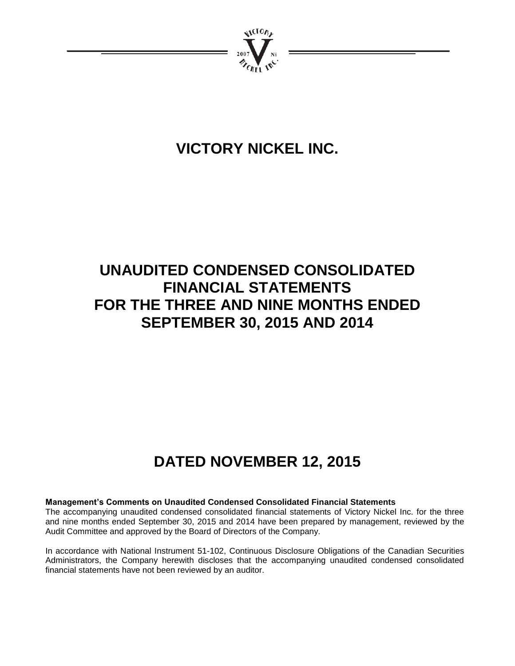

# **VICTORY NICKEL INC.**

# **UNAUDITED CONDENSED CONSOLIDATED FINANCIAL STATEMENTS FOR THE THREE AND NINE MONTHS ENDED SEPTEMBER 30, 2015 AND 2014**

# **DATED NOVEMBER 12, 2015**

# **Management's Comments on Unaudited Condensed Consolidated Financial Statements**

The accompanying unaudited condensed consolidated financial statements of Victory Nickel Inc. for the three and nine months ended September 30, 2015 and 2014 have been prepared by management, reviewed by the Audit Committee and approved by the Board of Directors of the Company.

In accordance with National Instrument 51-102, Continuous Disclosure Obligations of the Canadian Securities Administrators, the Company herewith discloses that the accompanying unaudited condensed consolidated financial statements have not been reviewed by an auditor.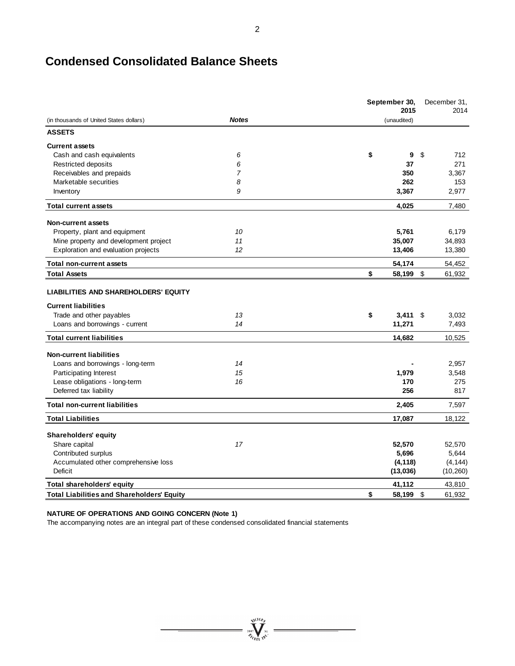# **Condensed Consolidated Balance Sheets**

|                                                   |                | September 30,<br>2015 |     | December 31,<br>2014 |
|---------------------------------------------------|----------------|-----------------------|-----|----------------------|
| (in thousands of United States dollars)           | <b>Notes</b>   | (unaudited)           |     |                      |
| <b>ASSETS</b>                                     |                |                       |     |                      |
| <b>Current assets</b>                             |                |                       |     |                      |
| Cash and cash equivalents                         | 6              | \$<br>9               | \$  | 712                  |
| Restricted deposits                               | 6              | 37                    |     | 271                  |
| Receivables and prepaids                          | $\overline{7}$ | 350                   |     | 3,367                |
| Marketable securities                             | 8              | 262                   |     | 153                  |
| Inventory                                         | 9              | 3,367                 |     | 2,977                |
| <b>Total current assets</b>                       |                | 4,025                 |     | 7,480                |
| Non-current assets                                |                |                       |     |                      |
| Property, plant and equipment                     | 10             | 5,761                 |     | 6,179                |
| Mine property and development project             | 11             | 35,007                |     | 34,893               |
| Exploration and evaluation projects               | 12             | 13,406                |     | 13,380               |
| <b>Total non-current assets</b>                   |                | 54,174                |     | 54,452               |
| <b>Total Assets</b>                               |                | \$<br>58,199          | -\$ | 61,932               |
| <b>LIABILITIES AND SHAREHOLDERS' EQUITY</b>       |                |                       |     |                      |
| <b>Current liabilities</b>                        |                |                       |     |                      |
| Trade and other payables                          | 13             | \$<br>3,411           | -\$ | 3,032                |
| Loans and borrowings - current                    | 14             | 11,271                |     | 7,493                |
| <b>Total current liabilities</b>                  |                | 14,682                |     | 10,525               |
| <b>Non-current liabilities</b>                    |                |                       |     |                      |
| Loans and borrowings - long-term                  | 14             |                       |     | 2,957                |
| Participating Interest                            | 15             | 1,979                 |     | 3,548                |
| Lease obligations - long-term                     | 16             | 170                   |     | 275                  |
| Deferred tax liability                            |                | 256                   |     | 817                  |
| <b>Total non-current liabilities</b>              |                | 2,405                 |     | 7,597                |
| <b>Total Liabilities</b>                          |                | 17,087                |     | 18,122               |
| <b>Shareholders' equity</b>                       |                |                       |     |                      |
| Share capital                                     | 17             | 52,570                |     | 52,570               |
| Contributed surplus                               |                | 5,696                 |     | 5,644                |
| Accumulated other comprehensive loss              |                | (4, 118)              |     | (4, 144)             |
| Deficit                                           |                | (13,036)              |     | (10, 260)            |
| <b>Total shareholders' equity</b>                 |                | 41,112                |     | 43.810               |
| <b>Total Liabilities and Shareholders' Equity</b> |                | \$<br>58,199          | \$  | 61,932               |

 $\sum_{\substack{\mathbf{2007}}\\ \mathcal{U}(\mathbf{10}\mathcal{B})}}^{\mathcal{U}(\mathbf{10}\mathcal{B})} \mathbf{N}(\mathbf{10})$ 

### **NATURE OF OPERATIONS AND GOING CONCERN (Note 1)**

The accompanying notes are an integral part of these condensed consolidated financial statements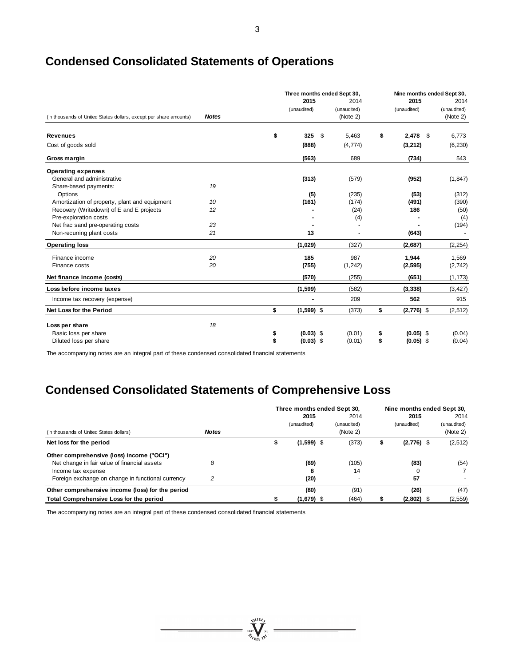| I            |  |
|--------------|--|
| I<br>۰,<br>I |  |

# **Condensed Consolidated Statements of Operations**

|                                                                   |              |                    | Three months ended Sept 30, |             |    | Nine months ended Sept 30, |             |  |
|-------------------------------------------------------------------|--------------|--------------------|-----------------------------|-------------|----|----------------------------|-------------|--|
|                                                                   |              | 2015               |                             | 2014        |    | 2015                       | 2014        |  |
|                                                                   |              | (unaudited)        |                             | (unaudited) |    | (unaudited)                | (unaudited) |  |
| (in thousands of United States dollars, except per share amounts) | <b>Notes</b> |                    |                             | (Note 2)    |    |                            | (Note 2)    |  |
| <b>Revenues</b>                                                   |              | \$<br>325          | \$                          | 5,463       | \$ | 2,478<br>\$                | 6,773       |  |
| Cost of goods sold                                                |              | (888)              |                             | (4, 774)    |    | (3,212)                    | (6, 230)    |  |
| Gross margin                                                      |              | (563)              |                             | 689         |    | (734)                      | 543         |  |
| <b>Operating expenses</b>                                         |              |                    |                             |             |    |                            |             |  |
| General and administrative                                        |              | (313)              |                             | (579)       |    | (952)                      | (1, 847)    |  |
| Share-based payments:                                             | 19           |                    |                             |             |    |                            |             |  |
| Options                                                           |              | (5)                |                             | (235)       |    | (53)                       | (312)       |  |
| Amortization of property, plant and equipment                     | 10           | (161)              |                             | (174)       |    | (491)                      | (390)       |  |
| Recovery (Writedown) of E and E projects                          | 12           |                    |                             | (24)        |    | 186                        | (50)        |  |
| Pre-exploration costs                                             |              |                    |                             | (4)         |    |                            | (4)         |  |
| Net frac sand pre-operating costs                                 | 23           |                    |                             |             |    |                            | (194)       |  |
| Non-recurring plant costs                                         | 21           | 13                 |                             |             |    | (643)                      |             |  |
| <b>Operating loss</b>                                             |              | (1,029)            |                             | (327)       |    | (2,687)                    | (2, 254)    |  |
| Finance income                                                    | 20           | 185                |                             | 987         |    | 1,944                      | 1,569       |  |
| Finance costs                                                     | 20           | (755)              |                             | (1, 242)    |    | (2, 595)                   | (2, 742)    |  |
| Net finance income (costs)                                        |              | (570)              |                             | (255)       |    | (651)                      | (1, 173)    |  |
| Loss before income taxes                                          |              | (1, 599)           |                             | (582)       |    | (3, 338)                   | (3, 427)    |  |
| Income tax recovery (expense)                                     |              |                    |                             | 209         |    | 562                        | 915         |  |
| Net Loss for the Period                                           |              | \$<br>$(1,599)$ \$ |                             | (373)       | \$ | $(2,776)$ \$               | (2, 512)    |  |
| Loss per share                                                    | 18           |                    |                             |             |    |                            |             |  |
| Basic loss per share                                              |              | \$<br>$(0.03)$ \$  |                             | (0.01)      | \$ | $(0.05)$ \$                | (0.04)      |  |
| Diluted loss per share                                            |              | \$<br>$(0.03)$ \$  |                             | (0.01)      | \$ | $(0.05)$ \$                | (0.04)      |  |
|                                                                   |              |                    |                             |             |    |                            |             |  |

The accompanying notes are an integral part of these condensed consolidated financial statements

# **Condensed Consolidated Statements of Comprehensive Loss**

|                                                   |              | Three months ended Sept 30, |                     |  |                     |   |                     | Nine months ended Sept 30, |  |
|---------------------------------------------------|--------------|-----------------------------|---------------------|--|---------------------|---|---------------------|----------------------------|--|
|                                                   |              |                             | 2015<br>(unaudited) |  | 2014<br>(unaudited) |   | 2015<br>(unaudited) | 2014<br>(unaudited)        |  |
| (in thousands of United States dollars)           | <b>Notes</b> |                             |                     |  | (Note 2)            |   |                     | (Note 2)                   |  |
| Net loss for the period                           |              |                             | $(1,599)$ \$        |  | (373)               | S | $(2,776)$ \$        | (2, 512)                   |  |
| Other comprehensive (loss) income ("OCI")         |              |                             |                     |  |                     |   |                     |                            |  |
| Net change in fair value of financial assets      | 8            |                             | (69)                |  | (105)               |   | (83)                | (54)                       |  |
| Income tax expense                                |              |                             | 8                   |  | 14                  |   |                     |                            |  |
| Foreign exchange on change in functional currency | 2            |                             | (20)                |  | -                   |   | 57                  |                            |  |
| Other comprehensive income (loss) for the period  |              |                             | (80)                |  | (91)                |   | (26)                | (47)                       |  |
| Total Comprehensive Loss for the period           |              |                             | $(1,679)$ \$        |  | (464)               |   | $(2,802)$ \$        | (2, 559)                   |  |

The accompanying notes are an integral part of these condensed consolidated financial statements

 $= \sum_{i=1}^{N_{\text{U}}(10_{\tilde{r}_i})}$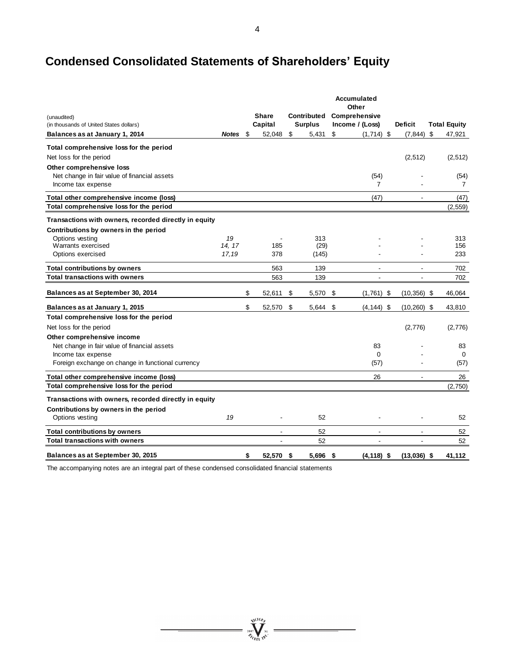# **Condensed Consolidated Statements of Shareholders' Equity**

| (unaudited)                                                                        |              |     | <b>Share</b> | Contributed    | <b>Accumulated</b><br>Other<br>Comprehensive |                |                     |
|------------------------------------------------------------------------------------|--------------|-----|--------------|----------------|----------------------------------------------|----------------|---------------------|
| (in thousands of United States dollars)                                            |              |     | Capital      | <b>Surplus</b> | Income / (Loss)                              | <b>Deficit</b> | <b>Total Equity</b> |
| Balances as at January 1, 2014                                                     | <b>Notes</b> | -\$ | 52,048       | \$<br>5,431    | \$<br>$(1,714)$ \$                           | $(7,844)$ \$   | 47,921              |
| Total comprehensive loss for the period                                            |              |     |              |                |                                              |                |                     |
| Net loss for the period<br>Other comprehensive loss                                |              |     |              |                |                                              | (2,512)        | (2,512)             |
| Net change in fair value of financial assets                                       |              |     |              |                | (54)                                         |                | (54)                |
| Income tax expense                                                                 |              |     |              |                | $\overline{7}$                               |                | $\overline{7}$      |
| Total other comprehensive income (loss)                                            |              |     |              |                | (47)                                         |                | (47)                |
| Total comprehensive loss for the period                                            |              |     |              |                |                                              |                | (2, 559)            |
| Transactions with owners, recorded directly in equity                              |              |     |              |                |                                              |                |                     |
| Contributions by owners in the period                                              |              |     |              |                |                                              |                |                     |
| Options vesting<br>Warrants exercised                                              | 19<br>14, 17 |     | 185          | 313<br>(29)    |                                              |                | 313<br>156          |
| Options exercised                                                                  | 17,19        |     | 378          | (145)          |                                              |                | 233                 |
| <b>Total contributions by owners</b>                                               |              |     | 563          | 139            |                                              |                | 702                 |
| <b>Total transactions with owners</b>                                              |              |     | 563          | 139            | ÷,                                           |                | 702                 |
| Balances as at September 30, 2014                                                  |              | \$  | 52,611       | \$<br>5,570    | \$<br>$(1,761)$ \$                           | $(10, 356)$ \$ | 46,064              |
| Balances as at January 1, 2015                                                     |              | \$  | 52,570       | \$<br>5,644    | \$<br>$(4, 144)$ \$                          | $(10, 260)$ \$ | 43,810              |
| Total comprehensive loss for the period                                            |              |     |              |                |                                              |                |                     |
| Net loss for the period                                                            |              |     |              |                |                                              | (2,776)        | (2,776)             |
| Other comprehensive income                                                         |              |     |              |                |                                              |                |                     |
| Net change in fair value of financial assets                                       |              |     |              |                | 83                                           |                | 83                  |
| Income tax expense<br>Foreign exchange on change in functional currency            |              |     |              |                | $\Omega$<br>(57)                             |                | $\Omega$<br>(57)    |
|                                                                                    |              |     |              |                |                                              |                |                     |
| Total other comprehensive income (loss)<br>Total comprehensive loss for the period |              |     |              |                | 26                                           |                | 26                  |
|                                                                                    |              |     |              |                |                                              |                | (2,750)             |
| Transactions with owners, recorded directly in equity                              |              |     |              |                |                                              |                |                     |
| Contributions by owners in the period<br>Options vesting                           | 19           |     |              | 52             |                                              |                | 52                  |
| <b>Total contributions by owners</b>                                               |              |     |              | 52             |                                              |                | 52                  |
| <b>Total transactions with owners</b>                                              |              |     |              | 52             |                                              |                | 52                  |
| Balances as at September 30, 2015                                                  |              | \$  | 52,570 \$    | 5,696 \$       | $(4, 118)$ \$                                | $(13,036)$ \$  | 41,112              |

 $= \sqrt[3000]{\frac{\sqrt[3]{100}}{n}}$ 

The accompanying notes are an integral part of these condensed consolidated financial statements

4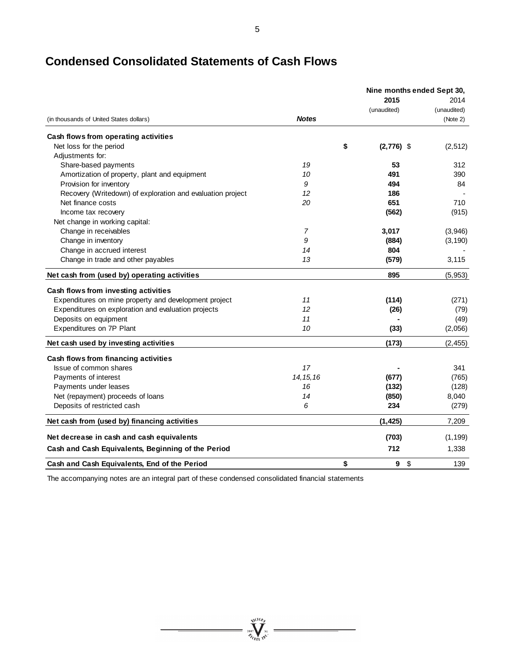| ×. | ۰. | ٠ |    |        |
|----|----|---|----|--------|
|    |    |   |    |        |
|    |    |   | ۰. | I<br>I |

|                                                            |                |                    | Nine months ended Sept 30, |
|------------------------------------------------------------|----------------|--------------------|----------------------------|
|                                                            |                | 2015               | 2014                       |
| (in thousands of United States dollars)                    | <b>Notes</b>   | (unaudited)        | (unaudited)<br>(Note 2)    |
| Cash flows from operating activities                       |                |                    |                            |
| Net loss for the period                                    |                | $(2,776)$ \$<br>\$ | (2,512)                    |
| Adjustments for:                                           |                |                    |                            |
| Share-based payments                                       | 19             | 53                 | 312                        |
| Amortization of property, plant and equipment              | 10             | 491                | 390                        |
| Provision for inventory                                    | 9              | 494                | 84                         |
| Recovery (Writedown) of exploration and evaluation project | 12             | 186                |                            |
| Net finance costs                                          | 20             | 651                | 710                        |
| Income tax recovery                                        |                | (562)              | (915)                      |
| Net change in working capital:                             |                |                    |                            |
| Change in receivables                                      | $\overline{7}$ | 3,017              | (3,946)                    |
| Change in inventory                                        | 9              | (884)              | (3, 190)                   |
| Change in accrued interest                                 | 14             | 804                |                            |
| Change in trade and other payables                         | 13             | (579)              | 3,115                      |
| Net cash from (used by) operating activities               |                | 895                | (5,953)                    |
| Cash flows from investing activities                       |                |                    |                            |
| Expenditures on mine property and development project      | 11             | (114)              | (271)                      |
| Expenditures on exploration and evaluation projects        | 12             | (26)               | (79)                       |
| Deposits on equipment                                      | 11             |                    | (49)                       |
| Expenditures on 7P Plant                                   | 10             | (33)               | (2,056)                    |
| Net cash used by investing activities                      |                | (173)              | (2, 455)                   |
| Cash flows from financing activities                       |                |                    |                            |
| Issue of common shares                                     | 17             |                    | 341                        |
| Payments of interest                                       | 14, 15, 16     | (677)              | (765)                      |
| Payments under leases                                      | 16             | (132)              | (128)                      |
| Net (repayment) proceeds of loans                          | 14             | (850)              | 8,040                      |
| Deposits of restricted cash                                | 6              | 234                | (279)                      |
| Net cash from (used by) financing activities               |                | (1, 425)           | 7,209                      |
| Net decrease in cash and cash equivalents                  |                | (703)              | (1, 199)                   |
| Cash and Cash Equivalents, Beginning of the Period         |                | 712                | 1,338                      |
| Cash and Cash Equivalents, End of the Period               |                | \$<br>\$<br>9      | 139                        |

The accompanying notes are an integral part of these condensed consolidated financial statements

 $= \sqrt[n]{\frac{\sqrt[n]{\log p}}{n}}$ 

 $\equiv$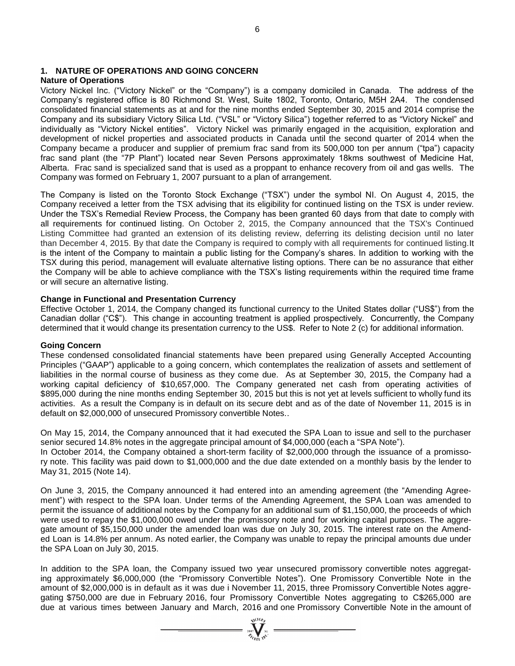# **1. NATURE OF OPERATIONS AND GOING CONCERN**

# **Nature of Operations**

Victory Nickel Inc. ("Victory Nickel" or the "Company") is a company domiciled in Canada. The address of the Company's registered office is 80 Richmond St. West, Suite 1802, Toronto, Ontario, M5H 2A4. The condensed consolidated financial statements as at and for the nine months ended September 30, 2015 and 2014 comprise the Company and its subsidiary Victory Silica Ltd. ("VSL" or "Victory Silica") together referred to as "Victory Nickel" and individually as "Victory Nickel entities". Victory Nickel was primarily engaged in the acquisition, exploration and development of nickel properties and associated products in Canada until the second quarter of 2014 when the Company became a producer and supplier of premium frac sand from its 500,000 ton per annum ("tpa") capacity frac sand plant (the "7P Plant") located near Seven Persons approximately 18kms southwest of Medicine Hat, Alberta. Frac sand is specialized sand that is used as a proppant to enhance recovery from oil and gas wells. The Company was formed on February 1, 2007 pursuant to a plan of arrangement.

The Company is listed on the Toronto Stock Exchange ("TSX") under the symbol NI. On August 4, 2015, the Company received a letter from the TSX advising that its eligibility for continued listing on the TSX is under review. Under the TSX's Remedial Review Process, the Company has been granted 60 days from that date to comply with all requirements for continued listing. On October 2, 2015, the Company announced that the TSX's Continued Listing Committee had granted an extension of its delisting review, deferring its delisting decision until no later than December 4, 2015. By that date the Company is required to comply with all requirements for continued listing.It is the intent of the Company to maintain a public listing for the Company's shares. In addition to working with the TSX during this period, management will evaluate alternative listing options. There can be no assurance that either the Company will be able to achieve compliance with the TSX's listing requirements within the required time frame or will secure an alternative listing.

### **Change in Functional and Presentation Currency**

Effective October 1, 2014, the Company changed its functional currency to the United States dollar ("US\$") from the Canadian dollar ("C\$"). This change in accounting treatment is applied prospectively. Concurrently, the Company determined that it would change its presentation currency to the US\$. Refer to Note 2 (c) for additional information.

### **Going Concern**

These condensed consolidated financial statements have been prepared using Generally Accepted Accounting Principles ("GAAP") applicable to a going concern, which contemplates the realization of assets and settlement of liabilities in the normal course of business as they come due. As at September 30, 2015, the Company had a working capital deficiency of \$10,657,000. The Company generated net cash from operating activities of \$895,000 during the nine months ending September 30, 2015 but this is not yet at levels sufficient to wholly fund its activities. As a result the Company is in default on its secure debt and as of the date of November 11, 2015 is in default on \$2,000,000 of unsecured Promissory convertible Notes..

On May 15, 2014, the Company announced that it had executed the SPA Loan to issue and sell to the purchaser senior secured 14.8% notes in the aggregate principal amount of \$4,000,000 (each a "SPA Note"). In October 2014, the Company obtained a short-term facility of \$2,000,000 through the issuance of a promissory note. This facility was paid down to \$1,000,000 and the due date extended on a monthly basis by the lender to May 31, 2015 (Note 14).

On June 3, 2015, the Company announced it had entered into an amending agreement (the "Amending Agreement") with respect to the SPA loan. Under terms of the Amending Agreement, the SPA Loan was amended to permit the issuance of additional notes by the Company for an additional sum of \$1,150,000, the proceeds of which were used to repay the \$1,000,000 owed under the promissory note and for working capital purposes. The aggregate amount of \$5,150,000 under the amended loan was due on July 30, 2015. The interest rate on the Amended Loan is 14.8% per annum. As noted earlier, the Company was unable to repay the principal amounts due under the SPA Loan on July 30, 2015.

In addition to the SPA loan, the Company issued two year unsecured promissory convertible notes aggregating approximately \$6,000,000 (the "Promissory Convertible Notes"). One Promissory Convertible Note in the amount of \$2,000,000 is in default as it was due i November 11, 2015, three Promissory Convertible Notes aggregating \$750,000 are due in February 2016, four Promissory Convertible Notes aggregating to C\$265,000 are due at various times between January and March, 2016 and one Promissory Convertible Note in the amount of

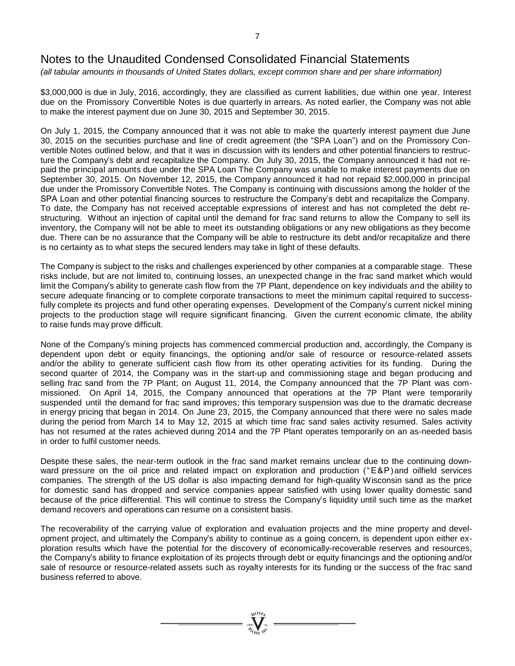*(all tabular amounts in thousands of United States dollars, except common share and per share information)*

\$3,000,000 is due in July, 2016, accordingly, they are classified as current liabilities, due within one year. Interest due on the Promissory Convertible Notes is due quarterly in arrears. As noted earlier, the Company was not able to make the interest payment due on June 30, 2015 and September 30, 2015.

On July 1, 2015, the Company announced that it was not able to make the quarterly interest payment due June 30, 2015 on the securities purchase and line of credit agreement (the "SPA Loan") and on the Promissory Convertible Notes outlined below, and that it was in discussion with its lenders and other potential financiers to restructure the Company's debt and recapitalize the Company. On July 30, 2015, the Company announced it had not repaid the principal amounts due under the SPA Loan The Company was unable to make interest payments due on September 30, 2015. On November 12, 2015, the Company announced it had not repaid \$2,000,000 in principal due under the Promissory Convertible Notes. The Company is continuing with discussions among the holder of the SPA Loan and other potential financing sources to restructure the Company's debt and recapitalize the Company. To date, the Company has not received acceptable expressions of interest and has not completed the debt restructuring. Without an injection of capital until the demand for frac sand returns to allow the Company to sell its inventory, the Company will not be able to meet its outstanding obligations or any new obligations as they become due. There can be no assurance that the Company will be able to restructure its debt and/or recapitalize and there is no certainty as to what steps the secured lenders may take in light of these defaults.

The Company is subject to the risks and challenges experienced by other companies at a comparable stage. These risks include, but are not limited to, continuing losses, an unexpected change in the frac sand market which would limit the Company's ability to generate cash flow from the 7P Plant, dependence on key individuals and the ability to secure adequate financing or to complete corporate transactions to meet the minimum capital required to successfully complete its projects and fund other operating expenses. Development of the Company's current nickel mining projects to the production stage will require significant financing. Given the current economic climate, the ability to raise funds may prove difficult.

None of the Company's mining projects has commenced commercial production and, accordingly, the Company is dependent upon debt or equity financings, the optioning and/or sale of resource or resource-related assets and/or the ability to generate sufficient cash flow from its other operating activities for its funding. During the second quarter of 2014, the Company was in the start-up and commissioning stage and began producing and selling frac sand from the 7P Plant; on August 11, 2014, the Company announced that the 7P Plant was commissioned. On April 14, 2015, the Company announced that operations at the 7P Plant were temporarily suspended until the demand for frac sand improves; this temporary suspension was due to the dramatic decrease in energy pricing that began in 2014. On June 23, 2015, the Company announced that there were no sales made during the period from March 14 to May 12, 2015 at which time frac sand sales activity resumed. Sales activity has not resumed at the rates achieved during 2014 and the 7P Plant operates temporarily on an as-needed basis in order to fulfil customer needs.

Despite these sales, the near-term outlook in the frac sand market remains unclear due to the continuing downward pressure on the oil price and related impact on exploration and production ("E&P)and oilfield services companies. The strength of the US dollar is also impacting demand for high-quality Wisconsin sand as the price for domestic sand has dropped and service companies appear satisfied with using lower quality domestic sand because of the price differential. This will continue to stress the Company's liquidity until such time as the market demand recovers and operations can resume on a consistent basis.

The recoverability of the carrying value of exploration and evaluation projects and the mine property and development project, and ultimately the Company's ability to continue as a going concern, is dependent upon either exploration results which have the potential for the discovery of economically-recoverable reserves and resources, the Company's ability to finance exploitation of its projects through debt or equity financings and the optioning and/or sale of resource or resource-related assets such as royalty interests for its funding or the success of the frac sand business referred to above.

 $\sum_{2007}$  Wellon

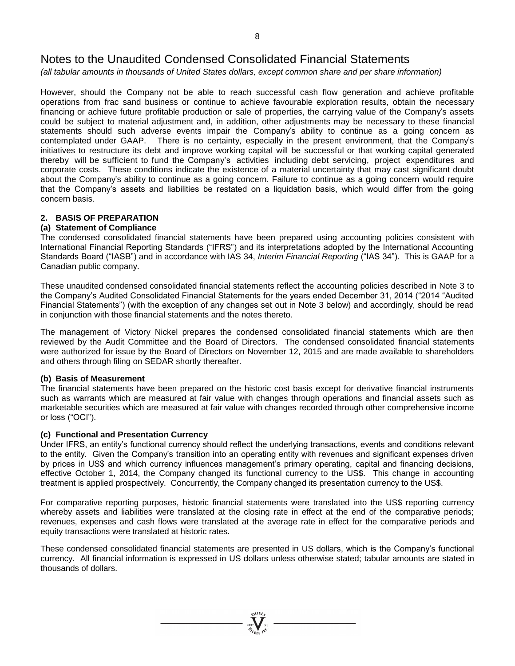*(all tabular amounts in thousands of United States dollars, except common share and per share information)*

However, should the Company not be able to reach successful cash flow generation and achieve profitable operations from frac sand business or continue to achieve favourable exploration results, obtain the necessary financing or achieve future profitable production or sale of properties, the carrying value of the Company's assets could be subject to material adjustment and, in addition, other adjustments may be necessary to these financial statements should such adverse events impair the Company's ability to continue as a going concern as contemplated under GAAP. There is no certainty, especially in the present environment, that the Company's initiatives to restructure its debt and improve working capital will be successful or that working capital generated thereby will be sufficient to fund the Company's activities including debt servicing, project expenditures and corporate costs. These conditions indicate the existence of a material uncertainty that may cast significant doubt about the Company's ability to continue as a going concern. Failure to continue as a going concern would require that the Company's assets and liabilities be restated on a liquidation basis, which would differ from the going concern basis.

# **2. BASIS OF PREPARATION**

### **(a) Statement of Compliance**

The condensed consolidated financial statements have been prepared using accounting policies consistent with International Financial Reporting Standards ("IFRS") and its interpretations adopted by the International Accounting Standards Board ("IASB") and in accordance with IAS 34, *Interim Financial Reporting* ("IAS 34"). This is GAAP for a Canadian public company.

These unaudited condensed consolidated financial statements reflect the accounting policies described in Note 3 to the Company's Audited Consolidated Financial Statements for the years ended December 31, 2014 ("2014 "Audited Financial Statements") (with the exception of any changes set out in Note 3 below) and accordingly, should be read in conjunction with those financial statements and the notes thereto.

The management of Victory Nickel prepares the condensed consolidated financial statements which are then reviewed by the Audit Committee and the Board of Directors. The condensed consolidated financial statements were authorized for issue by the Board of Directors on November 12, 2015 and are made available to shareholders and others through filing on SEDAR shortly thereafter.

### **(b) Basis of Measurement**

The financial statements have been prepared on the historic cost basis except for derivative financial instruments such as warrants which are measured at fair value with changes through operations and financial assets such as marketable securities which are measured at fair value with changes recorded through other comprehensive income or loss ("OCI").

# **(c) Functional and Presentation Currency**

Under IFRS, an entity's functional currency should reflect the underlying transactions, events and conditions relevant to the entity. Given the Company's transition into an operating entity with revenues and significant expenses driven by prices in US\$ and which currency influences management's primary operating, capital and financing decisions, effective October 1, 2014, the Company changed its functional currency to the US\$. This change in accounting treatment is applied prospectively. Concurrently, the Company changed its presentation currency to the US\$.

For comparative reporting purposes, historic financial statements were translated into the US\$ reporting currency whereby assets and liabilities were translated at the closing rate in effect at the end of the comparative periods; revenues, expenses and cash flows were translated at the average rate in effect for the comparative periods and equity transactions were translated at historic rates.

These condensed consolidated financial statements are presented in US dollars, which is the Company's functional currency. All financial information is expressed in US dollars unless otherwise stated; tabular amounts are stated in thousands of dollars.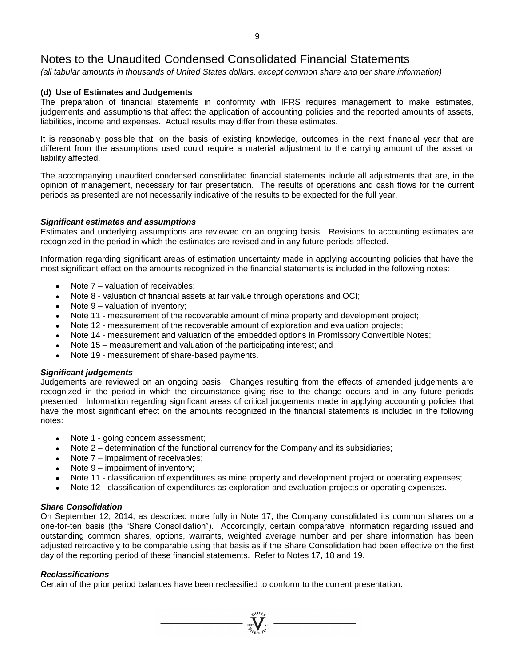*(all tabular amounts in thousands of United States dollars, except common share and per share information)*

### **(d) Use of Estimates and Judgements**

The preparation of financial statements in conformity with IFRS requires management to make estimates, judgements and assumptions that affect the application of accounting policies and the reported amounts of assets, liabilities, income and expenses. Actual results may differ from these estimates.

It is reasonably possible that, on the basis of existing knowledge, outcomes in the next financial year that are different from the assumptions used could require a material adjustment to the carrying amount of the asset or liability affected.

The accompanying unaudited condensed consolidated financial statements include all adjustments that are, in the opinion of management, necessary for fair presentation. The results of operations and cash flows for the current periods as presented are not necessarily indicative of the results to be expected for the full year.

### *Significant estimates and assumptions*

Estimates and underlying assumptions are reviewed on an ongoing basis. Revisions to accounting estimates are recognized in the period in which the estimates are revised and in any future periods affected.

Information regarding significant areas of estimation uncertainty made in applying accounting policies that have the most significant effect on the amounts recognized in the financial statements is included in the following notes:

- Note 7 valuation of receivables;
- Note 8 valuation of financial assets at fair value through operations and OCI;
- Note 9 valuation of inventory;
- Note 11 measurement of the recoverable amount of mine property and development project;
- Note 12 measurement of the recoverable amount of exploration and evaluation projects;
- Note 14 measurement and valuation of the embedded options in Promissory Convertible Notes;
- Note 15 measurement and valuation of the participating interest; and
- Note 19 measurement of share-based payments.

#### *Significant judgements*

Judgements are reviewed on an ongoing basis. Changes resulting from the effects of amended judgements are recognized in the period in which the circumstance giving rise to the change occurs and in any future periods presented. Information regarding significant areas of critical judgements made in applying accounting policies that have the most significant effect on the amounts recognized in the financial statements is included in the following notes:

- Note 1 going concern assessment;
- Note 2 determination of the functional currency for the Company and its subsidiaries;
- Note 7 impairment of receivables;
- Note 9 impairment of inventory;
- Note 11 classification of expenditures as mine property and development project or operating expenses;
- Note 12 classification of expenditures as exploration and evaluation projects or operating expenses.

### *Share Consolidation*

On September 12, 2014, as described more fully in Note 17, the Company consolidated its common shares on a one-for-ten basis (the "Share Consolidation"). Accordingly, certain comparative information regarding issued and outstanding common shares, options, warrants, weighted average number and per share information has been adjusted retroactively to be comparable using that basis as if the Share Consolidation had been effective on the first day of the reporting period of these financial statements. Refer to Notes 17, 18 and 19.

 $\sum_{j=0}^{\sqrt{100}h_{\mathcal{F}}}$   $\sum_{j=0}^{\sqrt{100}h_{\mathcal{F}}}$ 

### *Reclassifications*

Certain of the prior period balances have been reclassified to conform to the current presentation.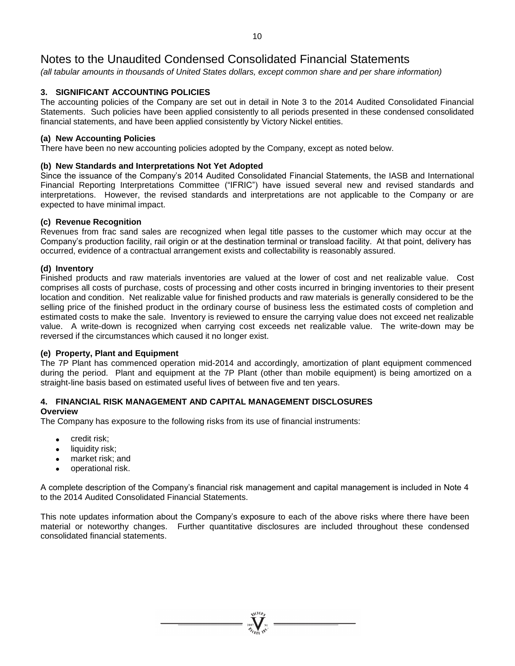*(all tabular amounts in thousands of United States dollars, except common share and per share information)*

## **3. SIGNIFICANT ACCOUNTING POLICIES**

The accounting policies of the Company are set out in detail in Note 3 to the 2014 Audited Consolidated Financial Statements. Such policies have been applied consistently to all periods presented in these condensed consolidated financial statements, and have been applied consistently by Victory Nickel entities.

### **(a) New Accounting Policies**

There have been no new accounting policies adopted by the Company, except as noted below.

#### **(b) New Standards and Interpretations Not Yet Adopted**

Since the issuance of the Company's 2014 Audited Consolidated Financial Statements, the IASB and International Financial Reporting Interpretations Committee ("IFRIC") have issued several new and revised standards and interpretations. However, the revised standards and interpretations are not applicable to the Company or are expected to have minimal impact.

#### **(c) Revenue Recognition**

Revenues from frac sand sales are recognized when legal title passes to the customer which may occur at the Company's production facility, rail origin or at the destination terminal or transload facility. At that point, delivery has occurred, evidence of a contractual arrangement exists and collectability is reasonably assured.

#### **(d) Inventory**

Finished products and raw materials inventories are valued at the lower of cost and net realizable value. Cost comprises all costs of purchase, costs of processing and other costs incurred in bringing inventories to their present location and condition. Net realizable value for finished products and raw materials is generally considered to be the selling price of the finished product in the ordinary course of business less the estimated costs of completion and estimated costs to make the sale. Inventory is reviewed to ensure the carrying value does not exceed net realizable value. A write-down is recognized when carrying cost exceeds net realizable value. The write-down may be reversed if the circumstances which caused it no longer exist.

### **(e) Property, Plant and Equipment**

The 7P Plant has commenced operation mid-2014 and accordingly, amortization of plant equipment commenced during the period. Plant and equipment at the 7P Plant (other than mobile equipment) is being amortized on a straight-line basis based on estimated useful lives of between five and ten years.

#### **4. FINANCIAL RISK MANAGEMENT AND CAPITAL MANAGEMENT DISCLOSURES Overview**

The Company has exposure to the following risks from its use of financial instruments:

- credit risk;
- liquidity risk;
- market risk; and
- operational risk.

A complete description of the Company's financial risk management and capital management is included in Note 4 to the 2014 Audited Consolidated Financial Statements.

This note updates information about the Company's exposure to each of the above risks where there have been material or noteworthy changes. Further quantitative disclosures are included throughout these condensed consolidated financial statements.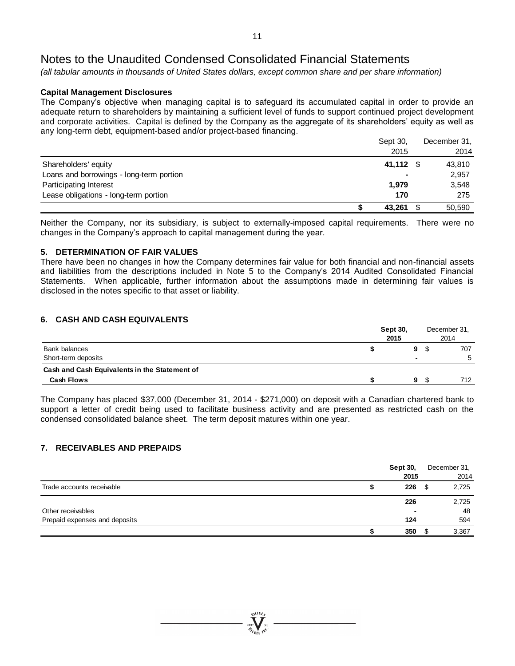*(all tabular amounts in thousands of United States dollars, except common share and per share information)*

# **Capital Management Disclosures**

The Company's objective when managing capital is to safeguard its accumulated capital in order to provide an adequate return to shareholders by maintaining a sufficient level of funds to support continued project development and corporate activities. Capital is defined by the Company as the aggregate of its shareholders' equity as well as any long-term debt, equipment-based and/or project-based financing.

|                                          | Sept 30,  | December 31, |
|------------------------------------------|-----------|--------------|
|                                          | 2015      | 2014         |
| Shareholders' equity                     | 41,112 \$ | 43,810       |
| Loans and borrowings - long-term portion |           | 2,957        |
| Participating Interest                   | 1,979     | 3,548        |
| Lease obligations - long-term portion    | 170       | 275          |
|                                          | 43,261    | 50,590       |

Neither the Company, nor its subsidiary, is subject to externally-imposed capital requirements. There were no changes in the Company's approach to capital management during the year.

### **5. DETERMINATION OF FAIR VALUES**

There have been no changes in how the Company determines fair value for both financial and non-financial assets and liabilities from the descriptions included in Note 5 to the Company's 2014 Audited Consolidated Financial Statements. When applicable, further information about the assumptions made in determining fair values is disclosed in the notes specific to that asset or liability.

# **6. CASH AND CASH EQUIVALENTS**

|                                               | <b>Sept 30,</b><br>2015 | December 31.<br>2014 |
|-----------------------------------------------|-------------------------|----------------------|
| <b>Bank balances</b>                          | 9                       | 707                  |
| Short-term deposits                           | -                       | 5                    |
| Cash and Cash Equivalents in the Statement of |                         |                      |
| <b>Cash Flows</b>                             | 9                       | 712.                 |

The Company has placed \$37,000 (December 31, 2014 - \$271,000) on deposit with a Canadian chartered bank to support a letter of credit being used to facilitate business activity and are presented as restricted cash on the condensed consolidated balance sheet. The term deposit matures within one year.

# **7. RECEIVABLES AND PREPAIDS**

|                               | <b>Sept 30,</b><br>2015 | December 31,<br>2014 |
|-------------------------------|-------------------------|----------------------|
| Trade accounts receivable     | 226                     | \$<br>2,725          |
|                               | 226                     | 2,725                |
| Other receivables             | -                       | 48                   |
| Prepaid expenses and deposits | 124                     | 594                  |
|                               | 350                     | 3,367                |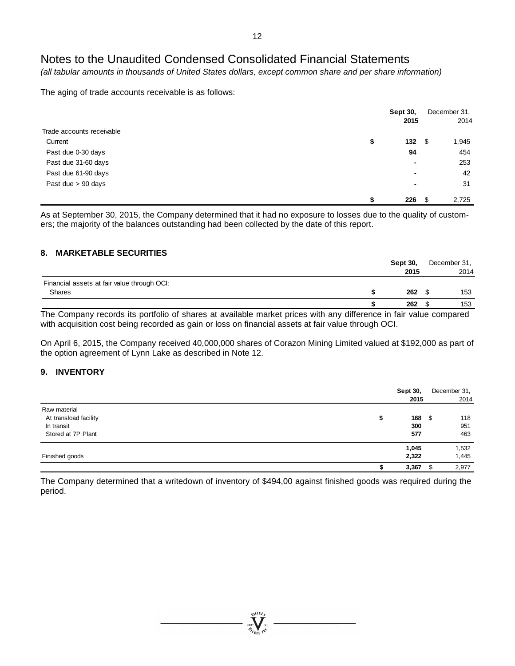*(all tabular amounts in thousands of United States dollars, except common share and per share information)*

The aging of trade accounts receivable is as follows:

|                           | <b>Sept 30,</b> |    | December 31. |
|---------------------------|-----------------|----|--------------|
|                           | 2015            |    | 2014         |
| Trade accounts receivable |                 |    |              |
| Current                   | \$<br>132       | \$ | 1,945        |
| Past due 0-30 days        | 94              |    | 454          |
| Past due 31-60 days       | $\blacksquare$  |    | 253          |
| Past due 61-90 days       | ۰               |    | 42           |
| Past due > 90 days        | $\blacksquare$  |    | 31           |
|                           | 226             | -S | 2,725        |

As at September 30, 2015, the Company determined that it had no exposure to losses due to the quality of customers; the majority of the balances outstanding had been collected by the date of this report.

### **8. MARKETABLE SECURITIES**

|                                             |   | <b>Sept 30.</b> | December 31, |
|---------------------------------------------|---|-----------------|--------------|
|                                             |   | 2015            | 2014         |
| Financial assets at fair value through OCI: |   |                 |              |
| Shares                                      |   | 262             | 153          |
|                                             |   | 262             | 153          |
|                                             | . |                 |              |

The Company records its portfolio of shares at available market prices with any difference in fair value compared with acquisition cost being recorded as gain or loss on financial assets at fair value through OCI.

On April 6, 2015, the Company received 40,000,000 shares of Corazon Mining Limited valued at \$192,000 as part of the option agreement of Lynn Lake as described in Note 12.

### **9. INVENTORY**

|                                                                           | <b>Sept 30,</b><br>2015 |      | December 31,              |
|---------------------------------------------------------------------------|-------------------------|------|---------------------------|
| Raw material<br>At transload facility<br>In transit<br>Stored at 7P Plant | 168<br>ъ<br>300<br>577  | - \$ | 2014<br>118<br>951<br>463 |
| Finished goods                                                            | 1,045<br>2,322<br>3,367 | ፍ    | 1,532<br>1,445<br>2,977   |

The Company determined that a writedown of inventory of \$494,00 against finished goods was required during the period.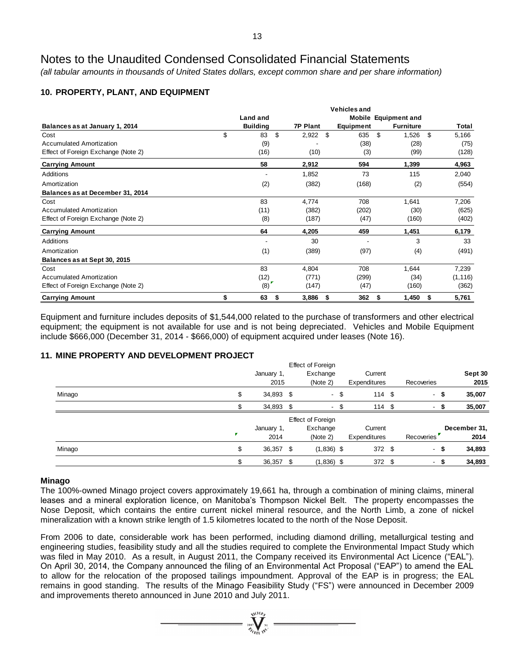*(all tabular amounts in thousands of United States dollars, except common share and per share information)*

# **10. PROPERTY, PLANT, AND EQUIPMENT**

|                                     | Land and        |                 |           | Mobile Equipment and |             |
|-------------------------------------|-----------------|-----------------|-----------|----------------------|-------------|
| Balances as at January 1, 2014      | <b>Building</b> | <b>7P Plant</b> | Equipment | <b>Furniture</b>     | Total       |
| Cost                                | \$<br>\$<br>83  | 2,922           | \$<br>635 | \$<br>1,526          | \$<br>5,166 |
| <b>Accumulated Amortization</b>     | (9)             |                 | (38)      | (28)                 | (75)        |
| Effect of Foreign Exchange (Note 2) | (16)            | (10)            | (3)       | (99)                 | (128)       |
| <b>Carrying Amount</b>              | 58              | 2,912           | 594       | 1,399                | 4,963       |
| Additions                           |                 | 1,852           | 73        | 115                  | 2,040       |
| Amortization                        | (2)             | (382)           | (168)     | (2)                  | (554)       |
| Balances as at December 31, 2014    |                 |                 |           |                      |             |
| Cost                                | 83              | 4,774           | 708       | 1,641                | 7,206       |
| <b>Accumulated Amortization</b>     | (11)            | (382)           | (202)     | (30)                 | (625)       |
| Effect of Foreign Exchange (Note 2) | (8)             | (187)           | (47)      | (160)                | (402)       |
| <b>Carrying Amount</b>              | 64              | 4,205           | 459       | 1,451                | 6,179       |
| Additions                           |                 | 30              |           | 3                    | 33          |
| Amortization                        | (1)             | (389)           | (97)      | (4)                  | (491)       |
| Balances as at Sept 30, 2015        |                 |                 |           |                      |             |
| Cost                                | 83              | 4,804           | 708       | 1,644                | 7,239       |
| <b>Accumulated Amortization</b>     | (12)            | (771)           | (299)     | (34)                 | (1, 116)    |
| Effect of Foreign Exchange (Note 2) | (8)             | (147)           | (47)      | (160)                | (362)       |
| <b>Carrying Amount</b>              | \$<br>63<br>S   | 3,886           | 362<br>\$ | 1,450<br>S           | 5,761<br>S  |

Equipment and furniture includes deposits of \$1,544,000 related to the purchase of transformers and other electrical equipment; the equipment is not available for use and is not being depreciated. Vehicles and Mobile Equipment include \$666,000 (December 31, 2014 - \$666,000) of equipment acquired under leases (Note 16).

# **11. MINE PROPERTY AND DEVELOPMENT PROJECT**

|        |              |            | <b>Effect of Foreign</b> |      |              |            |      |              |
|--------|--------------|------------|--------------------------|------|--------------|------------|------|--------------|
|        |              | January 1, | Exchange                 |      | Current      |            |      | Sept 30      |
|        |              | 2015       | (Note 2)                 |      | Expenditures | Recoveries |      | 2015         |
| Minago | \$           | 34,893 \$  |                          | - \$ | 114S         |            | - \$ | 35,007       |
|        |              | 34,893 \$  | ٠                        |      | 114S         |            | - \$ | 35,007       |
|        |              |            | <b>Effect of Foreign</b> |      |              |            |      |              |
|        |              | January 1, | Exchange                 |      | Current      |            |      | December 31, |
|        | $\pmb{\tau}$ | 2014       | (Note 2)                 |      | Expenditures | Recoveries |      | 2014         |
| Minago | \$           | 36,357 \$  | $(1,836)$ \$             |      | 372 \$       |            | - \$ | 34,893       |
|        |              | 36,357     | $(1,836)$ \$             |      | 372 \$       | - S        |      | 34,893       |

### **Minago**

The 100%-owned Minago project covers approximately 19,661 ha, through a combination of mining claims, mineral leases and a mineral exploration licence, on Manitoba's Thompson Nickel Belt. The property encompasses the Nose Deposit, which contains the entire current nickel mineral resource, and the North Limb, a zone of nickel mineralization with a known strike length of 1.5 kilometres located to the north of the Nose Deposit.

From 2006 to date, considerable work has been performed, including diamond drilling, metallurgical testing and engineering studies, feasibility study and all the studies required to complete the Environmental Impact Study which was filed in May 2010. As a result, in August 2011, the Company received its Environmental Act Licence ("EAL"). On April 30, 2014, the Company announced the filing of an Environmental Act Proposal ("EAP") to amend the EAL to allow for the relocation of the proposed tailings impoundment. Approval of the EAP is in progress; the EAL remains in good standing. The results of the Minago Feasibility Study ("FS") were announced in December 2009 and improvements thereto announced in June 2010 and July 2011.

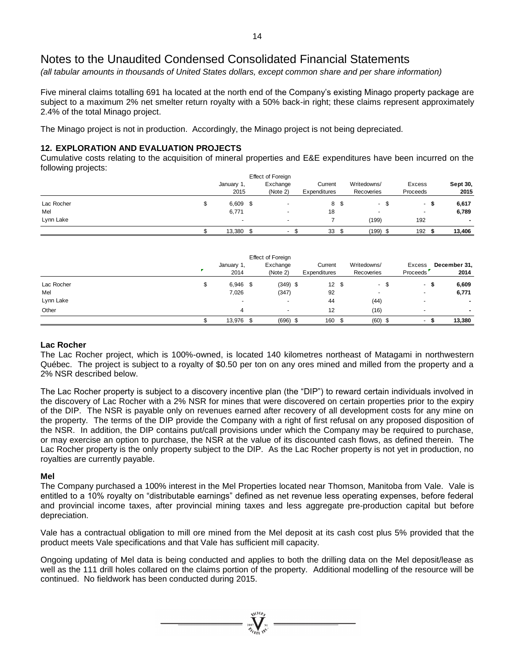*(all tabular amounts in thousands of United States dollars, except common share and per share information)*

Five mineral claims totalling 691 ha located at the north end of the Company's existing Minago property package are subject to a maximum 2% net smelter return royalty with a 50% back-in right; these claims represent approximately 2.4% of the total Minago project.

The Minago project is not in production. Accordingly, the Minago project is not being depreciated.

## **12. EXPLORATION AND EVALUATION PROJECTS**

Cumulative costs relating to the acquisition of mineral properties and E&E expenditures have been incurred on the following projects:

|            |   |                          | Effect of Foreign    |                         |      |                           |                          |                         |
|------------|---|--------------------------|----------------------|-------------------------|------|---------------------------|--------------------------|-------------------------|
|            |   | January 1,<br>2015       | Exchange<br>(Note 2) | Current<br>Expenditures |      | Writedowns/<br>Recoveries | Excess<br>Proceeds       | <b>Sept 30,</b><br>2015 |
| Lac Rocher | จ | $6,609$ \$               |                      |                         | 8 \$ | S<br>$\sim$               | -                        | 6,617                   |
| Mel        |   | 6,771                    |                      | 18                      |      | $\sim$                    | $\overline{\phantom{a}}$ | 6,789                   |
| Lynn Lake  |   | $\overline{\phantom{a}}$ |                      |                         |      | (199)                     | 192                      |                         |
|            |   | 13,380                   | $\sim$<br>- 30       | 33                      | - \$ | (199) \$                  | 192                      | 13,406                  |

|                  | January 1,<br>2014 | <b>Effect of Foreign</b><br>Exchange<br>(Note 2) | Current<br>Expenditures | Writedowns/<br>Recoveries        | Excess<br>Proceeds       |      | December 31,<br>2014 |
|------------------|--------------------|--------------------------------------------------|-------------------------|----------------------------------|--------------------------|------|----------------------|
| Lac Rocher       | \$<br>$6,946$ \$   | $(349)$ \$                                       | 12S                     | - \$<br>$\sim$                   | $\sim$                   | - 55 | 6,609                |
| Mel<br>Lynn Lake | 7,026<br>۰         | (347)<br>$\overline{\phantom{a}}$                | 92<br>44                | $\overline{\phantom{a}}$<br>(44) | $\overline{\phantom{a}}$ |      | 6,771                |
| Other            | 4                  |                                                  | 12                      | (16)                             |                          |      |                      |
|                  | 13,976 \$          | $(696)$ \$                                       | 160 \$                  | $(60)$ \$                        |                          |      | 13,380               |

### **Lac Rocher**

The Lac Rocher project, which is 100%-owned, is located 140 kilometres northeast of Matagami in northwestern Québec. The project is subject to a royalty of \$0.50 per ton on any ores mined and milled from the property and a 2% NSR described below.

The Lac Rocher property is subject to a discovery incentive plan (the "DIP") to reward certain individuals involved in the discovery of Lac Rocher with a 2% NSR for mines that were discovered on certain properties prior to the expiry of the DIP. The NSR is payable only on revenues earned after recovery of all development costs for any mine on the property. The terms of the DIP provide the Company with a right of first refusal on any proposed disposition of the NSR. In addition, the DIP contains put/call provisions under which the Company may be required to purchase, or may exercise an option to purchase, the NSR at the value of its discounted cash flows, as defined therein. The Lac Rocher property is the only property subject to the DIP. As the Lac Rocher property is not yet in production, no royalties are currently payable.

### **Mel**

The Company purchased a 100% interest in the Mel Properties located near Thomson, Manitoba from Vale. Vale is entitled to a 10% royalty on "distributable earnings" defined as net revenue less operating expenses, before federal and provincial income taxes, after provincial mining taxes and less aggregate pre-production capital but before depreciation.

Vale has a contractual obligation to mill ore mined from the Mel deposit at its cash cost plus 5% provided that the product meets Vale specifications and that Vale has sufficient mill capacity.

Ongoing updating of Mel data is being conducted and applies to both the drilling data on the Mel deposit/lease as well as the 111 drill holes collared on the claims portion of the property. Additional modelling of the resource will be continued. No fieldwork has been conducted during 2015.

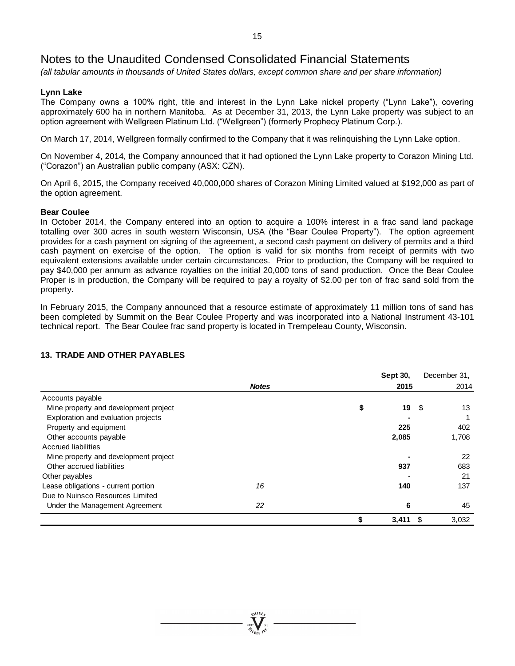*(all tabular amounts in thousands of United States dollars, except common share and per share information)*

### **Lynn Lake**

The Company owns a 100% right, title and interest in the Lynn Lake nickel property ("Lynn Lake"), covering approximately 600 ha in northern Manitoba. As at December 31, 2013, the Lynn Lake property was subject to an option agreement with Wellgreen Platinum Ltd. ("Wellgreen") (formerly Prophecy Platinum Corp.).

On March 17, 2014, Wellgreen formally confirmed to the Company that it was relinquishing the Lynn Lake option.

On November 4, 2014, the Company announced that it had optioned the Lynn Lake property to Corazon Mining Ltd. ("Corazon") an Australian public company (ASX: CZN).

On April 6, 2015, the Company received 40,000,000 shares of Corazon Mining Limited valued at \$192,000 as part of the option agreement.

### **Bear Coulee**

In October 2014, the Company entered into an option to acquire a 100% interest in a frac sand land package totalling over 300 acres in south western Wisconsin, USA (the "Bear Coulee Property"). The option agreement provides for a cash payment on signing of the agreement, a second cash payment on delivery of permits and a third cash payment on exercise of the option. The option is valid for six months from receipt of permits with two equivalent extensions available under certain circumstances. Prior to production, the Company will be required to pay \$40,000 per annum as advance royalties on the initial 20,000 tons of sand production. Once the Bear Coulee Proper is in production, the Company will be required to pay a royalty of \$2.00 per ton of frac sand sold from the property.

In February 2015, the Company announced that a resource estimate of approximately 11 million tons of sand has been completed by Summit on the Bear Coulee Property and was incorporated into a National Instrument 43-101 technical report. The Bear Coulee frac sand property is located in Trempeleau County, Wisconsin.

|                                       |              | <b>Sept 30.</b> | December 31, |
|---------------------------------------|--------------|-----------------|--------------|
|                                       | <b>Notes</b> | 2015            | 2014         |
| Accounts payable                      |              |                 |              |
| Mine property and development project |              | \$<br>19        | 13<br>- \$   |
| Exploration and evaluation projects   |              |                 |              |
| Property and equipment                |              | 225             | 402          |
| Other accounts payable                |              | 2,085           | 1,708        |
| <b>Accrued liabilities</b>            |              |                 |              |
| Mine property and development project |              |                 | 22           |
| Other accrued liabilities             |              | 937             | 683          |
| Other payables                        |              |                 | 21           |
| Lease obligations - current portion   | 16           | 140             | 137          |
| Due to Nuinsco Resources Limited      |              |                 |              |
| Under the Management Agreement        | 22           | 6               | 45           |
|                                       |              | 3,411           | 3.032<br>-S  |

# **13. TRADE AND OTHER PAYABLES**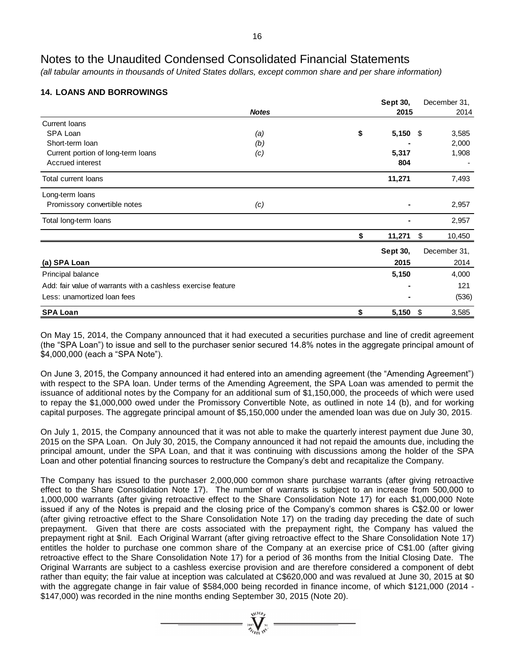*(all tabular amounts in thousands of United States dollars, except common share and per share information)*

# **14. LOANS AND BORROWINGS**

|                                                              |              | Sept 30,         | December 31, |
|--------------------------------------------------------------|--------------|------------------|--------------|
|                                                              | <b>Notes</b> | 2015             | 2014         |
| <b>Current loans</b>                                         |              |                  |              |
| SPA Loan                                                     | (a)          | \$<br>$5,150$ \$ | 3,585        |
| Short-term loan                                              | (b)          |                  | 2,000        |
| Current portion of long-term loans                           | (c)          | 5,317            | 1,908        |
| Accrued interest                                             |              | 804              |              |
| <b>Total current loans</b>                                   |              | 11,271           | 7,493        |
| Long-term loans                                              |              |                  |              |
| Promissory convertible notes                                 | (c)          |                  | 2,957        |
| Total long-term loans                                        |              |                  | 2,957        |
|                                                              |              | \$<br>11,271     | \$<br>10,450 |
|                                                              |              | Sept 30,         | December 31, |
| (a) SPA Loan                                                 |              | 2015             | 2014         |
| Principal balance                                            |              | 5,150            | 4,000        |
| Add: fair value of warrants with a cashless exercise feature |              |                  | 121          |
| Less: unamortized loan fees                                  |              |                  | (536)        |
| <b>SPA Loan</b>                                              |              | \$<br>5,150      | \$<br>3,585  |

On May 15, 2014, the Company announced that it had executed a securities purchase and line of credit agreement (the "SPA Loan") to issue and sell to the purchaser senior secured 14.8% notes in the aggregate principal amount of \$4,000,000 (each a "SPA Note").

On June 3, 2015, the Company announced it had entered into an amending agreement (the "Amending Agreement") with respect to the SPA loan. Under terms of the Amending Agreement, the SPA Loan was amended to permit the issuance of additional notes by the Company for an additional sum of \$1,150,000, the proceeds of which were used to repay the \$1,000,000 owed under the Promissory Convertible Note, as outlined in note 14 (b), and for working capital purposes. The aggregate principal amount of \$5,150,000 under the amended loan was due on July 30, 2015.

On July 1, 2015, the Company announced that it was not able to make the quarterly interest payment due June 30, 2015 on the SPA Loan. On July 30, 2015, the Company announced it had not repaid the amounts due, including the principal amount, under the SPA Loan, and that it was continuing with discussions among the holder of the SPA Loan and other potential financing sources to restructure the Company's debt and recapitalize the Company.

The Company has issued to the purchaser 2,000,000 common share purchase warrants (after giving retroactive effect to the Share Consolidation Note 17). The number of warrants is subject to an increase from 500,000 to 1,000,000 warrants (after giving retroactive effect to the Share Consolidation Note 17) for each \$1,000,000 Note issued if any of the Notes is prepaid and the closing price of the Company's common shares is C\$2.00 or lower (after giving retroactive effect to the Share Consolidation Note 17) on the trading day preceding the date of such prepayment. Given that there are costs associated with the prepayment right, the Company has valued the prepayment right at \$nil. Each Original Warrant (after giving retroactive effect to the Share Consolidation Note 17) entitles the holder to purchase one common share of the Company at an exercise price of C\$1.00 (after giving retroactive effect to the Share Consolidation Note 17) for a period of 36 months from the Initial Closing Date. The Original Warrants are subject to a cashless exercise provision and are therefore considered a component of debt rather than equity; the fair value at inception was calculated at C\$620,000 and was revalued at June 30, 2015 at \$0 with the aggregate change in fair value of \$584,000 being recorded in finance income, of which \$121,000 (2014 - \$147,000) was recorded in the nine months ending September 30, 2015 (Note 20).

 $\sum_{2007}$   $\sum_{N=1}^{N(10)}$   $\sum_{N=1}^{N}$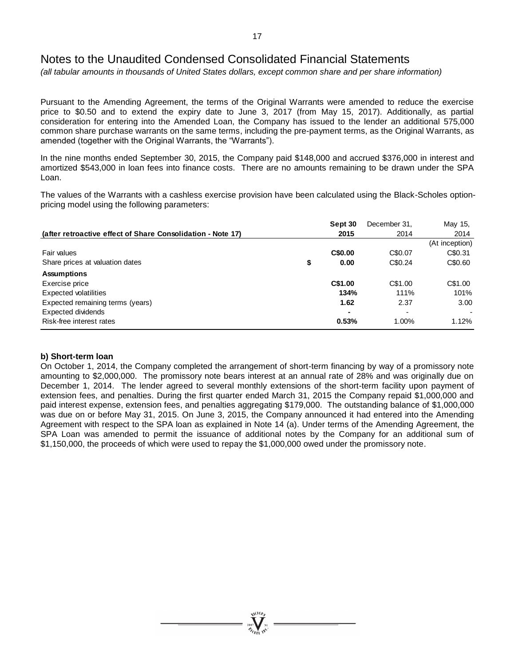*(all tabular amounts in thousands of United States dollars, except common share and per share information)*

Pursuant to the Amending Agreement, the terms of the Original Warrants were amended to reduce the exercise price to \$0.50 and to extend the expiry date to June 3, 2017 (from May 15, 2017). Additionally, as partial consideration for entering into the Amended Loan, the Company has issued to the lender an additional 575,000 common share purchase warrants on the same terms, including the pre-payment terms, as the Original Warrants, as amended (together with the Original Warrants, the "Warrants").

In the nine months ended September 30, 2015, the Company paid \$148,000 and accrued \$376,000 in interest and amortized \$543,000 in loan fees into finance costs. There are no amounts remaining to be drawn under the SPA Loan.

The values of the Warrants with a cashless exercise provision have been calculated using the Black-Scholes optionpricing model using the following parameters:

|                                                             | Sept 30    | December 31, | May 15,        |
|-------------------------------------------------------------|------------|--------------|----------------|
| (after retroactive effect of Share Consolidation - Note 17) | 2015       | 2014         | 2014           |
|                                                             |            |              | (At inception) |
| Fair values                                                 | C\$0.00    | C\$0.07      | C\$0.31        |
| Share prices at valuation dates                             | \$<br>0.00 | C\$0.24      | C\$0.60        |
| <b>Assumptions</b>                                          |            |              |                |
| Exercise price                                              | C\$1.00    | C\$1.00      | C\$1.00        |
| Expected volatilities                                       | 134%       | 111%         | 101%           |
| Expected remaining terms (years)                            | 1.62       | 2.37         | 3.00           |
| Expected dividends                                          |            |              |                |
| Risk-free interest rates                                    | 0.53%      | 1.00%        | 1.12%          |

### **b) Short-term loan**

On October 1, 2014, the Company completed the arrangement of short-term financing by way of a promissory note amounting to \$2,000,000. The promissory note bears interest at an annual rate of 28% and was originally due on December 1, 2014. The lender agreed to several monthly extensions of the short-term facility upon payment of extension fees, and penalties. During the first quarter ended March 31, 2015 the Company repaid \$1,000,000 and paid interest expense, extension fees, and penalties aggregating \$179,000. The outstanding balance of \$1,000,000 was due on or before May 31, 2015. On June 3, 2015, the Company announced it had entered into the Amending Agreement with respect to the SPA loan as explained in Note 14 (a). Under terms of the Amending Agreement, the SPA Loan was amended to permit the issuance of additional notes by the Company for an additional sum of \$1,150,000, the proceeds of which were used to repay the \$1,000,000 owed under the promissory note.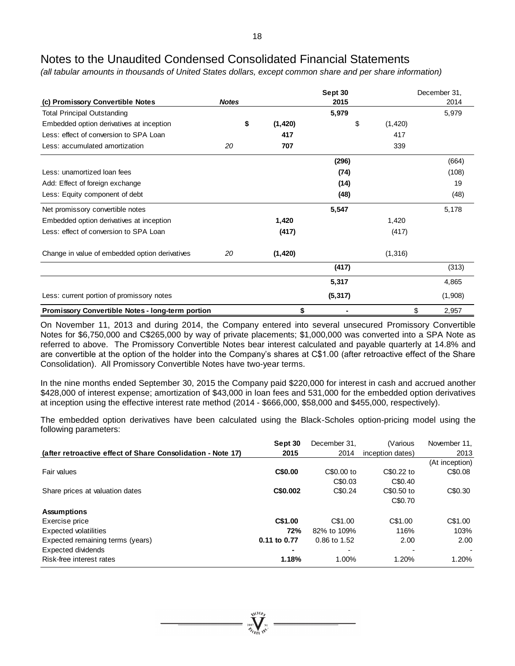*(all tabular amounts in thousands of United States dollars, except common share and per share information)*

|                                                         |              |          | Sept 30  |          | December 31, |
|---------------------------------------------------------|--------------|----------|----------|----------|--------------|
| (c) Promissory Convertible Notes                        | <b>Notes</b> |          | 2015     |          | 2014         |
| <b>Total Principal Outstanding</b>                      |              |          | 5,979    |          | 5,979        |
| Embedded option derivatives at inception                | \$           | (1, 420) | \$       | (1, 420) |              |
| Less: effect of conversion to SPA Loan                  |              | 417      |          | 417      |              |
| Less: accumulated amortization                          | 20           | 707      |          | 339      |              |
|                                                         |              |          | (296)    |          | (664)        |
| Less: unamortized loan fees                             |              |          | (74)     |          | (108)        |
| Add: Effect of foreign exchange                         |              |          | (14)     |          | 19           |
| Less: Equity component of debt                          |              |          | (48)     |          | (48)         |
| Net promissory convertible notes                        |              |          | 5,547    |          | 5,178        |
| Embedded option derivatives at inception                |              | 1,420    |          | 1,420    |              |
| Less: effect of conversion to SPA Loan                  |              | (417)    |          | (417)    |              |
| Change in value of embedded option derivatives          | 20           | (1, 420) |          | (1, 316) |              |
|                                                         |              |          | (417)    |          | (313)        |
|                                                         |              |          | 5,317    |          | 4,865        |
| Less: current portion of promissory notes               |              |          | (5, 317) |          | (1,908)      |
| <b>Promissory Convertible Notes - long-term portion</b> |              | \$       |          |          | \$<br>2,957  |

On November 11, 2013 and during 2014, the Company entered into several unsecured Promissory Convertible Notes for \$6,750,000 and C\$265,000 by way of private placements; \$1,000,000 was converted into a SPA Note as referred to above. The Promissory Convertible Notes bear interest calculated and payable quarterly at 14.8% and are convertible at the option of the holder into the Company's shares at C\$1.00 (after retroactive effect of the Share Consolidation). All Promissory Convertible Notes have two-year terms.

In the nine months ended September 30, 2015 the Company paid \$220,000 for interest in cash and accrued another \$428,000 of interest expense; amortization of \$43,000 in loan fees and 531,000 for the embedded option derivatives at inception using the effective interest rate method (2014 - \$666,000, \$58,000 and \$455,000, respectively).

The embedded option derivatives have been calculated using the Black-Scholes option-pricing model using the following parameters:

|                                                             | Sept 30      | December 31. | (Various         | November 11.             |
|-------------------------------------------------------------|--------------|--------------|------------------|--------------------------|
| (after retroactive effect of Share Consolidation - Note 17) | 2015         | 2014         | inception dates) | 2013                     |
|                                                             |              |              |                  | (At inception)           |
| Fair values                                                 | C\$0.00      | C\$0.00 to   | C\$0.22 to       | C\$0.08                  |
|                                                             |              | C\$0.03      | C\$0.40          |                          |
| Share prices at valuation dates                             | C\$0.002     | C\$0.24      | C\$0.50 to       | C\$0.30                  |
|                                                             |              |              | C\$0.70          |                          |
| <b>Assumptions</b>                                          |              |              |                  |                          |
| Exercise price                                              | C\$1.00      | C\$1.00      | C\$1.00          | C\$1.00                  |
| <b>Expected volatilities</b>                                | 72%          | 82% to 109%  | 116%             | 103%                     |
| Expected remaining terms (years)                            | 0.11 to 0.77 | 0.86 to 1.52 | 2.00             | 2.00                     |
| Expected dividends                                          |              |              |                  | $\overline{\phantom{a}}$ |
| Risk-free interest rates                                    | 1.18%        | 1.00%        | 1.20%            | 1.20%                    |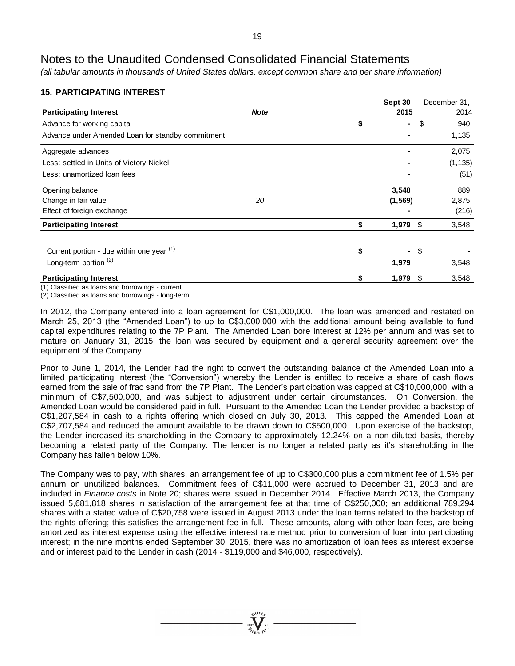*(all tabular amounts in thousands of United States dollars, except common share and per share information)*

# **15. PARTICIPATING INTEREST**

|                                                              |             | Sept 30              | December 31. |
|--------------------------------------------------------------|-------------|----------------------|--------------|
| <b>Participating Interest</b>                                | <b>Note</b> | 2015                 | 2014         |
| Advance for working capital                                  |             | \$<br>$\blacksquare$ | \$<br>940    |
| Advance under Amended Loan for standby commitment            |             |                      | 1,135        |
| Aggregate advances                                           |             |                      | 2,075        |
| Less: settled in Units of Victory Nickel                     |             |                      | (1, 135)     |
| Less: unamortized loan fees                                  |             |                      | (51)         |
| Opening balance                                              |             | 3,548                | 889          |
| Change in fair value                                         | 20          | (1, 569)             | 2,875        |
| Effect of foreign exchange                                   |             |                      | (216)        |
| <b>Participating Interest</b>                                |             | 1,979                | \$<br>3,548  |
|                                                              |             |                      |              |
| Current portion - due within one year (1)                    |             | \$<br>Ξ.             | \$           |
| Long-term portion $(2)$                                      |             | 1,979                | 3,548        |
| <b>Participating Interest</b><br>$(1)$ $\bigcap$ $(1)$ $(2)$ |             | 1,979                | \$<br>3,548  |

(1) Classified as loans and borrowings - current

(2) Classified as loans and borrowings - long-term

In 2012, the Company entered into a loan agreement for C\$1,000,000. The loan was amended and restated on March 25, 2013 (the "Amended Loan") to up to C\$3,000,000 with the additional amount being available to fund capital expenditures relating to the 7P Plant. The Amended Loan bore interest at 12% per annum and was set to mature on January 31, 2015; the loan was secured by equipment and a general security agreement over the equipment of the Company.

Prior to June 1, 2014, the Lender had the right to convert the outstanding balance of the Amended Loan into a limited participating interest (the "Conversion") whereby the Lender is entitled to receive a share of cash flows earned from the sale of frac sand from the 7P Plant. The Lender's participation was capped at C\$10,000,000, with a minimum of C\$7,500,000, and was subject to adjustment under certain circumstances. On Conversion, the Amended Loan would be considered paid in full. Pursuant to the Amended Loan the Lender provided a backstop of C\$1,207,584 in cash to a rights offering which closed on July 30, 2013. This capped the Amended Loan at C\$2,707,584 and reduced the amount available to be drawn down to C\$500,000. Upon exercise of the backstop, the Lender increased its shareholding in the Company to approximately 12.24% on a non-diluted basis, thereby becoming a related party of the Company. The lender is no longer a related party as it's shareholding in the Company has fallen below 10%.

The Company was to pay, with shares, an arrangement fee of up to C\$300,000 plus a commitment fee of 1.5% per annum on unutilized balances. Commitment fees of C\$11,000 were accrued to December 31, 2013 and are included in *Finance costs* in Note 20; shares were issued in December 2014. Effective March 2013, the Company issued 5,681,818 shares in satisfaction of the arrangement fee at that time of C\$250,000; an additional 789,294 shares with a stated value of C\$20,758 were issued in August 2013 under the loan terms related to the backstop of the rights offering; this satisfies the arrangement fee in full. These amounts, along with other loan fees, are being amortized as interest expense using the effective interest rate method prior to conversion of loan into participating interest; in the nine months ended September 30, 2015, there was no amortization of loan fees as interest expense and or interest paid to the Lender in cash (2014 - \$119,000 and \$46,000, respectively).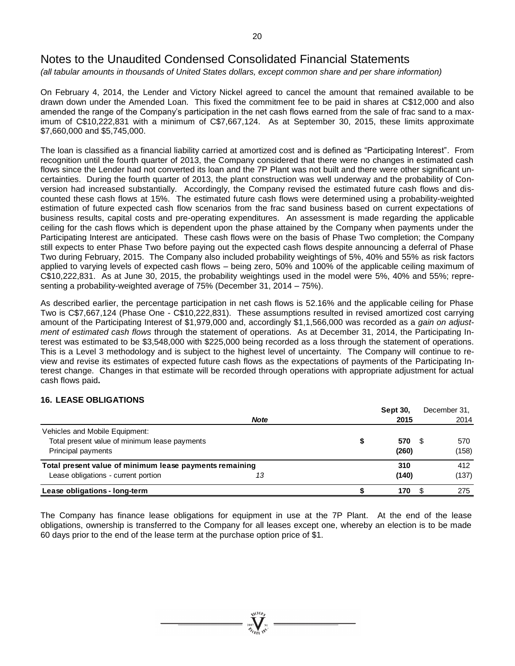*(all tabular amounts in thousands of United States dollars, except common share and per share information)*

On February 4, 2014, the Lender and Victory Nickel agreed to cancel the amount that remained available to be drawn down under the Amended Loan. This fixed the commitment fee to be paid in shares at C\$12,000 and also amended the range of the Company's participation in the net cash flows earned from the sale of frac sand to a maximum of C\$10,222,831 with a minimum of C\$7,667,124. As at September 30, 2015, these limits approximate \$7,660,000 and \$5,745,000.

The loan is classified as a financial liability carried at amortized cost and is defined as "Participating Interest". From recognition until the fourth quarter of 2013, the Company considered that there were no changes in estimated cash flows since the Lender had not converted its loan and the 7P Plant was not built and there were other significant uncertainties. During the fourth quarter of 2013, the plant construction was well underway and the probability of Conversion had increased substantially. Accordingly, the Company revised the estimated future cash flows and discounted these cash flows at 15%. The estimated future cash flows were determined using a probability-weighted estimation of future expected cash flow scenarios from the frac sand business based on current expectations of business results, capital costs and pre-operating expenditures. An assessment is made regarding the applicable ceiling for the cash flows which is dependent upon the phase attained by the Company when payments under the Participating Interest are anticipated. These cash flows were on the basis of Phase Two completion; the Company still expects to enter Phase Two before paying out the expected cash flows despite announcing a deferral of Phase Two during February, 2015. The Company also included probability weightings of 5%, 40% and 55% as risk factors applied to varying levels of expected cash flows – being zero, 50% and 100% of the applicable ceiling maximum of C\$10,222,831. As at June 30, 2015, the probability weightings used in the model were 5%, 40% and 55%; representing a probability-weighted average of 75% (December 31, 2014 – 75%).

As described earlier, the percentage participation in net cash flows is 52.16% and the applicable ceiling for Phase Two is C\$7,667,124 (Phase One - C\$10,222,831). These assumptions resulted in revised amortized cost carrying amount of the Participating Interest of \$1,979,000 and, accordingly \$1,1,566,000 was recorded as a *gain on adjustment of estimated cash flows* through the statement of operations. As at December 31, 2014, the Participating Interest was estimated to be \$3,548,000 with \$225,000 being recorded as a loss through the statement of operations. This is a Level 3 methodology and is subject to the highest level of uncertainty. The Company will continue to review and revise its estimates of expected future cash flows as the expectations of payments of the Participating Interest change. Changes in that estimate will be recorded through operations with appropriate adjustment for actual cash flows paid**.**

# **16. LEASE OBLIGATIONS**

|                                                         |             | <b>Sept 30.</b> | December 31. |
|---------------------------------------------------------|-------------|-----------------|--------------|
|                                                         | <b>Note</b> | 2015            | 2014         |
| Vehicles and Mobile Equipment:                          |             |                 |              |
| Total present value of minimum lease payments           |             | 570             | 570          |
| Principal payments                                      |             | (260)           | (158)        |
| Total present value of minimum lease payments remaining |             | 310             | 412          |
| Lease obligations - current portion                     | 13          | (140)           | (137)        |
| Lease obligations - long-term                           |             | 170             | 275          |

The Company has finance lease obligations for equipment in use at the 7P Plant. At the end of the lease obligations, ownership is transferred to the Company for all leases except one, whereby an election is to be made 60 days prior to the end of the lease term at the purchase option price of \$1.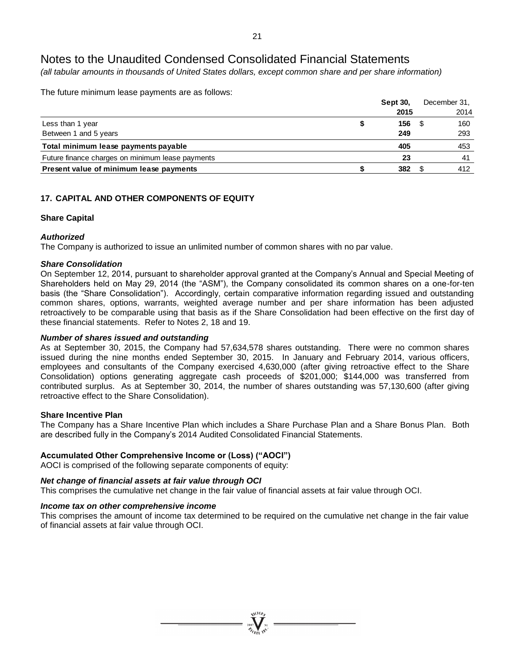*(all tabular amounts in thousands of United States dollars, except common share and per share information)*

The future minimum lease payments are as follows:

|                                                  | <b>Sept 30.</b> | December 31, |
|--------------------------------------------------|-----------------|--------------|
|                                                  | 2015            | 2014         |
| Less than 1 year                                 | 156             | 160          |
| Between 1 and 5 years                            | 249             | 293          |
| Total minimum lease payments payable             | 405             | 453          |
| Future finance charges on minimum lease payments | 23              | 41           |
| Present value of minimum lease payments          | 382             | 412          |

# **17. CAPITAL AND OTHER COMPONENTS OF EQUITY**

# **Share Capital**

# *Authorized*

The Company is authorized to issue an unlimited number of common shares with no par value.

### *Share Consolidation*

On September 12, 2014, pursuant to shareholder approval granted at the Company's Annual and Special Meeting of Shareholders held on May 29, 2014 (the "ASM"), the Company consolidated its common shares on a one-for-ten basis (the "Share Consolidation"). Accordingly, certain comparative information regarding issued and outstanding common shares, options, warrants, weighted average number and per share information has been adjusted retroactively to be comparable using that basis as if the Share Consolidation had been effective on the first day of these financial statements. Refer to Notes 2, 18 and 19.

# *Number of shares issued and outstanding*

As at September 30, 2015, the Company had 57,634,578 shares outstanding. There were no common shares issued during the nine months ended September 30, 2015. In January and February 2014, various officers, employees and consultants of the Company exercised 4,630,000 (after giving retroactive effect to the Share Consolidation) options generating aggregate cash proceeds of \$201,000; \$144,000 was transferred from contributed surplus. As at September 30, 2014, the number of shares outstanding was 57,130,600 (after giving retroactive effect to the Share Consolidation).

### **Share Incentive Plan**

The Company has a Share Incentive Plan which includes a Share Purchase Plan and a Share Bonus Plan. Both are described fully in the Company's 2014 Audited Consolidated Financial Statements.

# **Accumulated Other Comprehensive Income or (Loss) ("AOCI")**

AOCI is comprised of the following separate components of equity:

# *Net change of financial assets at fair value through OCI*

This comprises the cumulative net change in the fair value of financial assets at fair value through OCI.

# *Income tax on other comprehensive income*

This comprises the amount of income tax determined to be required on the cumulative net change in the fair value of financial assets at fair value through OCI.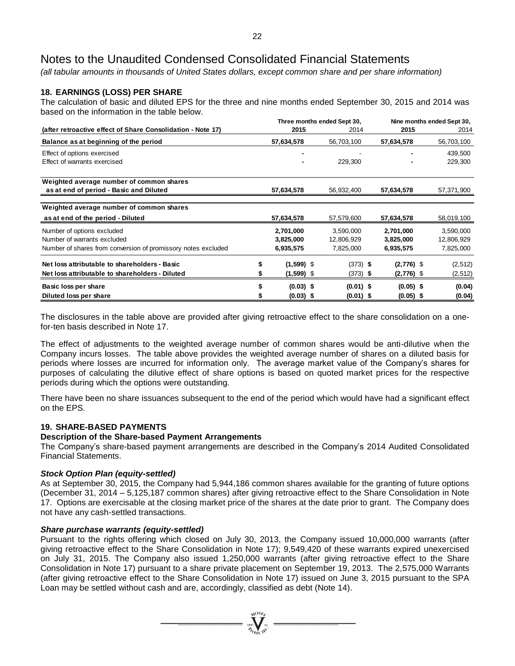*(all tabular amounts in thousands of United States dollars, except common share and per share information)*

# **18. EARNINGS (LOSS) PER SHARE**

The calculation of basic and diluted EPS for the three and nine months ended September 30, 2015 and 2014 was based on the information in the table below.

|                                                               |    |              | Three months ended Sept 30, |  |              | Nine months ended Sept 30, |  |
|---------------------------------------------------------------|----|--------------|-----------------------------|--|--------------|----------------------------|--|
| (after retroactive effect of Share Consolidation - Note 17)   |    | 2015         | 2014                        |  |              | 2014                       |  |
| Balance as at beginning of the period                         |    | 57,634,578   | 56,703,100                  |  | 57,634,578   | 56,703,100                 |  |
| Effect of options exercised                                   |    |              |                             |  |              | 439,500                    |  |
| Effect of warrants exercised                                  |    |              | 229,300                     |  |              | 229,300                    |  |
| Weighted average number of common shares                      |    |              |                             |  |              |                            |  |
| as at end of period - Basic and Diluted                       |    | 57,634,578   | 56,932,400                  |  | 57,634,578   | 57,371,900                 |  |
|                                                               |    |              |                             |  |              |                            |  |
| Weighted average number of common shares                      |    |              |                             |  |              |                            |  |
| as at end of the period - Diluted                             |    | 57,634,578   | 57,579,600                  |  | 57,634,578   | 58,019,100                 |  |
| Number of options excluded                                    |    | 2,701,000    | 3,590,000                   |  | 2,701,000    | 3,590,000                  |  |
| Number of warrants excluded                                   |    | 3,825,000    | 12,806,929                  |  | 3,825,000    | 12,806,929                 |  |
| Number of shares from conversion of promissory notes excluded |    | 6,935,575    | 7,825,000                   |  | 6,935,575    | 7,825,000                  |  |
| Net loss attributable to shareholders - Basic                 | \$ | $(1,599)$ \$ | $(373)$ \$                  |  | $(2,776)$ \$ | (2, 512)                   |  |
| Net loss attributable to shareholders - Diluted               |    | $(1,599)$ \$ | $(373)$ \$                  |  | $(2,776)$ \$ | (2, 512)                   |  |
| Basic loss per share                                          |    | $(0.03)$ \$  | $(0.01)$ \$                 |  | $(0.05)$ \$  | (0.04)                     |  |
| Diluted loss per share                                        |    | $(0.03)$ \$  | $(0.01)$ \$                 |  | $(0.05)$ \$  | (0.04)                     |  |

The disclosures in the table above are provided after giving retroactive effect to the share consolidation on a onefor-ten basis described in Note 17.

The effect of adjustments to the weighted average number of common shares would be anti-dilutive when the Company incurs losses. The table above provides the weighted average number of shares on a diluted basis for periods where losses are incurred for information only. The average market value of the Company's shares for purposes of calculating the dilutive effect of share options is based on quoted market prices for the respective periods during which the options were outstanding.

There have been no share issuances subsequent to the end of the period which would have had a significant effect on the EPS.

# **19. SHARE-BASED PAYMENTS**

### **Description of the Share-based Payment Arrangements**

The Company's share-based payment arrangements are described in the Company's 2014 Audited Consolidated Financial Statements.

### *Stock Option Plan (equity-settled)*

As at September 30, 2015, the Company had 5,944,186 common shares available for the granting of future options (December 31, 2014 – 5,125,187 common shares) after giving retroactive effect to the Share Consolidation in Note 17. Options are exercisable at the closing market price of the shares at the date prior to grant. The Company does not have any cash-settled transactions.

### *Share purchase warrants (equity-settled)*

Pursuant to the rights offering which closed on July 30, 2013, the Company issued 10,000,000 warrants (after giving retroactive effect to the Share Consolidation in Note 17); 9,549,420 of these warrants expired unexercised on July 31, 2015. The Company also issued 1,250,000 warrants (after giving retroactive effect to the Share Consolidation in Note 17) pursuant to a share private placement on September 19, 2013. The 2,575,000 Warrants (after giving retroactive effect to the Share Consolidation in Note 17) issued on June 3, 2015 pursuant to the SPA Loan may be settled without cash and are, accordingly, classified as debt (Note 14).

=  $\sum_{\alpha=1}^{\text{N}}$   $\sum_{\alpha=1}^{\text{N}}$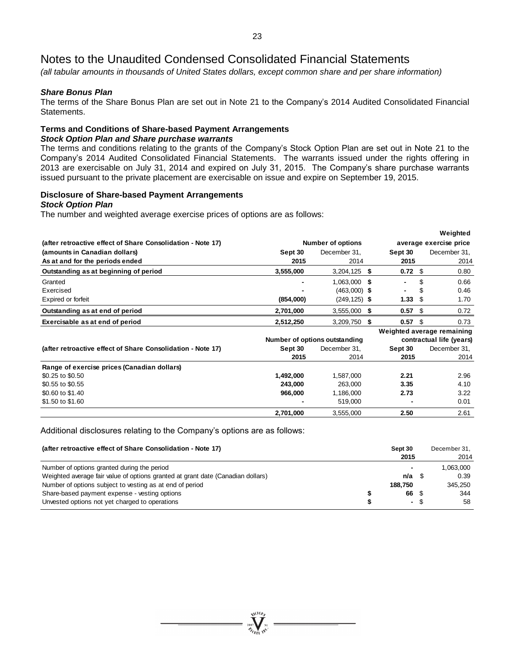*(all tabular amounts in thousands of United States dollars, except common share and per share information)*

### *Share Bonus Plan*

The terms of the Share Bonus Plan are set out in Note 21 to the Company's 2014 Audited Consolidated Financial Statements.

# **Terms and Conditions of Share-based Payment Arrangements**

# *Stock Option Plan and Share purchase warrants*

The terms and conditions relating to the grants of the Company's Stock Option Plan are set out in Note 21 to the Company's 2014 Audited Consolidated Financial Statements. The warrants issued under the rights offering in 2013 are exercisable on July 31, 2014 and expired on July 31, 2015. The Company's share purchase warrants issued pursuant to the private placement are exercisable on issue and expire on September 19, 2015.

# **Disclosure of Share-based Payment Arrangements**

#### *Stock Option Plan*

The number and weighted average exercise prices of options are as follows:

|                                                             |                          |                               |    |           |      | Weighted                   |
|-------------------------------------------------------------|--------------------------|-------------------------------|----|-----------|------|----------------------------|
| (after retroactive effect of Share Consolidation - Note 17) | <b>Number of options</b> | average exercise price        |    |           |      |                            |
| (amounts in Canadian dollars)                               | Sept 30                  | December 31,                  |    | Sept 30   |      | December 31,               |
| As at and for the periods ended                             | 2015                     | 2014                          |    | 2015      |      | 2014                       |
| Outstanding as at beginning of period                       | 3,555,000                | $3,204,125$ \$                |    | $0.72$ \$ |      | 0.80                       |
| Granted                                                     |                          | 1,063,000 \$                  |    |           | \$   | 0.66                       |
| Exercised                                                   |                          | $(463,000)$ \$                |    |           | S    | 0.46                       |
| Expired or forfeit                                          | (854,000)                | $(249, 125)$ \$               |    | 1.33      | \$   | 1.70                       |
| Outstanding as at end of period                             | 2,701,000                | $3,555,000$ \$                |    | 0.57      | - \$ | 0.72                       |
| Exercisable as at end of period                             | 2,512,250                | 3,209,750                     | \$ | 0.57      | \$   | 0.73                       |
|                                                             |                          |                               |    |           |      | Weighted average remaining |
|                                                             |                          | Number of options outstanding |    |           |      | contractual life (years)   |
| (after retroactive effect of Share Consolidation - Note 17) | Sept 30                  | December 31,                  |    | Sept 30   |      | December 31,               |
|                                                             | 2015                     | 2014                          |    | 2015      |      | 2014                       |
| Range of exercise prices (Canadian dollars)                 |                          |                               |    |           |      |                            |
| \$0.25 to \$0.50                                            | 1,492,000                | 1,587,000                     |    | 2.21      |      | 2.96                       |
| \$0.55 to \$0.55                                            | 243,000                  | 263,000                       |    | 3.35      |      | 4.10                       |
| \$0.60 to \$1.40                                            | 966,000                  | 1,186,000                     |    | 2.73      |      | 3.22                       |
| \$1.50 to \$1.60                                            |                          | 519,000                       |    |           |      | 0.01                       |
|                                                             | 2,701,000                | 3,555,000                     |    | 2.50      |      | 2.61                       |

Additional disclosures relating to the Company's options are as follows:

| (after retroactive effect of Share Consolidation - Note 17)                     |         | Sept 30<br>2015          | December 31.<br>2014 |  |
|---------------------------------------------------------------------------------|---------|--------------------------|----------------------|--|
| Number of options granted during the period                                     |         | $\overline{\phantom{0}}$ | 1.063.000            |  |
| Weighted average fair value of options granted at grant date (Canadian dollars) | n/a     |                          | 0.39                 |  |
| Number of options subject to vesting as at end of period                        | 188.750 |                          | 345.250              |  |
| Share-based payment expense - vesting options                                   |         | 66 \$                    | 344                  |  |
| Unvested options not yet charged to operations                                  |         | - \$                     | 58                   |  |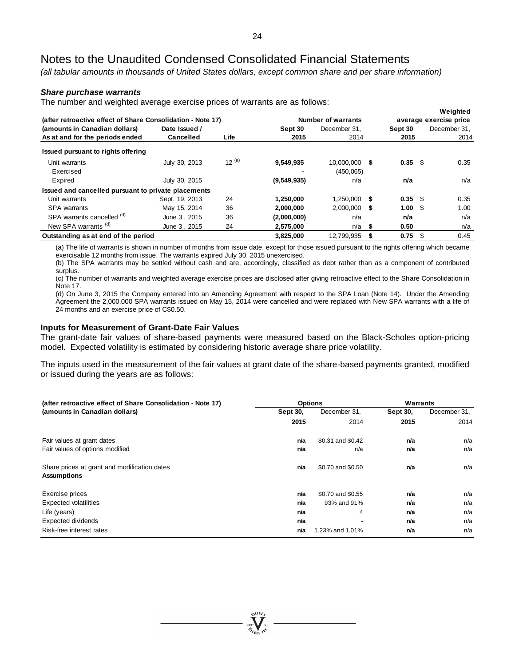*(all tabular amounts in thousands of United States dollars, except common share and per share information)*

#### *Share purchase warrants*

The number and weighted average exercise prices of warrants are as follows:

|                                                             |                |            |             |                    |   |           |     | Weighted               |
|-------------------------------------------------------------|----------------|------------|-------------|--------------------|---|-----------|-----|------------------------|
| (after retroactive effect of Share Consolidation - Note 17) |                |            |             | Number of warrants |   |           |     | average exercise price |
| (amounts in Canadian dollars)                               | Date Issued /  |            | Sept 30     | December 31.       |   | Sept 30   |     | December 31.           |
| As at and for the periods ended                             | Cancelled      | Life       | 2015        | 2014               |   | 2015      |     | 2014                   |
| Issued pursuant to rights offering                          |                |            |             |                    |   |           |     |                        |
| Unit warrants                                               | July 30, 2013  | $12^{(a)}$ | 9,549,935   | 10.000.000         | S | $0.35$ \$ |     | 0.35                   |
| Exercised                                                   |                |            |             | (450,065)          |   |           |     |                        |
| Expired                                                     | July 30, 2015  |            | (9,549,935) | n/a                |   | n/a       |     | n/a                    |
| Issued and cancelled pursuant to private placements         |                |            |             |                    |   |           |     |                        |
| Unit warrants                                               | Sept. 19, 2013 | 24         | 1,250,000   | $1.250,000$ \$     |   | $0.35$ \$ |     | 0.35                   |
| <b>SPA</b> warrants                                         | May 15, 2014   | 36         | 2,000,000   | $2,000,000$ \$     |   | 1.00%     |     | 1.00                   |
| SPA warrants cancelled (d)                                  | June 3, 2015   | 36         | (2,000,000) | n/a                |   | n/a       |     | n/a                    |
| New SPA warrants <sup>(d)</sup>                             | June 3, 2015   | 24         | 2,575,000   | $n/a$ \$           |   | 0.50      |     | n/a                    |
| Outstanding as at end of the period                         |                |            | 3.825.000   | 12.799.935         | S | 0.75      | -\$ | 0.45                   |

(a) The life of warrants is shown in number of months from issue date, except for those issued pursuant to the rights offering which became exercisable 12 months from issue. The warrants expired July 30, 2015 unexercised.

(b) The SPA warrants may be settled without cash and are, accordingly, classified as debt rather than as a component of contributed surplus.

(c) The number of warrants and weighted average exercise prices are disclosed after giving retroactive effect to the Share Consolidation in Note 17.

(d) On June 3, 2015 the Company entered into an Amending Agreement with respect to the SPA Loan (Note 14). Under the Amending Agreement the 2,000,000 SPA warrants issued on May 15, 2014 were cancelled and were replaced with New SPA warrants with a life of 24 months and an exercise price of C\$0.50.

#### **Inputs for Measurement of Grant-Date Fair Values**

The grant-date fair values of share-based payments were measured based on the Black-Scholes option-pricing model. Expected volatility is estimated by considering historic average share price volatility.

The inputs used in the measurement of the fair values at grant date of the share-based payments granted, modified or issued during the years are as follows:

| (after retroactive effect of Share Consolidation - Note 17) | <b>Options</b>  |                          | Warrants        |              |  |
|-------------------------------------------------------------|-----------------|--------------------------|-----------------|--------------|--|
| (amounts in Canadian dollars)                               | <b>Sept 30.</b> | December 31,             | <b>Sept 30.</b> | December 31, |  |
|                                                             | 2015            | 2014                     | 2015            | 2014         |  |
| Fair values at grant dates                                  | n/a             | \$0.31 and \$0.42        | n/a             | n/a          |  |
|                                                             |                 |                          |                 |              |  |
| Fair values of options modified                             | n/a             | n/a                      | n/a             | n/a          |  |
| Share prices at grant and modification dates                | n/a             | \$0.70 and \$0.50        | n/a             | n/a          |  |
| <b>Assumptions</b>                                          |                 |                          |                 |              |  |
| Exercise prices                                             | n/a             | \$0.70 and \$0.55        | n/a             | n/a          |  |
| Expected volatilities                                       | n/a             | 93% and 91%              | n/a             | n/a          |  |
| Life (years)                                                | n/a             | 4                        | n/a             | n/a          |  |
| Expected dividends                                          | n/a             | $\overline{\phantom{0}}$ | n/a             | n/a          |  |
| Risk-free interest rates                                    | n/a             | 1.23% and 1.01%          | n/a             | n/a          |  |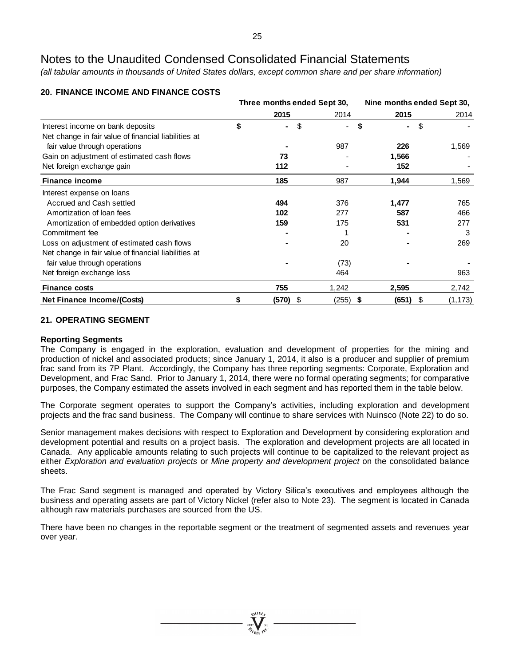*(all tabular amounts in thousands of United States dollars, except common share and per share information)*

|                                                      | Three months ended Sept 30, |          | Nine months ended Sept 30, |       |                |  |
|------------------------------------------------------|-----------------------------|----------|----------------------------|-------|----------------|--|
|                                                      |                             | 2015     | 2014                       | 2015  | 2014           |  |
| Interest income on bank deposits                     | \$                          | \$<br>۰. |                            | \$    | \$             |  |
| Net change in fair value of financial liabilities at |                             |          |                            |       |                |  |
| fair value through operations                        |                             |          | 987                        | 226   | 1,569          |  |
| Gain on adjustment of estimated cash flows           |                             | 73       |                            | 1,566 |                |  |
| Net foreign exchange gain                            |                             | 112      |                            | 152   |                |  |
| <b>Finance income</b>                                |                             | 185      | 987                        | 1,944 | 1,569          |  |
| Interest expense on loans                            |                             |          |                            |       |                |  |
| Accrued and Cash settled                             |                             | 494      | 376                        | 1,477 | 765            |  |
| Amortization of loan fees                            |                             | 102      | 277                        | 587   | 466            |  |
| Amortization of embedded option derivatives          |                             | 159      | 175                        | 531   | 277            |  |
| Commitment fee                                       |                             |          |                            |       | 3              |  |
| Loss on adjustment of estimated cash flows           |                             |          | 20                         |       | 269            |  |
| Net change in fair value of financial liabilities at |                             |          |                            |       |                |  |
| fair value through operations                        |                             |          | (73)                       |       |                |  |
| Net foreign exchange loss                            |                             |          | 464                        |       | 963            |  |
| <b>Finance costs</b>                                 |                             | 755      | 1,242                      | 2,595 | 2,742          |  |
| <b>Net Finance Income/(Costs)</b>                    | \$                          | (570) \$ | (255) \$                   | (651) | \$<br>(1, 173) |  |

# **20. FINANCE INCOME AND FINANCE COSTS**

# **21. OPERATING SEGMENT**

# **Reporting Segments**

The Company is engaged in the exploration, evaluation and development of properties for the mining and production of nickel and associated products; since January 1, 2014, it also is a producer and supplier of premium frac sand from its 7P Plant. Accordingly, the Company has three reporting segments: Corporate, Exploration and Development, and Frac Sand. Prior to January 1, 2014, there were no formal operating segments; for comparative purposes, the Company estimated the assets involved in each segment and has reported them in the table below.

The Corporate segment operates to support the Company's activities, including exploration and development projects and the frac sand business. The Company will continue to share services with Nuinsco (Note 22) to do so.

Senior management makes decisions with respect to Exploration and Development by considering exploration and development potential and results on a project basis. The exploration and development projects are all located in Canada. Any applicable amounts relating to such projects will continue to be capitalized to the relevant project as either *Exploration and evaluation projects* or *Mine property and development project* on the consolidated balance sheets.

The Frac Sand segment is managed and operated by Victory Silica's executives and employees although the business and operating assets are part of Victory Nickel (refer also to Note 23). The segment is located in Canada although raw materials purchases are sourced from the US.

There have been no changes in the reportable segment or the treatment of segmented assets and revenues year over year.

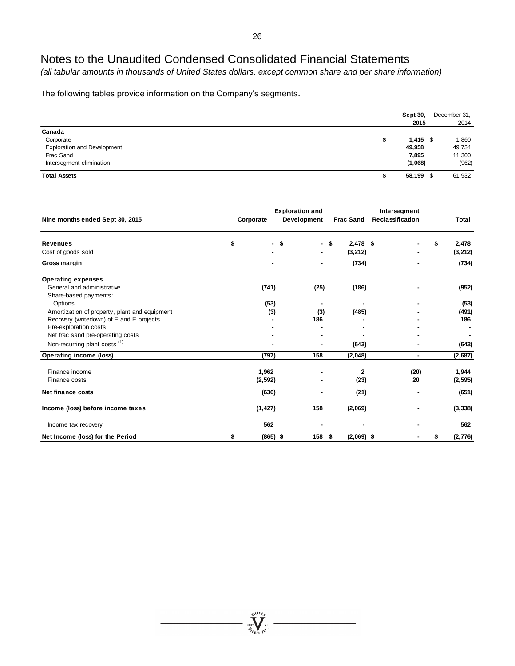*(all tabular amounts in thousands of United States dollars, except common share and per share information)*

The following tables provide information on the Company's segments.

|                                    | Sept 30,<br>2015 | December 31,<br>2014 |
|------------------------------------|------------------|----------------------|
| Canada                             |                  |                      |
| Corporate                          | $1,415$ \$       | 1,860                |
| <b>Exploration and Development</b> | 49,958           | 49,734               |
| Frac Sand                          | 7,895            | 11,300               |
| Intersegment elimination           | (1,068)          | (962)                |
| <b>Total Assets</b>                | 58,199           | 61,932               |

| Nine months ended Sept 30, 2015                                                  | <b>Exploration and</b><br>Development<br>Corporate |      | <b>Frac Sand</b>      | Intersegment<br><b>Reclassification</b> | Total                   |
|----------------------------------------------------------------------------------|----------------------------------------------------|------|-----------------------|-----------------------------------------|-------------------------|
| <b>Revenues</b><br>Cost of goods sold                                            | \$<br>\$                                           | - \$ | $2,478$ \$<br>(3,212) |                                         | \$<br>2,478<br>(3, 212) |
| Gross margin                                                                     |                                                    | ٠    | (734)                 | ۰                                       | (734)                   |
| <b>Operating expenses</b><br>General and administrative<br>Share-based payments: | (741)                                              | (25) | (186)                 |                                         | (952)                   |
| Options                                                                          | (53)                                               | ٠    |                       |                                         | (53)                    |
| Amortization of property, plant and equipment                                    | (3)                                                | (3)  | (485)                 |                                         | (491)                   |
| Recovery (writedown) of E and E projects                                         |                                                    | 186  |                       |                                         | 186                     |
| Pre-exploration costs                                                            |                                                    |      |                       |                                         |                         |
| Net frac sand pre-operating costs                                                |                                                    |      |                       |                                         |                         |
| Non-recurring plant costs (1)                                                    |                                                    |      | (643)                 |                                         | (643)                   |
| Operating income (loss)                                                          | (797)                                              | 158  | (2,048)               | ۰                                       | (2,687)                 |
| Finance income                                                                   | 1,962                                              |      | $\mathbf{2}$          | (20)                                    | 1,944                   |
| Finance costs                                                                    | (2, 592)                                           |      | (23)                  | 20                                      | (2, 595)                |
| Net finance costs                                                                | (630)                                              | ٠    | (21)                  | ٠                                       | (651)                   |
| Income (loss) before income taxes                                                | (1, 427)                                           | 158  | (2,069)               | ٠                                       | (3, 338)                |
| Income tax recovery                                                              | 562                                                |      |                       |                                         | 562                     |
| Net Income (loss) for the Period                                                 | \$<br>$(865)$ \$                                   | 158  | \$<br>$(2,069)$ \$    | ٠                                       | \$<br>(2,776)           |

**WILLOW**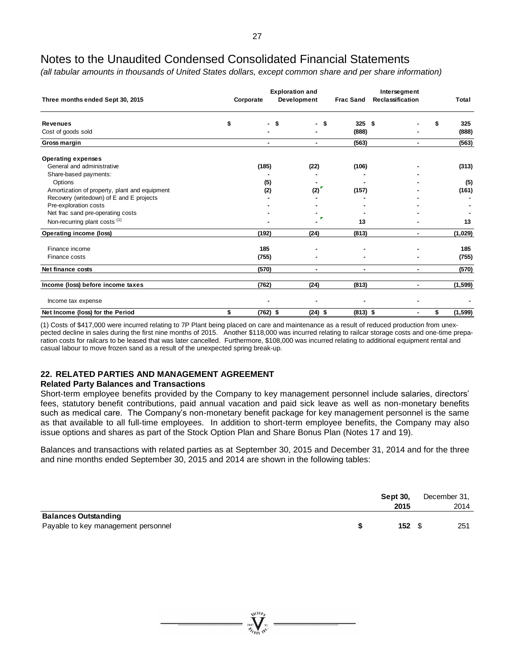*(all tabular amounts in thousands of United States dollars, except common share and per share information)*

| Three months ended Sept 30, 2015              |    | <b>Exploration and</b><br>Development<br>Corporate |           | <b>Frac Sand</b> | Intersegment<br><b>Reclassification</b> | Total |          |  |
|-----------------------------------------------|----|----------------------------------------------------|-----------|------------------|-----------------------------------------|-------|----------|--|
| <b>Revenues</b>                               | \$ | Ŝ.<br>٠                                            | £.        | 325              | Ŝ.                                      |       | 325      |  |
| Cost of goods sold                            |    |                                                    |           | (888)            |                                         |       | (888)    |  |
| Gross margin                                  |    | $\blacksquare$                                     | ٠         | (563)            | ٠                                       |       | (563)    |  |
| <b>Operating expenses</b>                     |    |                                                    |           |                  |                                         |       |          |  |
| General and administrative                    |    | (185)                                              | (22)      | (106)            |                                         |       | (313)    |  |
| Share-based payments:                         |    |                                                    |           |                  |                                         |       |          |  |
| Options                                       |    | (5)                                                |           |                  |                                         |       | (5)      |  |
| Amortization of property, plant and equipment |    | (2)                                                | (2)       | (157)            |                                         |       | (161)    |  |
| Recovery (writedown) of E and E projects      |    |                                                    |           |                  |                                         |       |          |  |
| Pre-exploration costs                         |    |                                                    |           |                  |                                         |       |          |  |
| Net frac sand pre-operating costs             |    |                                                    |           |                  |                                         |       |          |  |
| Non-recurring plant costs (1)                 |    |                                                    |           | 13               |                                         |       | 13       |  |
| Operating income (loss)                       |    | (192)                                              | (24)      | (813)            |                                         |       | (1,029)  |  |
| Finance income                                |    | 185                                                |           |                  |                                         |       | 185      |  |
| Finance costs                                 |    | (755)                                              |           |                  |                                         |       | (755)    |  |
| Net finance costs                             |    | (570)                                              | ٠         | ٠                | ٠                                       |       | (570)    |  |
| Income (loss) before income taxes             |    | (762)                                              | (24)      | (813)            | ٠                                       |       | (1, 599) |  |
| Income tax expense                            |    |                                                    |           |                  |                                         |       |          |  |
| Net Income (loss) for the Period              | \$ | $(762)$ \$                                         | $(24)$ \$ | $(813)$ \$       |                                         | \$    | (1, 599) |  |

(1) Costs of \$417,000 were incurred relating to 7P Plant being placed on care and maintenance as a result of reduced production from unexpected decline in sales during the first nine months of 2015. Another \$118,000 was incurred relating to railcar storage costs and one-time preparation costs for railcars to be leased that was later cancelled. Furthermore, \$108,000 was incurred relating to additional equipment rental and casual labour to move frozen sand as a result of the unexpected spring break-up.

# **22. RELATED PARTIES AND MANAGEMENT AGREEMENT**

### **Related Party Balances and Transactions**

Short-term employee benefits provided by the Company to key management personnel include salaries, directors' fees, statutory benefit contributions, paid annual vacation and paid sick leave as well as non-monetary benefits such as medical care. The Company's non-monetary benefit package for key management personnel is the same as that available to all full-time employees. In addition to short-term employee benefits, the Company may also issue options and shares as part of the Stock Option Plan and Share Bonus Plan (Notes 17 and 19).

Balances and transactions with related parties as at September 30, 2015 and December 31, 2014 and for the three and nine months ended September 30, 2015 and 2014 are shown in the following tables:

|                                                                    | <b>Sept 30.</b><br>2015 | December 31,<br>2014 |
|--------------------------------------------------------------------|-------------------------|----------------------|
| <b>Balances Outstanding</b><br>Payable to key management personnel | 152 <sup>5</sup>        | 251                  |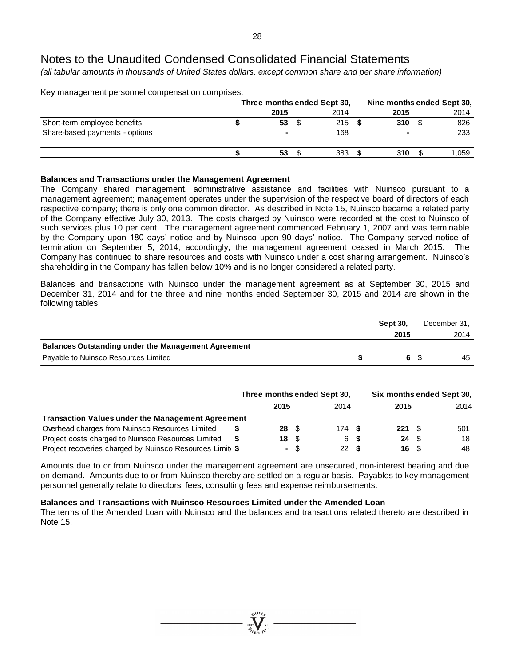*(all tabular amounts in thousands of United States dollars, except common share and per share information)*

Key management personnel compensation comprises:

|                                |                | Three months ended Sept 30. | Nine months ended Sept 30. |       |
|--------------------------------|----------------|-----------------------------|----------------------------|-------|
|                                | 2015           | 2014                        | 2015                       | 2014  |
| Short-term employee benefits   | 53             | 215                         | 310                        | 826   |
| Share-based payments - options | $\blacksquare$ | 168                         |                            | 233   |
|                                | 53             | 383                         | 310                        | 1.059 |

### **Balances and Transactions under the Management Agreement**

The Company shared management, administrative assistance and facilities with Nuinsco pursuant to a management agreement; management operates under the supervision of the respective board of directors of each respective company; there is only one common director. As described in Note 15, Nuinsco became a related party of the Company effective July 30, 2013. The costs charged by Nuinsco were recorded at the cost to Nuinsco of such services plus 10 per cent. The management agreement commenced February 1, 2007 and was terminable by the Company upon 180 days' notice and by Nuinsco upon 90 days' notice. The Company served notice of termination on September 5, 2014; accordingly, the management agreement ceased in March 2015. The Company has continued to share resources and costs with Nuinsco under a cost sharing arrangement. Nuinsco's shareholding in the Company has fallen below 10% and is no longer considered a related party.

Balances and transactions with Nuinsco under the management agreement as at September 30, 2015 and December 31, 2014 and for the three and nine months ended September 30, 2015 and 2014 are shown in the following tables:

|                                                            | <b>Sept 30.</b> |  | December 31, |  |
|------------------------------------------------------------|-----------------|--|--------------|--|
|                                                            | 2015            |  | 2014         |  |
| <b>Balances Outstanding under the Management Agreement</b> |                 |  |              |  |
| Payable to Nuinsco Resources Limited                       |                 |  | 45           |  |

|                                                          | Three months ended Sept 30. |                          |  |      | Six months ended Sept 30, |           |      |      |
|----------------------------------------------------------|-----------------------------|--------------------------|--|------|---------------------------|-----------|------|------|
|                                                          |                             | 2015                     |  | 2014 |                           | 2015      |      | 2014 |
| <b>Transaction Values under the Management Agreement</b> |                             |                          |  |      |                           |           |      |      |
| Overhead charges from Nuinsco Resources Limited          |                             | $28 \quad$ $\frac{6}{3}$ |  | 174S |                           | $221 \tS$ |      | 501  |
| Project costs charged to Nuinsco Resources Limited       |                             | 18 S                     |  | 6 S  |                           | 24        | - \$ | 18   |
| Project recoveries charged by Nuinsco Resources Limit \$ |                             | - \$                     |  | 22 S |                           | 16 S      |      | 48   |

Amounts due to or from Nuinsco under the management agreement are unsecured, non-interest bearing and due on demand. Amounts due to or from Nuinsco thereby are settled on a regular basis. Payables to key management personnel generally relate to directors' fees, consulting fees and expense reimbursements.

### **Balances and Transactions with Nuinsco Resources Limited under the Amended Loan**

The terms of the Amended Loan with Nuinsco and the balances and transactions related thereto are described in Note 15.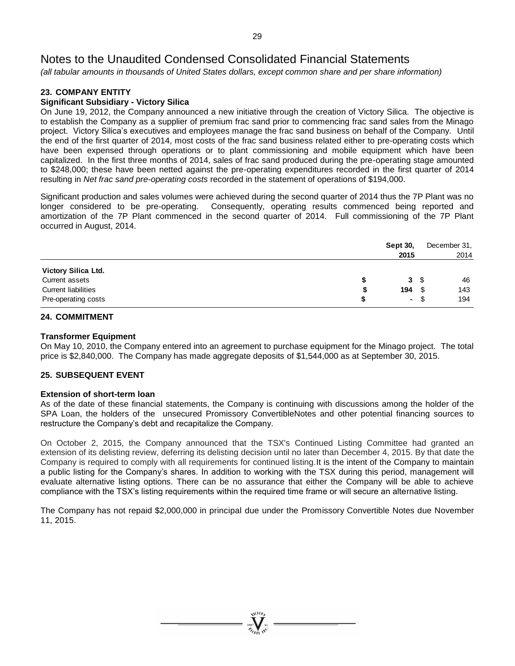*(all tabular amounts in thousands of United States dollars, except common share and per share information)*

# **23. COMPANY ENTITY**

# **Significant Subsidiary - Victory Silica**

On June 19, 2012, the Company announced a new initiative through the creation of Victory Silica. The objective is to establish the Company as a supplier of premium frac sand prior to commencing frac sand sales from the Minago project. Victory Silica's executives and employees manage the frac sand business on behalf of the Company. Until the end of the first quarter of 2014, most costs of the frac sand business related either to pre-operating costs which have been expensed through operations or to plant commissioning and mobile equipment which have been capitalized. In the first three months of 2014, sales of frac sand produced during the pre-operating stage amounted to \$248,000; these have been netted against the pre-operating expenditures recorded in the first quarter of 2014 resulting in *Net frac sand pre-operating costs* recorded in the statement of operations of \$194,000.

Significant production and sales volumes were achieved during the second quarter of 2014 thus the 7P Plant was no longer considered to be pre-operating. Consequently, operating results commenced being reported and amortization of the 7P Plant commenced in the second quarter of 2014. Full commissioning of the 7P Plant occurred in August, 2014.

|                            | <b>Sept 30,</b><br>2015 |      | December 31,<br>2014 |
|----------------------------|-------------------------|------|----------------------|
| Victory Silica Ltd.        |                         |      |                      |
| Current assets             | S                       | 3S   | 46                   |
| <b>Current liabilities</b> | 194<br>S                | S    | 143                  |
| Pre-operating costs        |                         | - \$ | 194                  |

### **24. COMMITMENT**

### **Transformer Equipment**

On May 10, 2010, the Company entered into an agreement to purchase equipment for the Minago project. The total price is \$2,840,000. The Company has made aggregate deposits of \$1,544,000 as at September 30, 2015.

# **25. SUBSEQUENT EVENT**

### **Extension of short-term loan**

As of the date of these financial statements, the Company is continuing with discussions among the holder of the SPA Loan, the holders of the unsecured Promissory ConvertibleNotes and other potential financing sources to restructure the Company's debt and recapitalize the Company.

On October 2, 2015, the Company announced that the TSX's Continued Listing Committee had granted an extension of its delisting review, deferring its delisting decision until no later than December 4, 2015. By that date the Company is required to comply with all requirements for continued listing.It is the intent of the Company to maintain a public listing for the Company's shares. In addition to working with the TSX during this period, management will evaluate alternative listing options. There can be no assurance that either the Company will be able to achieve compliance with the TSX's listing requirements within the required time frame or will secure an alternative listing.

The Company has not repaid \$2,000,000 in principal due under the Promissory Convertible Notes due November 11, 2015.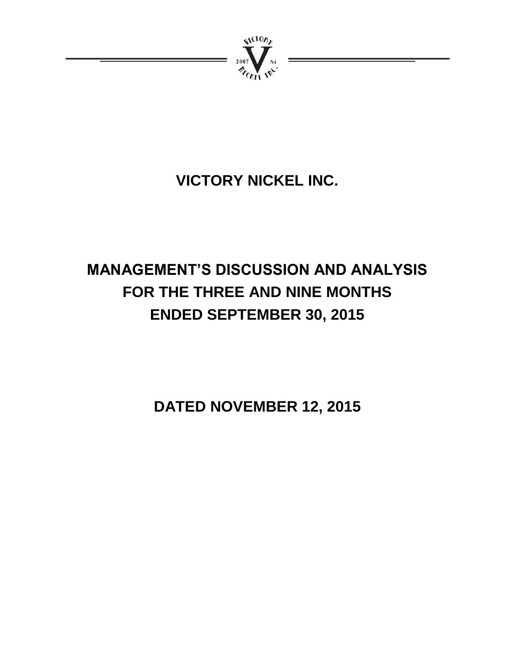

# **VICTORY NICKEL INC.**

# **MANAGEMENT'S DISCUSSION AND ANALYSIS FOR THE THREE AND NINE MONTHS ENDED SEPTEMBER 30, 2015**

**DATED NOVEMBER 12, 2015**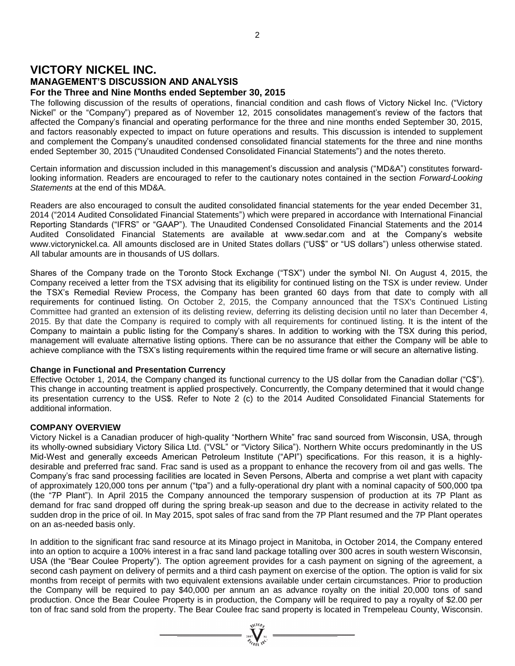# **VICTORY NICKEL INC.**

**MANAGEMENT'S DISCUSSION AND ANALYSIS**

# **For the Three and Nine Months ended September 30, 2015**

The following discussion of the results of operations, financial condition and cash flows of Victory Nickel Inc. ("Victory Nickel" or the "Company") prepared as of November 12, 2015 consolidates management's review of the factors that affected the Company's financial and operating performance for the three and nine months ended September 30, 2015, and factors reasonably expected to impact on future operations and results. This discussion is intended to supplement and complement the Company's unaudited condensed consolidated financial statements for the three and nine months ended September 30, 2015 ("Unaudited Condensed Consolidated Financial Statements") and the notes thereto.

Certain information and discussion included in this management's discussion and analysis ("MD&A") constitutes forwardlooking information. Readers are encouraged to refer to the cautionary notes contained in the section *Forward-Looking Statements* at the end of this MD&A.

Readers are also encouraged to consult the audited consolidated financial statements for the year ended December 31, 2014 ("2014 Audited Consolidated Financial Statements") which were prepared in accordance with International Financial Reporting Standards ("IFRS" or "GAAP"). The Unaudited Condensed Consolidated Financial Statements and the 2014 Audited Consolidated Financial Statements are available at www.sedar.com and at the Company's website www.victorynickel.ca. All amounts disclosed are in United States dollars ("US\$" or "US dollars") unless otherwise stated. All tabular amounts are in thousands of US dollars.

Shares of the Company trade on the Toronto Stock Exchange ("TSX") under the symbol NI. On August 4, 2015, the Company received a letter from the TSX advising that its eligibility for continued listing on the TSX is under review. Under the TSX's Remedial Review Process, the Company has been granted 60 days from that date to comply with all requirements for continued listing. On October 2, 2015, the Company announced that the TSX's Continued Listing Committee had granted an extension of its delisting review, deferring its delisting decision until no later than December 4, 2015. By that date the Company is required to comply with all requirements for continued listing. It is the intent of the Company to maintain a public listing for the Company's shares. In addition to working with the TSX during this period, management will evaluate alternative listing options. There can be no assurance that either the Company will be able to achieve compliance with the TSX's listing requirements within the required time frame or will secure an alternative listing.

# **Change in Functional and Presentation Currency**

Effective October 1, 2014, the Company changed its functional currency to the US dollar from the Canadian dollar ("C\$"). This change in accounting treatment is applied prospectively. Concurrently, the Company determined that it would change its presentation currency to the US\$. Refer to Note 2 (c) to the 2014 Audited Consolidated Financial Statements for additional information.

# **COMPANY OVERVIEW**

Victory Nickel is a Canadian producer of high-quality "Northern White" frac sand sourced from Wisconsin, USA, through its wholly-owned subsidiary Victory Silica Ltd. ("VSL" or "Victory Silica"). Northern White occurs predominantly in the US Mid-West and generally exceeds American Petroleum Institute ("API") specifications. For this reason, it is a highlydesirable and preferred frac sand. Frac sand is used as a proppant to enhance the recovery from oil and gas wells. The Company's frac sand processing facilities are located in Seven Persons, Alberta and comprise a wet plant with capacity of approximately 120,000 tons per annum ("tpa") and a fully-operational dry plant with a nominal capacity of 500,000 tpa (the "7P Plant"). In April 2015 the Company announced the temporary suspension of production at its 7P Plant as demand for frac sand dropped off during the spring break-up season and due to the decrease in activity related to the sudden drop in the price of oil. In May 2015, spot sales of frac sand from the 7P Plant resumed and the 7P Plant operates on an as-needed basis only.

In addition to the significant frac sand resource at its Minago project in Manitoba, in October 2014, the Company entered into an option to acquire a 100% interest in a frac sand land package totalling over 300 acres in south western Wisconsin, USA (the "Bear Coulee Property"). The option agreement provides for a cash payment on signing of the agreement, a second cash payment on delivery of permits and a third cash payment on exercise of the option. The option is valid for six months from receipt of permits with two equivalent extensions available under certain circumstances. Prior to production the Company will be required to pay \$40,000 per annum an as advance royalty on the initial 20,000 tons of sand production. Once the Bear Coulee Property is in production, the Company will be required to pay a royalty of \$2.00 per ton of frac sand sold from the property. The Bear Coulee frac sand property is located in Trempeleau County, Wisconsin.

 $\sum_{\substack{\mathbf{2007}}\\ \mathcal{H}_{\mathcal{O}_{\mathbb{F}_1}\setminus \mathbb{N}^\mathbb{C}}} \sum_{\mathbf{10} \in \mathbb{F}_2} \mathbb{I}^{\mathbb{N}^\mathbb{C}} =$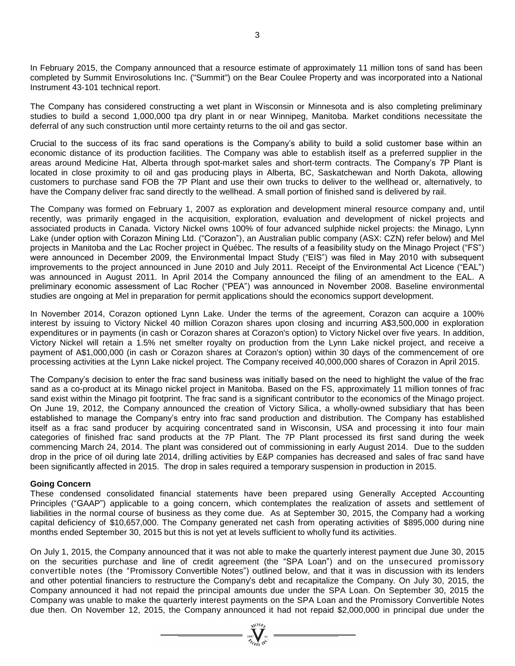In February 2015, the Company announced that a resource estimate of approximately 11 million tons of sand has been completed by Summit Envirosolutions Inc. ("Summit") on the Bear Coulee Property and was incorporated into a National Instrument 43-101 technical report.

The Company has considered constructing a wet plant in Wisconsin or Minnesota and is also completing preliminary studies to build a second 1,000,000 tpa dry plant in or near Winnipeg, Manitoba. Market conditions necessitate the deferral of any such construction until more certainty returns to the oil and gas sector.

Crucial to the success of its frac sand operations is the Company's ability to build a solid customer base within an economic distance of its production facilities. The Company was able to establish itself as a preferred supplier in the areas around Medicine Hat, Alberta through spot-market sales and short-term contracts. The Company's 7P Plant is located in close proximity to oil and gas producing plays in Alberta, BC, Saskatchewan and North Dakota, allowing customers to purchase sand FOB the 7P Plant and use their own trucks to deliver to the wellhead or, alternatively, to have the Company deliver frac sand directly to the wellhead. A small portion of finished sand is delivered by rail.

The Company was formed on February 1, 2007 as exploration and development mineral resource company and, until recently, was primarily engaged in the acquisition, exploration, evaluation and development of nickel projects and associated products in Canada. Victory Nickel owns 100% of four advanced sulphide nickel projects: the Minago, Lynn Lake (under option with Corazon Mining Ltd. ("Corazon"), an Australian public company (ASX: CZN) refer below) and Mel projects in Manitoba and the Lac Rocher project in Québec. The results of a feasibility study on the Minago Project ("FS") were announced in December 2009, the Environmental Impact Study ("EIS") was filed in May 2010 with subsequent improvements to the project announced in June 2010 and July 2011. Receipt of the Environmental Act Licence ("EAL") was announced in August 2011. In April 2014 the Company announced the filing of an amendment to the EAL. A preliminary economic assessment of Lac Rocher ("PEA") was announced in November 2008. Baseline environmental studies are ongoing at Mel in preparation for permit applications should the economics support development.

In November 2014, Corazon optioned Lynn Lake. Under the terms of the agreement, Corazon can acquire a 100% interest by issuing to Victory Nickel 40 million Corazon shares upon closing and incurring A\$3,500,000 in exploration expenditures or in payments (in cash or Corazon shares at Corazon's option) to Victory Nickel over five years. In addition, Victory Nickel will retain a 1.5% net smelter royalty on production from the Lynn Lake nickel project, and receive a payment of A\$1,000,000 (in cash or Corazon shares at Corazon's option) within 30 days of the commencement of ore processing activities at the Lynn Lake nickel project. The Company received 40,000,000 shares of Corazon in April 2015.

The Company's decision to enter the frac sand business was initially based on the need to highlight the value of the frac sand as a co-product at its Minago nickel project in Manitoba. Based on the FS, approximately 11 million tonnes of frac sand exist within the Minago pit footprint. The frac sand is a significant contributor to the economics of the Minago project. On June 19, 2012, the Company announced the creation of Victory Silica, a wholly-owned subsidiary that has been established to manage the Company's entry into frac sand production and distribution. The Company has established itself as a frac sand producer by acquiring concentrated sand in Wisconsin, USA and processing it into four main categories of finished frac sand products at the 7P Plant. The 7P Plant processed its first sand during the week commencing March 24, 2014. The plant was considered out of commissioning in early August 2014. Due to the sudden drop in the price of oil during late 2014, drilling activities by E&P companies has decreased and sales of frac sand have been significantly affected in 2015. The drop in sales required a temporary suspension in production in 2015.

#### **Going Concern**

These condensed consolidated financial statements have been prepared using Generally Accepted Accounting Principles ("GAAP") applicable to a going concern, which contemplates the realization of assets and settlement of liabilities in the normal course of business as they come due. As at September 30, 2015, the Company had a working capital deficiency of \$10,657,000. The Company generated net cash from operating activities of \$895,000 during nine months ended September 30, 2015 but this is not yet at levels sufficient to wholly fund its activities.

On July 1, 2015, the Company announced that it was not able to make the quarterly interest payment due June 30, 2015 on the securities purchase and line of credit agreement (the "SPA Loan") and on the unsecured promissory convertible notes (the "Promissory Convertible Notes") outlined below, and that it was in discussion with its lenders and other potential financiers to restructure the Company's debt and recapitalize the Company. On July 30, 2015, the Company announced it had not repaid the principal amounts due under the SPA Loan. On September 30, 2015 the Company was unable to make the quarterly interest payments on the SPA Loan and the Promissory Convertible Notes due then. On November 12, 2015, the Company announced it had not repaid \$2,000,000 in principal due under the

 $\sum_{\substack{i=0\\ \text{even }j\neq i}}^{\text{NLO},b}$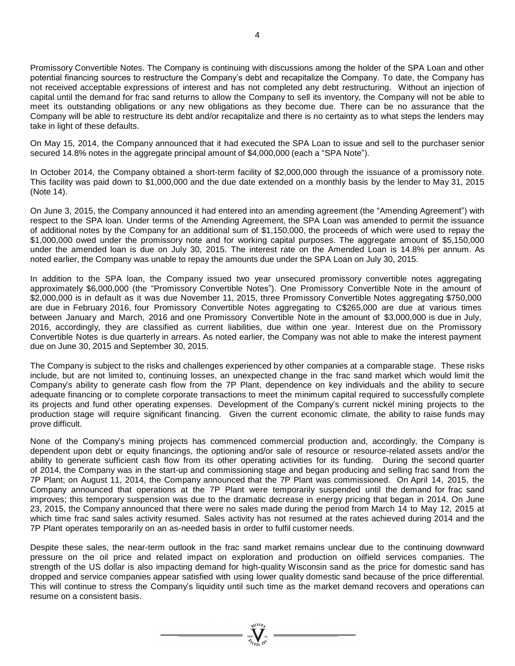Promissory Convertible Notes. The Company is continuing with discussions among the holder of the SPA Loan and other potential financing sources to restructure the Company's debt and recapitalize the Company. To date, the Company has not received acceptable expressions of interest and has not completed any debt restructuring. Without an injection of capital until the demand for frac sand returns to allow the Company to sell its inventory, the Company will not be able to meet its outstanding obligations or any new obligations as they become due. There can be no assurance that the Company will be able to restructure its debt and/or recapitalize and there is no certainty as to what steps the lenders may take in light of these defaults.

On May 15, 2014, the Company announced that it had executed the SPA Loan to issue and sell to the purchaser senior secured 14.8% notes in the aggregate principal amount of \$4,000,000 (each a "SPA Note").

In October 2014, the Company obtained a short-term facility of \$2,000,000 through the issuance of a promissory note. This facility was paid down to \$1,000,000 and the due date extended on a monthly basis by the lender to May 31, 2015 (Note 14).

On June 3, 2015, the Company announced it had entered into an amending agreement (the "Amending Agreement") with respect to the SPA loan. Under terms of the Amending Agreement, the SPA Loan was amended to permit the issuance of additional notes by the Company for an additional sum of \$1,150,000, the proceeds of which were used to repay the \$1,000,000 owed under the promissory note and for working capital purposes. The aggregate amount of \$5,150,000 under the amended loan is due on July 30, 2015. The interest rate on the Amended Loan is 14.8% per annum. As noted earlier, the Company was unable to repay the amounts due under the SPA Loan on July 30, 2015.

In addition to the SPA loan, the Company issued two year unsecured promissory convertible notes aggregating approximately \$6,000,000 (the "Promissory Convertible Notes"). One Promissory Convertible Note in the amount of \$2,000,000 is in default as it was due November 11, 2015, three Promissory Convertible Notes aggregating \$750,000 are due in February 2016, four Promissory Convertible Notes aggregating to C\$265,000 are due at various times between January and March, 2016 and one Promissory Convertible Note in the amount of \$3,000,000 is due in July, 2016, accordingly, they are classified as current liabilities, due within one year. Interest due on the Promissory Convertible Notes is due quarterly in arrears. As noted earlier, the Company was not able to make the interest payment due on June 30, 2015 and September 30, 2015.

The Company is subject to the risks and challenges experienced by other companies at a comparable stage. These risks include, but are not limited to, continuing losses, an unexpected change in the frac sand market which would limit the Company's ability to generate cash flow from the 7P Plant, dependence on key individuals and the ability to secure adequate financing or to complete corporate transactions to meet the minimum capital required to successfully complete its projects and fund other operating expenses. Development of the Company's current nickel mining projects to the production stage will require significant financing. Given the current economic climate, the ability to raise funds may prove difficult.

None of the Company's mining projects has commenced commercial production and, accordingly, the Company is dependent upon debt or equity financings, the optioning and/or sale of resource or resource-related assets and/or the ability to generate sufficient cash flow from its other operating activities for its funding. During the second quarter of 2014, the Company was in the start-up and commissioning stage and began producing and selling frac sand from the 7P Plant; on August 11, 2014, the Company announced that the 7P Plant was commissioned. On April 14, 2015, the Company announced that operations at the 7P Plant were temporarily suspended until the demand for frac sand improves; this temporary suspension was due to the dramatic decrease in energy pricing that began in 2014. On June 23, 2015, the Company announced that there were no sales made during the period from March 14 to May 12, 2015 at which time frac sand sales activity resumed. Sales activity has not resumed at the rates achieved during 2014 and the 7P Plant operates temporarily on an as-needed basis in order to fulfil customer needs.

Despite these sales, the near-term outlook in the frac sand market remains unclear due to the continuing downward pressure on the oil price and related impact on exploration and production on oilfield services companies. The strength of the US dollar is also impacting demand for high-quality Wisconsin sand as the price for domestic sand has dropped and service companies appear satisfied with using lower quality domestic sand because of the price differential. This will continue to stress the Company's liquidity until such time as the market demand recovers and operations can resume on a consistent basis.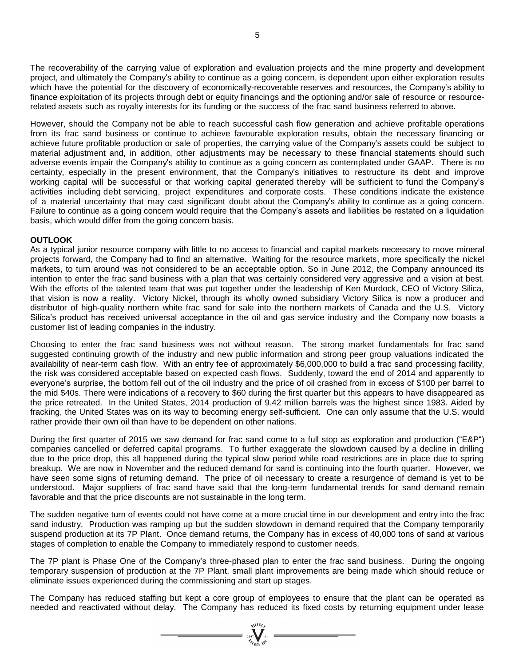The recoverability of the carrying value of exploration and evaluation projects and the mine property and development project, and ultimately the Company's ability to continue as a going concern, is dependent upon either exploration results which have the potential for the discovery of economically-recoverable reserves and resources, the Company's ability to finance exploitation of its projects through debt or equity financings and the optioning and/or sale of resource or resourcerelated assets such as royalty interests for its funding or the success of the frac sand business referred to above.

However, should the Company not be able to reach successful cash flow generation and achieve profitable operations from its frac sand business or continue to achieve favourable exploration results, obtain the necessary financing or achieve future profitable production or sale of properties, the carrying value of the Company's assets could be subject to material adjustment and, in addition, other adjustments may be necessary to these financial statements should such adverse events impair the Company's ability to continue as a going concern as contemplated under GAAP. There is no certainty, especially in the present environment, that the Company's initiatives to restructure its debt and improve working capital will be successful or that working capital generated thereby will be sufficient to fund the Company's activities including debt servicing, project expenditures and corporate costs. These conditions indicate the existence of a material uncertainty that may cast significant doubt about the Company's ability to continue as a going concern. Failure to continue as a going concern would require that the Company's assets and liabilities be restated on a liquidation basis, which would differ from the going concern basis.

### **OUTLOOK**

As a typical junior resource company with little to no access to financial and capital markets necessary to move mineral projects forward, the Company had to find an alternative. Waiting for the resource markets, more specifically the nickel markets, to turn around was not considered to be an acceptable option. So in June 2012, the Company announced its intention to enter the frac sand business with a plan that was certainly considered very aggressive and a vision at best. With the efforts of the talented team that was put together under the leadership of Ken Murdock, CEO of Victory Silica, that vision is now a reality. Victory Nickel, through its wholly owned subsidiary Victory Silica is now a producer and distributor of high-quality northern white frac sand for sale into the northern markets of Canada and the U.S. Victory Silica's product has received universal acceptance in the oil and gas service industry and the Company now boasts a customer list of leading companies in the industry.

Choosing to enter the frac sand business was not without reason. The strong market fundamentals for frac sand suggested continuing growth of the industry and new public information and strong peer group valuations indicated the availability of near-term cash flow. With an entry fee of approximately \$6,000,000 to build a frac sand processing facility, the risk was considered acceptable based on expected cash flows. Suddenly, toward the end of 2014 and apparently to everyone's surprise, the bottom fell out of the oil industry and the price of oil crashed from in excess of \$100 per barrel to the mid \$40s. There were indications of a recovery to \$60 during the first quarter but this appears to have disappeared as the price retreated. In the United States, 2014 production of 9.42 million barrels was the highest since 1983. Aided by fracking, the United States was on its way to becoming energy self-sufficient. One can only assume that the U.S. would rather provide their own oil than have to be dependent on other nations.

During the first quarter of 2015 we saw demand for frac sand come to a full stop as exploration and production ("E&P") companies cancelled or deferred capital programs. To further exaggerate the slowdown caused by a decline in drilling due to the price drop, this all happened during the typical slow period while road restrictions are in place due to spring breakup. We are now in November and the reduced demand for sand is continuing into the fourth quarter. However, we have seen some signs of returning demand. The price of oil necessary to create a resurgence of demand is yet to be understood. Major suppliers of frac sand have said that the long-term fundamental trends for sand demand remain favorable and that the price discounts are not sustainable in the long term.

The sudden negative turn of events could not have come at a more crucial time in our development and entry into the frac sand industry. Production was ramping up but the sudden slowdown in demand required that the Company temporarily suspend production at its 7P Plant. Once demand returns, the Company has in excess of 40,000 tons of sand at various stages of completion to enable the Company to immediately respond to customer needs.

The 7P plant is Phase One of the Company's three-phased plan to enter the frac sand business. During the ongoing temporary suspension of production at the 7P Plant, small plant improvements are being made which should reduce or eliminate issues experienced during the commissioning and start up stages.

The Company has reduced staffing but kept a core group of employees to ensure that the plant can be operated as needed and reactivated without delay. The Company has reduced its fixed costs by returning equipment under lease

 $= \sum_{\substack{i=1\\ i\neq j}}^{\text{N}(\text{LO})_i} \sum_{\substack{i=1\\ i\neq j}}^{\text{N}(\text{LO})_i}$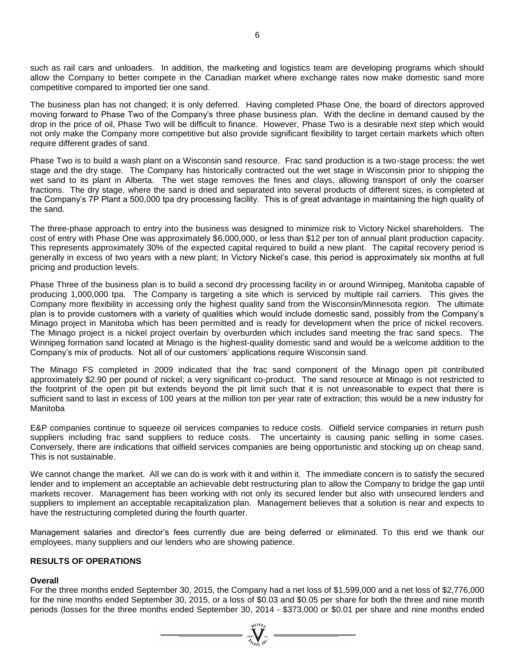such as rail cars and unloaders. In addition, the marketing and logistics team are developing programs which should allow the Company to better compete in the Canadian market where exchange rates now make domestic sand more competitive compared to imported tier one sand.

The business plan has not changed; it is only deferred. Having completed Phase One, the board of directors approved moving forward to Phase Two of the Company's three phase business plan. With the decline in demand caused by the drop in the price of oil, Phase Two will be difficult to finance. However, Phase Two is a desirable next step which would not only make the Company more competitive but also provide significant flexibility to target certain markets which often require different grades of sand.

Phase Two is to build a wash plant on a Wisconsin sand resource. Frac sand production is a two-stage process: the wet stage and the dry stage. The Company has historically contracted out the wet stage in Wisconsin prior to shipping the wet sand to its plant in Alberta. The wet stage removes the fines and clays, allowing transport of only the coarser fractions. The dry stage, where the sand is dried and separated into several products of different sizes, is completed at the Company's 7P Plant a 500,000 tpa dry processing facility. This is of great advantage in maintaining the high quality of the sand.

The three-phase approach to entry into the business was designed to minimize risk to Victory Nickel shareholders. The cost of entry with Phase One was approximately \$6,000,000, or less than \$12 per ton of annual plant production capacity. This represents approximately 30% of the expected capital required to build a new plant. The capital recovery period is generally in excess of two years with a new plant; In Victory Nickel's case, this period is approximately six months at full pricing and production levels.

Phase Three of the business plan is to build a second dry processing facility in or around Winnipeg, Manitoba capable of producing 1,000,000 tpa. The Company is targeting a site which is serviced by multiple rail carriers. This gives the Company more flexibility in accessing only the highest quality sand from the Wisconsin/Minnesota region. The ultimate plan is to provide customers with a variety of qualities which would include domestic sand, possibly from the Company's Minago project in Manitoba which has been permitted and is ready for development when the price of nickel recovers. The Minago project is a nickel project overlain by overburden which includes sand meeting the frac sand specs. The Winnipeg formation sand located at Minago is the highest-quality domestic sand and would be a welcome addition to the Company's mix of products. Not all of our customers' applications require Wisconsin sand.

The Minago FS completed in 2009 indicated that the frac sand component of the Minago open pit contributed approximately \$2.90 per pound of nickel; a very significant co-product. The sand resource at Minago is not restricted to the footprint of the open pit but extends beyond the pit limit such that it is not unreasonable to expect that there is sufficient sand to last in excess of 100 years at the million ton per year rate of extraction; this would be a new industry for Manitoba

E&P companies continue to squeeze oil services companies to reduce costs. Oilfield service companies in return push suppliers including frac sand suppliers to reduce costs. The uncertainty is causing panic selling in some cases. Conversely, there are indications that oilfield services companies are being opportunistic and stocking up on cheap sand. This is not sustainable.

We cannot change the market. All we can do is work with it and within it. The immediate concern is to satisfy the secured lender and to implement an acceptable an achievable debt restructuring plan to allow the Company to bridge the gap until markets recover. Management has been working with not only its secured lender but also with unsecured lenders and suppliers to implement an acceptable recapitalization plan. Management believes that a solution is near and expects to have the restructuring completed during the fourth quarter.

Management salaries and director's fees currently due are being deferred or eliminated. To this end we thank our employees, many suppliers and our lenders who are showing patience.

### **RESULTS OF OPERATIONS**

#### **Overall**

For the three months ended September 30, 2015, the Company had a net loss of \$1,599,000 and a net loss of \$2,776,000 for the nine months ended September 30, 2015, or a loss of \$0.03 and \$0.05 per share for both the three and nine month periods (losses for the three months ended September 30, 2014 - \$373,000 or \$0.01 per share and nine months ended

 $\sum_{\substack{i=1\\ \text{if } i\in I}}^{\text{which } j}$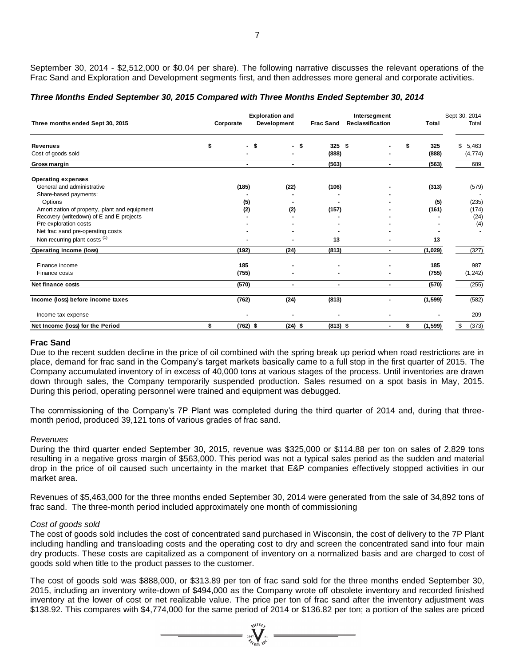September 30, 2014 - \$2,512,000 or \$0.04 per share). The following narrative discusses the relevant operations of the Frac Sand and Exploration and Development segments first, and then addresses more general and corporate activities.

#### *Three Months Ended September 30, 2015 Compared with Three Months Ended September 30, 2014*

| Three months ended Sept 30, 2015                                                                                                                                                                                                                                                                                                                                                                                                                                                                                                                                                                                                                                                                                                                                                                                                                                                                                                                                                                                                                                  | Corporate | <b>Exploration and</b><br>Development | Frac Sand         | Intersegment<br>Reclassification | Total              | Sept 30, 2014<br>Total  |
|-------------------------------------------------------------------------------------------------------------------------------------------------------------------------------------------------------------------------------------------------------------------------------------------------------------------------------------------------------------------------------------------------------------------------------------------------------------------------------------------------------------------------------------------------------------------------------------------------------------------------------------------------------------------------------------------------------------------------------------------------------------------------------------------------------------------------------------------------------------------------------------------------------------------------------------------------------------------------------------------------------------------------------------------------------------------|-----------|---------------------------------------|-------------------|----------------------------------|--------------------|-------------------------|
| Revenues<br>Cost of goods sold                                                                                                                                                                                                                                                                                                                                                                                                                                                                                                                                                                                                                                                                                                                                                                                                                                                                                                                                                                                                                                    | \$        | -\$<br>- \$                           | $325$ \$<br>(888) |                                  | \$<br>325<br>(888) | 5,463<br>\$<br>(4, 774) |
| Gross margin                                                                                                                                                                                                                                                                                                                                                                                                                                                                                                                                                                                                                                                                                                                                                                                                                                                                                                                                                                                                                                                      |           |                                       | (563)             | $\overline{\phantom{0}}$         | (563)              | 689                     |
| <b>Operating expenses</b><br>General and administrative                                                                                                                                                                                                                                                                                                                                                                                                                                                                                                                                                                                                                                                                                                                                                                                                                                                                                                                                                                                                           |           | (185)<br>(22)                         | (106)             |                                  | (313)              | (579)                   |
| Share-based payments:<br>Options<br>Amortization of property, plant and equipment                                                                                                                                                                                                                                                                                                                                                                                                                                                                                                                                                                                                                                                                                                                                                                                                                                                                                                                                                                                 |           | (5)<br>(2)<br>(2)                     | (157)             |                                  | (5)<br>(161)       | (235)<br>(174)          |
| Recovery (writedown) of E and E projects<br>Pre-exploration costs<br>Net frac sand pre-operating costs                                                                                                                                                                                                                                                                                                                                                                                                                                                                                                                                                                                                                                                                                                                                                                                                                                                                                                                                                            |           |                                       |                   |                                  |                    | (24)<br>(4)             |
| Non-recurring plant costs <sup>(1)</sup>                                                                                                                                                                                                                                                                                                                                                                                                                                                                                                                                                                                                                                                                                                                                                                                                                                                                                                                                                                                                                          |           |                                       | 13                |                                  | 13                 |                         |
| Operating income (loss)                                                                                                                                                                                                                                                                                                                                                                                                                                                                                                                                                                                                                                                                                                                                                                                                                                                                                                                                                                                                                                           |           | (192)<br>(24)                         | (813)             | $\blacksquare$                   | (1,029)            | (327)                   |
| Finance income<br>Finance costs                                                                                                                                                                                                                                                                                                                                                                                                                                                                                                                                                                                                                                                                                                                                                                                                                                                                                                                                                                                                                                   |           | 185<br>(755)                          |                   |                                  | 185<br>(755)       | 987<br>(1, 242)         |
| Net finance costs                                                                                                                                                                                                                                                                                                                                                                                                                                                                                                                                                                                                                                                                                                                                                                                                                                                                                                                                                                                                                                                 |           | (570)<br>$\blacksquare$               | $\blacksquare$    | $\blacksquare$                   | (570)              | (255)                   |
| Income (loss) before income taxes                                                                                                                                                                                                                                                                                                                                                                                                                                                                                                                                                                                                                                                                                                                                                                                                                                                                                                                                                                                                                                 |           | (762)<br>(24)                         | (813)             | $\blacksquare$                   | (1, 599)           | (582)                   |
| Income tax expense                                                                                                                                                                                                                                                                                                                                                                                                                                                                                                                                                                                                                                                                                                                                                                                                                                                                                                                                                                                                                                                |           |                                       |                   |                                  |                    | 209                     |
| Net Income (loss) for the Period                                                                                                                                                                                                                                                                                                                                                                                                                                                                                                                                                                                                                                                                                                                                                                                                                                                                                                                                                                                                                                  | \$        | $(762)$ \$<br>$(24)$ \$               | $(813)$ \$        | $\blacksquare$                   | \$<br>(1, 599)     | \$<br>(373)             |
| place, demand for frac sand in the Company's target markets basically came to a full stop in the first quarter of 2015. The<br>Company accumulated inventory of in excess of 40,000 tons at various stages of the process. Until inventories are drawn<br>down through sales, the Company temporarily suspended production. Sales resumed on a spot basis in May, 2015.<br>During this period, operating personnel were trained and equipment was debugged.<br>The commissioning of the Company's 7P Plant was completed during the third quarter of 2014 and, during that three-<br>month period, produced 39,121 tons of various grades of frac sand.<br>Revenues<br>During the third quarter ended September 30, 2015, revenue was \$325,000 or \$114.88 per ton on sales of 2,829 tons<br>resulting in a negative gross margin of \$563,000. This period was not a typical sales period as the sudden and material<br>drop in the price of oil caused such uncertainty in the market that E&P companies effectively stopped activities in our<br>market area. |           |                                       |                   |                                  |                    |                         |
| Revenues of \$5,463,000 for the three months ended September 30, 2014 were generated from the sale of 34,892 tons of<br>frac sand. The three-month period included approximately one month of commissioning                                                                                                                                                                                                                                                                                                                                                                                                                                                                                                                                                                                                                                                                                                                                                                                                                                                       |           |                                       |                   |                                  |                    |                         |
| Cost of goods sold<br>The cost of goods sold includes the cost of concentrated sand purchased in Wisconsin, the cost of delivery to the 7P Plant<br>including handling and transloading costs and the operating cost to dry and screen the concentrated sand into four main<br>dry products. These costs are capitalized as a component of inventory on a normalized basis and are charged to cost of<br>goods sold when title to the product passes to the customer.                                                                                                                                                                                                                                                                                                                                                                                                                                                                                                                                                                                             |           |                                       |                   |                                  |                    |                         |
| The cost of goods sold was \$888,000, or \$313.89 per ton of frac sand sold for the three months ended September 30,<br>2015, including an inventory write-down of \$494,000 as the Company wrote off obsolete inventory and recorded finished<br>inventory at the lower of cost or net realizable value. The price per ton of frac sand after the inventory adjustment was<br>\$138.92. This compares with \$4,774,000 for the same period of 2014 or \$136.82 per ton; a portion of the sales are priced                                                                                                                                                                                                                                                                                                                                                                                                                                                                                                                                                        |           |                                       |                   |                                  |                    |                         |

#### **Frac Sand**

#### *Revenues*

#### *Cost of goods sold*

 $\sum_{\substack{2007 \ \text{N} \text{N} \\ \mathcal{D}_{\text{f}}}} \sum_{\substack{N \mid \text{N} \\ \text{N} \mid \text{N} \mid}}$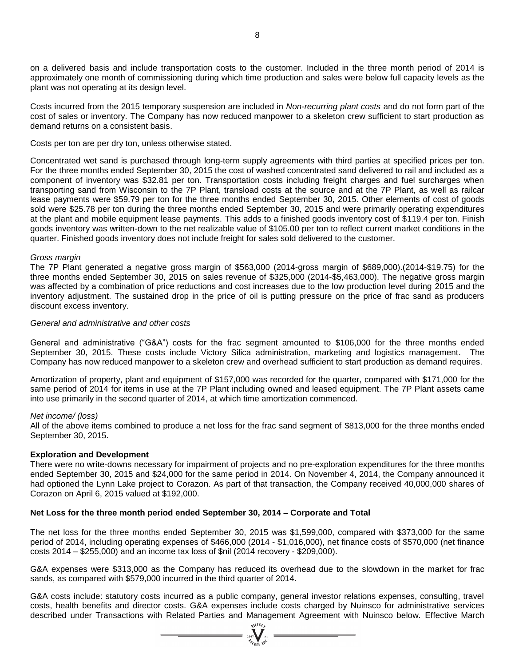on a delivered basis and include transportation costs to the customer. Included in the three month period of 2014 is approximately one month of commissioning during which time production and sales were below full capacity levels as the plant was not operating at its design level.

Costs incurred from the 2015 temporary suspension are included in *Non-recurring plant costs* and do not form part of the cost of sales or inventory. The Company has now reduced manpower to a skeleton crew sufficient to start production as demand returns on a consistent basis.

Costs per ton are per dry ton, unless otherwise stated.

Concentrated wet sand is purchased through long-term supply agreements with third parties at specified prices per ton. For the three months ended September 30, 2015 the cost of washed concentrated sand delivered to rail and included as a component of inventory was \$32.81 per ton. Transportation costs including freight charges and fuel surcharges when transporting sand from Wisconsin to the 7P Plant, transload costs at the source and at the 7P Plant, as well as railcar lease payments were \$59.79 per ton for the three months ended September 30, 2015. Other elements of cost of goods sold were \$25.78 per ton during the three months ended September 30, 2015 and were primarily operating expenditures at the plant and mobile equipment lease payments. This adds to a finished goods inventory cost of \$119.4 per ton. Finish goods inventory was written-down to the net realizable value of \$105.00 per ton to reflect current market conditions in the quarter. Finished goods inventory does not include freight for sales sold delivered to the customer.

#### *Gross margin*

The 7P Plant generated a negative gross margin of \$563,000 (2014-gross margin of \$689,000).(2014-\$19.75) for the three months ended September 30, 2015 on sales revenue of \$325,000 (2014-\$5,463,000). The negative gross margin was affected by a combination of price reductions and cost increases due to the low production level during 2015 and the inventory adjustment. The sustained drop in the price of oil is putting pressure on the price of frac sand as producers discount excess inventory.

#### *General and administrative and other costs*

General and administrative ("G&A") costs for the frac segment amounted to \$106,000 for the three months ended September 30, 2015. These costs include Victory Silica administration, marketing and logistics management. The Company has now reduced manpower to a skeleton crew and overhead sufficient to start production as demand requires.

Amortization of property, plant and equipment of \$157,000 was recorded for the quarter, compared with \$171,000 for the same period of 2014 for items in use at the 7P Plant including owned and leased equipment. The 7P Plant assets came into use primarily in the second quarter of 2014, at which time amortization commenced.

#### *Net income/ (loss)*

All of the above items combined to produce a net loss for the frac sand segment of \$813,000 for the three months ended September 30, 2015.

#### **Exploration and Development**

There were no write-downs necessary for impairment of projects and no pre-exploration expenditures for the three months ended September 30, 2015 and \$24,000 for the same period in 2014. On November 4, 2014, the Company announced it had optioned the Lynn Lake project to Corazon. As part of that transaction, the Company received 40,000,000 shares of Corazon on April 6, 2015 valued at \$192,000.

### **Net Loss for the three month period ended September 30, 2014 – Corporate and Total**

The net loss for the three months ended September 30, 2015 was \$1,599,000, compared with \$373,000 for the same period of 2014, including operating expenses of \$466,000 (2014 - \$1,016,000), net finance costs of \$570,000 (net finance costs 2014 – \$255,000) and an income tax loss of \$nil (2014 recovery - \$209,000).

G&A expenses were \$313,000 as the Company has reduced its overhead due to the slowdown in the market for frac sands, as compared with \$579,000 incurred in the third quarter of 2014.

G&A costs include: statutory costs incurred as a public company, general investor relations expenses, consulting, travel costs, health benefits and director costs. G&A expenses include costs charged by Nuinsco for administrative services described under Transactions with Related Parties and Management Agreement with Nuinsco below. Effective March

 $\sum_{\substack{2007\\ \mathcal{U}_{GEM}}}\sum_{W}^{N}$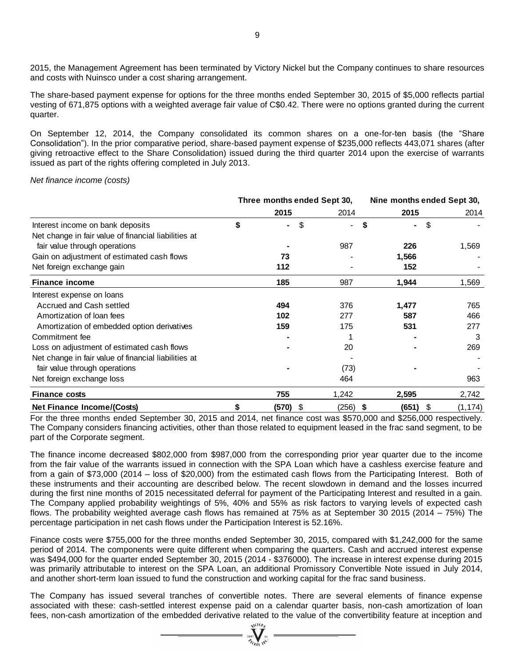2015, the Management Agreement has been terminated by Victory Nickel but the Company continues to share resources and costs with Nuinsco under a cost sharing arrangement.

The share-based payment expense for options for the three months ended September 30, 2015 of \$5,000 reflects partial vesting of 671,875 options with a weighted average fair value of C\$0.42. There were no options granted during the current quarter.

On September 12, 2014, the Company consolidated its common shares on a one-for-ten basis (the "Share Consolidation"). In the prior comparative period, share-based payment expense of \$235,000 reflects 443,071 shares (after giving retroactive effect to the Share Consolidation) issued during the third quarter 2014 upon the exercise of warrants issued as part of the rights offering completed in July 2013.

*Net finance income (costs)*

|                                                      | Three months ended Sept 30, |    |                |            | Nine months ended Sept 30, |  |
|------------------------------------------------------|-----------------------------|----|----------------|------------|----------------------------|--|
|                                                      | 2015                        |    | 2014           | 2015       | 2014                       |  |
| Interest income on bank deposits                     | \$<br>۰.                    | \$ | $\blacksquare$ | \$<br>٠    | \$                         |  |
| Net change in fair value of financial liabilities at |                             |    |                |            |                            |  |
| fair value through operations                        |                             |    | 987            | 226        | 1,569                      |  |
| Gain on adjustment of estimated cash flows           | 73                          |    |                | 1,566      |                            |  |
| Net foreign exchange gain                            | 112                         |    |                | 152        |                            |  |
| <b>Finance income</b>                                | 185                         |    | 987            | 1,944      | 1,569                      |  |
| Interest expense on loans                            |                             |    |                |            |                            |  |
| Accrued and Cash settled                             | 494                         |    | 376            | 1,477      | 765                        |  |
| Amortization of loan fees                            | 102                         |    | 277            | 587        | 466                        |  |
| Amortization of embedded option derivatives          | 159                         |    | 175            | 531        | 277                        |  |
| Commitment fee                                       |                             |    |                |            | 3                          |  |
| Loss on adjustment of estimated cash flows           |                             |    | 20             |            | 269                        |  |
| Net change in fair value of financial liabilities at |                             |    |                |            |                            |  |
| fair value through operations                        |                             |    | (73)           |            |                            |  |
| Net foreign exchange loss                            |                             |    | 464            |            | 963                        |  |
| <b>Finance costs</b>                                 | 755                         |    | 1,242          | 2,595      | 2,742                      |  |
| <b>Net Finance Income/(Costs)</b>                    | \$<br>$(570)$ \$            |    | $(256)$ \$     | $(651)$ \$ | (1, 174)                   |  |

For the three months ended September 30, 2015 and 2014, net finance cost was \$570,000 and \$256,000 respectively. The Company considers financing activities, other than those related to equipment leased in the frac sand segment, to be part of the Corporate segment.

The finance income decreased \$802,000 from \$987,000 from the corresponding prior year quarter due to the income from the fair value of the warrants issued in connection with the SPA Loan which have a cashless exercise feature and from a gain of \$73,000 (2014 – loss of \$20,000) from the estimated cash flows from the Participating Interest. Both of these instruments and their accounting are described below. The recent slowdown in demand and the losses incurred during the first nine months of 2015 necessitated deferral for payment of the Participating Interest and resulted in a gain. The Company applied probability weightings of 5%, 40% and 55% as risk factors to varying levels of expected cash flows. The probability weighted average cash flows has remained at 75% as at September 30 2015 (2014 – 75%) The percentage participation in net cash flows under the Participation Interest is 52.16%.

Finance costs were \$755,000 for the three months ended September 30, 2015, compared with \$1,242,000 for the same period of 2014. The components were quite different when comparing the quarters. Cash and accrued interest expense was \$494,000 for the quarter ended September 30, 2015 (2014 - \$376000). The increase in interest expense during 2015 was primarily attributable to interest on the SPA Loan, an additional Promissory Convertible Note issued in July 2014, and another short-term loan issued to fund the construction and working capital for the frac sand business.

The Company has issued several tranches of convertible notes. There are several elements of finance expense associated with these: cash-settled interest expense paid on a calendar quarter basis, non-cash amortization of loan fees, non-cash amortization of the embedded derivative related to the value of the convertibility feature at inception and

 $\sum_{\substack{2007\\77}}^{\text{WLOB}}\sum_{\text{N}}^{\text{N}}$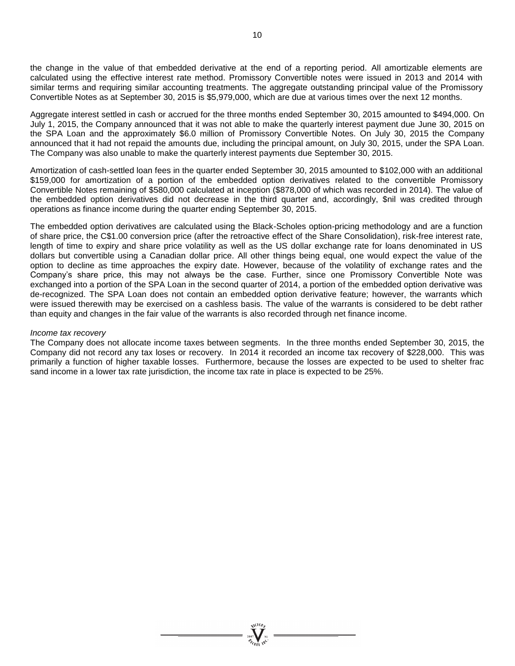the change in the value of that embedded derivative at the end of a reporting period. All amortizable elements are calculated using the effective interest rate method. Promissory Convertible notes were issued in 2013 and 2014 with similar terms and requiring similar accounting treatments. The aggregate outstanding principal value of the Promissory Convertible Notes as at September 30, 2015 is \$5,979,000, which are due at various times over the next 12 months.

Aggregate interest settled in cash or accrued for the three months ended September 30, 2015 amounted to \$494,000. On July 1, 2015, the Company announced that it was not able to make the quarterly interest payment due June 30, 2015 on the SPA Loan and the approximately \$6.0 million of Promissory Convertible Notes. On July 30, 2015 the Company announced that it had not repaid the amounts due, including the principal amount, on July 30, 2015, under the SPA Loan. The Company was also unable to make the quarterly interest payments due September 30, 2015.

Amortization of cash-settled loan fees in the quarter ended September 30, 2015 amounted to \$102,000 with an additional \$159,000 for amortization of a portion of the embedded option derivatives related to the convertible Promissory Convertible Notes remaining of \$580,000 calculated at inception (\$878,000 of which was recorded in 2014). The value of the embedded option derivatives did not decrease in the third quarter and, accordingly, \$nil was credited through operations as finance income during the quarter ending September 30, 2015.

The embedded option derivatives are calculated using the Black-Scholes option-pricing methodology and are a function of share price, the C\$1.00 conversion price (after the retroactive effect of the Share Consolidation), risk-free interest rate, length of time to expiry and share price volatility as well as the US dollar exchange rate for loans denominated in US dollars but convertible using a Canadian dollar price. All other things being equal, one would expect the value of the option to decline as time approaches the expiry date. However, because of the volatility of exchange rates and the Company's share price, this may not always be the case. Further, since one Promissory Convertible Note was exchanged into a portion of the SPA Loan in the second quarter of 2014, a portion of the embedded option derivative was de-recognized. The SPA Loan does not contain an embedded option derivative feature; however, the warrants which were issued therewith may be exercised on a cashless basis. The value of the warrants is considered to be debt rather than equity and changes in the fair value of the warrants is also recorded through net finance income.

#### *Income tax recovery*

The Company does not allocate income taxes between segments. In the three months ended September 30, 2015, the Company did not record any tax loses or recovery. In 2014 it recorded an income tax recovery of \$228,000. This was primarily a function of higher taxable losses. Furthermore, because the losses are expected to be used to shelter frac sand income in a lower tax rate jurisdiction, the income tax rate in place is expected to be 25%.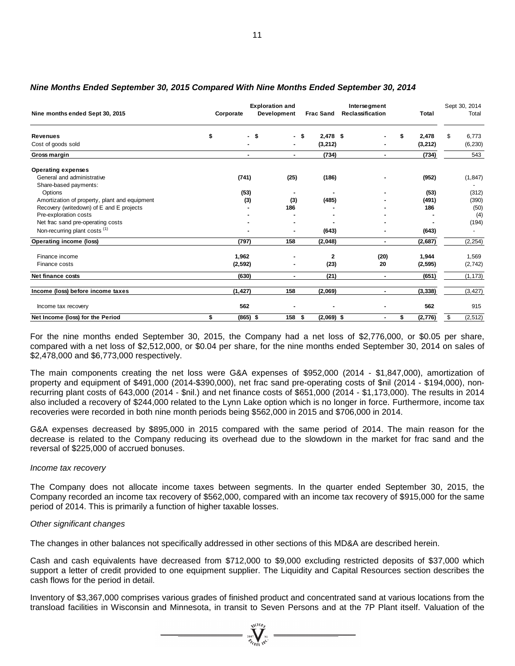| Nine months ended Sept 30, 2015                                                                                                                                                                                                                                                                                                                                                                                                                                                                                                                                                                                                                                                                                                  | Corporate | <b>Exploration and</b><br>Development |                                | Intersegment<br>Frac Sand Reclassification | Total                   | Sept 30, 2014<br>Total  |
|----------------------------------------------------------------------------------------------------------------------------------------------------------------------------------------------------------------------------------------------------------------------------------------------------------------------------------------------------------------------------------------------------------------------------------------------------------------------------------------------------------------------------------------------------------------------------------------------------------------------------------------------------------------------------------------------------------------------------------|-----------|---------------------------------------|--------------------------------|--------------------------------------------|-------------------------|-------------------------|
| <b>Revenues</b><br>Cost of goods sold                                                                                                                                                                                                                                                                                                                                                                                                                                                                                                                                                                                                                                                                                            | \$        | - \$                                  | - \$<br>$2,478$ \$<br>(3, 212) |                                            | \$<br>2,478<br>(3, 212) | \$<br>6,773<br>(6, 230) |
| Gross margin                                                                                                                                                                                                                                                                                                                                                                                                                                                                                                                                                                                                                                                                                                                     |           | $\blacksquare$<br>$\blacksquare$      | (734)                          | $\blacksquare$                             | (734)                   | 543                     |
| <b>Operating expenses</b><br>General and administrative                                                                                                                                                                                                                                                                                                                                                                                                                                                                                                                                                                                                                                                                          | (741)     | (25)                                  | (186)                          |                                            | (952)                   | (1, 847)                |
| Share-based payments:                                                                                                                                                                                                                                                                                                                                                                                                                                                                                                                                                                                                                                                                                                            |           |                                       |                                |                                            |                         |                         |
| Options<br>Amortization of property, plant and equipment                                                                                                                                                                                                                                                                                                                                                                                                                                                                                                                                                                                                                                                                         |           | (53)<br>(3)<br>(3)                    | (485)                          |                                            | (53)<br>(491)           | (312)<br>(390)          |
| Recovery (writedown) of E and E projects                                                                                                                                                                                                                                                                                                                                                                                                                                                                                                                                                                                                                                                                                         |           | 186                                   |                                |                                            | 186                     | (50)                    |
| Pre-exploration costs                                                                                                                                                                                                                                                                                                                                                                                                                                                                                                                                                                                                                                                                                                            |           |                                       |                                |                                            |                         | (4)                     |
| Net frac sand pre-operating costs                                                                                                                                                                                                                                                                                                                                                                                                                                                                                                                                                                                                                                                                                                |           |                                       |                                |                                            |                         | (194)                   |
| Non-recurring plant costs <sup>(1)</sup>                                                                                                                                                                                                                                                                                                                                                                                                                                                                                                                                                                                                                                                                                         |           |                                       | (643)                          |                                            | (643)                   | $\sim$                  |
| Operating income (loss)                                                                                                                                                                                                                                                                                                                                                                                                                                                                                                                                                                                                                                                                                                          | (797)     | 158                                   | (2,048)                        | $\blacksquare$                             | (2,687)                 | (2, 254)                |
| Finance income                                                                                                                                                                                                                                                                                                                                                                                                                                                                                                                                                                                                                                                                                                                   | 1,962     |                                       | 2                              | (20)                                       | 1,944                   | 1,569                   |
| Finance costs                                                                                                                                                                                                                                                                                                                                                                                                                                                                                                                                                                                                                                                                                                                    | (2, 592)  |                                       | (23)                           | 20                                         | (2, 595)                | (2, 742)                |
| Net finance costs                                                                                                                                                                                                                                                                                                                                                                                                                                                                                                                                                                                                                                                                                                                | (630)     | $\blacksquare$                        | (21)                           | $\blacksquare$                             | (651)                   | (1, 173)                |
|                                                                                                                                                                                                                                                                                                                                                                                                                                                                                                                                                                                                                                                                                                                                  |           |                                       |                                |                                            |                         |                         |
| Income (loss) before income taxes                                                                                                                                                                                                                                                                                                                                                                                                                                                                                                                                                                                                                                                                                                | (1, 427)  | 158                                   | (2,069)                        | $\blacksquare$                             | (3, 338)                | (3, 427)                |
| Income tax recovery                                                                                                                                                                                                                                                                                                                                                                                                                                                                                                                                                                                                                                                                                                              | 562       |                                       |                                |                                            | 562                     | 915                     |
| Net Income (loss) for the Period                                                                                                                                                                                                                                                                                                                                                                                                                                                                                                                                                                                                                                                                                                 | \$        | $(865)$ \$<br>158                     | \$<br>$(2,069)$ \$             | $\blacksquare$                             | \$<br>(2, 776)          | \$<br>(2, 512)          |
| property and equipment of \$491,000 (2014-\$390,000), net frac sand pre-operating costs of \$nil (2014 - \$194,000), non-<br>recurring plant costs of 643,000 (2014 - \$nil.) and net finance costs of \$651,000 (2014 - \$1,173,000). The results in 2014<br>also included a recovery of \$244,000 related to the Lynn Lake option which is no longer in force. Furthermore, income tax<br>recoveries were recorded in both nine month periods being \$562,000 in 2015 and \$706,000 in 2014.<br>G&A expenses decreased by \$895,000 in 2015 compared with the same period of 2014. The main reason for the<br>decrease is related to the Company reducing its overhead due to the slowdown in the market for frac sand and the |           |                                       |                                |                                            |                         |                         |
| reversal of \$225,000 of accrued bonuses.<br>Income tax recovery                                                                                                                                                                                                                                                                                                                                                                                                                                                                                                                                                                                                                                                                 |           |                                       |                                |                                            |                         |                         |
|                                                                                                                                                                                                                                                                                                                                                                                                                                                                                                                                                                                                                                                                                                                                  |           |                                       |                                |                                            |                         |                         |
| The Company does not allocate income taxes between segments. In the quarter ended September 30, 2015, the<br>Company recorded an income tax recovery of \$562,000, compared with an income tax recovery of \$915,000 for the same<br>period of 2014. This is primarily a function of higher taxable losses.                                                                                                                                                                                                                                                                                                                                                                                                                      |           |                                       |                                |                                            |                         |                         |
| Other significant changes                                                                                                                                                                                                                                                                                                                                                                                                                                                                                                                                                                                                                                                                                                        |           |                                       |                                |                                            |                         |                         |
| The changes in other balances not specifically addressed in other sections of this MD&A are described herein.                                                                                                                                                                                                                                                                                                                                                                                                                                                                                                                                                                                                                    |           |                                       |                                |                                            |                         |                         |
| Cash and cash equivalents have decreased from \$712,000 to \$9,000 excluding restricted deposits of \$37,000 which<br>support a letter of credit provided to one equipment supplier. The Liquidity and Capital Resources section describes the<br>cash flows for the period in detail.                                                                                                                                                                                                                                                                                                                                                                                                                                           |           |                                       |                                |                                            |                         |                         |
| Inventory of \$3,367,000 comprises various grades of finished product and concentrated sand at various locations from the<br>transload facilities in Wisconsin and Minnesota, in transit to Seven Persons and at the 7P Plant itself. Valuation of the                                                                                                                                                                                                                                                                                                                                                                                                                                                                           |           |                                       |                                |                                            |                         |                         |

### *Nine Months Ended September 30, 2015 Compared With Nine Months Ended September 30, 2014*

#### *Income tax recovery*

### *Other significant changes*

 $\sum_{\substack{\text{2007}\ \text{2007y} \ \text{N} \ \text{2007y}}}$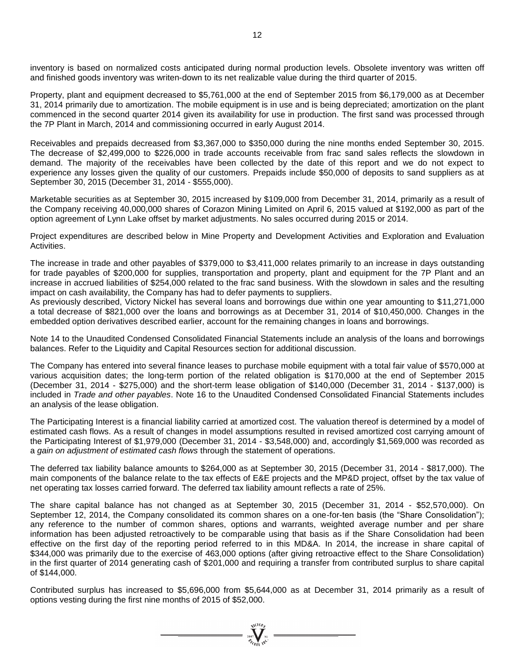inventory is based on normalized costs anticipated during normal production levels. Obsolete inventory was written off and finished goods inventory was writen-down to its net realizable value during the third quarter of 2015.

Property, plant and equipment decreased to \$5,761,000 at the end of September 2015 from \$6,179,000 as at December 31, 2014 primarily due to amortization. The mobile equipment is in use and is being depreciated; amortization on the plant commenced in the second quarter 2014 given its availability for use in production. The first sand was processed through the 7P Plant in March, 2014 and commissioning occurred in early August 2014.

Receivables and prepaids decreased from \$3,367,000 to \$350,000 during the nine months ended September 30, 2015. The decrease of \$2,499,000 to \$226,000 in trade accounts receivable from frac sand sales reflects the slowdown in demand. The majority of the receivables have been collected by the date of this report and we do not expect to experience any losses given the quality of our customers. Prepaids include \$50,000 of deposits to sand suppliers as at September 30, 2015 (December 31, 2014 - \$555,000).

Marketable securities as at September 30, 2015 increased by \$109,000 from December 31, 2014, primarily as a result of the Company receiving 40,000,000 shares of Corazon Mining Limited on April 6, 2015 valued at \$192,000 as part of the option agreement of Lynn Lake offset by market adjustments. No sales occurred during 2015 or 2014.

Project expenditures are described below in Mine Property and Development Activities and Exploration and Evaluation Activities.

The increase in trade and other payables of \$379,000 to \$3,411,000 relates primarily to an increase in days outstanding for trade payables of \$200,000 for supplies, transportation and property, plant and equipment for the 7P Plant and an increase in accrued liabilities of \$254,000 related to the frac sand business. With the slowdown in sales and the resulting impact on cash availability, the Company has had to defer payments to suppliers.

As previously described, Victory Nickel has several loans and borrowings due within one year amounting to \$11,271,000 a total decrease of \$821,000 over the loans and borrowings as at December 31, 2014 of \$10,450,000. Changes in the embedded option derivatives described earlier, account for the remaining changes in loans and borrowings.

Note 14 to the Unaudited Condensed Consolidated Financial Statements include an analysis of the loans and borrowings balances. Refer to the Liquidity and Capital Resources section for additional discussion.

The Company has entered into several finance leases to purchase mobile equipment with a total fair value of \$570,000 at various acquisition dates; the long-term portion of the related obligation is \$170,000 at the end of September 2015 (December 31, 2014 - \$275,000) and the short-term lease obligation of \$140,000 (December 31, 2014 - \$137,000) is included in *Trade and other payables*. Note 16 to the Unaudited Condensed Consolidated Financial Statements includes an analysis of the lease obligation.

The Participating Interest is a financial liability carried at amortized cost. The valuation thereof is determined by a model of estimated cash flows. As a result of changes in model assumptions resulted in revised amortized cost carrying amount of the Participating Interest of \$1,979,000 (December 31, 2014 - \$3,548,000) and, accordingly \$1,569,000 was recorded as a *gain on adjustment of estimated cash flows* through the statement of operations.

The deferred tax liability balance amounts to \$264,000 as at September 30, 2015 (December 31, 2014 - \$817,000). The main components of the balance relate to the tax effects of E&E projects and the MP&D project, offset by the tax value of net operating tax losses carried forward. The deferred tax liability amount reflects a rate of 25%.

The share capital balance has not changed as at September 30, 2015 (December 31, 2014 - \$52,570,000). On September 12, 2014, the Company consolidated its common shares on a one-for-ten basis (the "Share Consolidation"); any reference to the number of common shares, options and warrants, weighted average number and per share information has been adjusted retroactively to be comparable using that basis as if the Share Consolidation had been effective on the first day of the reporting period referred to in this MD&A. In 2014, the increase in share capital of \$344,000 was primarily due to the exercise of 463,000 options (after giving retroactive effect to the Share Consolidation) in the first quarter of 2014 generating cash of \$201,000 and requiring a transfer from contributed surplus to share capital of \$144,000.

Contributed surplus has increased to \$5,696,000 from \$5,644,000 as at December 31, 2014 primarily as a result of options vesting during the first nine months of 2015 of \$52,000.

=  $\sum_{i=1}^{N^{(10)}}$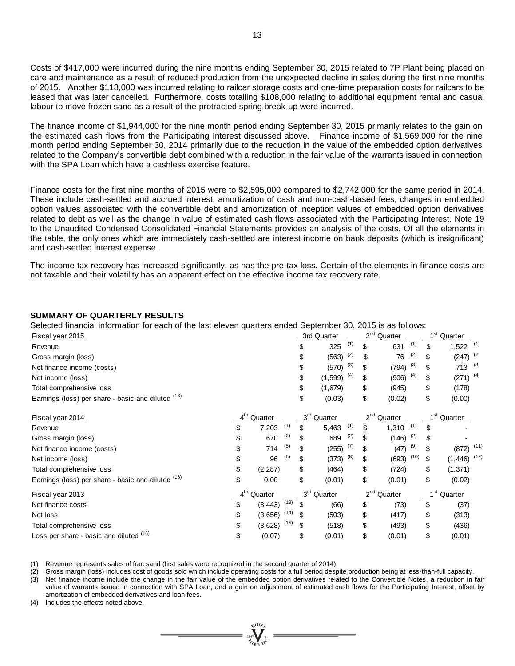Costs of \$417,000 were incurred during the nine months ending September 30, 2015 related to 7P Plant being placed on care and maintenance as a result of reduced production from the unexpected decline in sales during the first nine months of 2015. Another \$118,000 was incurred relating to railcar storage costs and one-time preparation costs for railcars to be leased that was later cancelled. Furthermore, costs totalling \$108,000 relating to additional equipment rental and casual labour to move frozen sand as a result of the protracted spring break-up were incurred.

The finance income of \$1,944,000 for the nine month period ending September 30, 2015 primarily relates to the gain on the estimated cash flows from the Participating Interest discussed above. Finance income of \$1,569,000 for the nine month period ending September 30, 2014 primarily due to the reduction in the value of the embedded option derivatives related to the Company's convertible debt combined with a reduction in the fair value of the warrants issued in connection with the SPA Loan which have a cashless exercise feature.

Finance costs for the first nine months of 2015 were to \$2,595,000 compared to \$2,742,000 for the same period in 2014. These include cash-settled and accrued interest, amortization of cash and non-cash-based fees, changes in embedded option values associated with the convertible debt and amortization of inception values of embedded option derivatives related to debt as well as the change in value of estimated cash flows associated with the Participating Interest. Note 19 to the Unaudited Condensed Consolidated Financial Statements provides an analysis of the costs. Of all the elements in the table, the only ones which are immediately cash-settled are interest income on bank deposits (which is insignificant) and cash-settled interest expense.

The income tax recovery has increased significantly, as has the pre-tax loss. Certain of the elements in finance costs are not taxable and their volatility has an apparent effect on the effective income tax recovery rate.

#### **SUMMARY OF QUARTERLY RESULTS**

| Fiscal year 2015                                   |                         |      |    | 3rd Quarter             | 2 <sup>nd</sup> Quarter      | 1 <sup>st</sup> Quarter         |     |
|----------------------------------------------------|-------------------------|------|----|-------------------------|------------------------------|---------------------------------|-----|
| Revenue                                            |                         |      |    | (1)<br>325              | \$<br>(1)<br>631             | \$<br>$1,522$ (1)               |     |
| Gross margin (loss)                                |                         |      |    | (2)<br>(563)            | \$<br>(2)<br>76              | \$<br>$(247)$ <sup>(2)</sup>    |     |
| Net finance income (costs)                         |                         |      |    | (3)<br>(570)            | \$<br>(3)<br>(794)           | \$<br>713                       | (3) |
| Net income (loss)                                  |                         |      | \$ | (4)<br>(1, 599)         | \$<br>$(906)$ <sup>(4)</sup> | \$<br>$(271)^{(4)}$             |     |
| Total comprehensive loss                           |                         |      | \$ | (1,679)                 | \$<br>(945)                  | \$<br>(178)                     |     |
| Earnings (loss) per share - basic and diluted (16) |                         |      | \$ | (0.03)                  | \$<br>(0.02)                 | \$<br>(0.00)                    |     |
| Fiscal year 2014                                   | 4 <sup>th</sup> Quarter |      |    | 3 <sup>rd</sup> Quarter | 2 <sup>nd</sup> Quarter      | 1 <sup>st</sup> Quarter         |     |
| Revenue                                            | \$<br>7,203             | (1)  | \$ | (1)<br>5,463            | \$<br>(1)<br>1,310           | \$                              |     |
| Gross margin (loss)                                | \$<br>670               | (2)  |    | (2)<br>689              | \$<br>(2)<br>(146)           | \$                              |     |
| Net finance income (costs)                         | \$<br>714               | (5)  |    | (7)<br>(255)            | \$<br>(9)<br>(47)            | \$<br>$(872)$ <sup>(11)</sup>   |     |
| Net income (loss)                                  | \$<br>96                | (6)  | S  | (8)<br>(373)            | \$<br>(10)<br>(693)          | \$<br>$(1,446)$ <sup>(12)</sup> |     |
| Total comprehensive loss                           | \$<br>(2, 287)          |      | \$ | (464)                   | \$<br>(724)                  | \$<br>(1, 371)                  |     |
| Earnings (loss) per share - basic and diluted (16) | \$<br>0.00              |      | \$ | (0.01)                  | \$<br>(0.01)                 | \$<br>(0.02)                    |     |
| Fiscal year 2013                                   | 4 <sup>th</sup> Quarter |      |    | 3 <sup>rd</sup> Quarter | 2 <sup>nd</sup> Quarter      | 1 <sup>st</sup> Quarter         |     |
| Net finance costs                                  | \$<br>(3, 443)          | (13) | \$ | (66)                    | \$<br>(73)                   | \$<br>(37)                      |     |
| Net loss                                           | \$<br>(3,656)           | (14) |    | (503)                   | \$<br>(417)                  | \$<br>(313)                     |     |
| Total comprehensive loss                           | \$<br>(3,628)           | (15) |    | (518)                   | \$<br>(493)                  | \$<br>(436)                     |     |
|                                                    |                         |      |    |                         |                              |                                 |     |

(1) Revenue represents sales of frac sand (first sales were recognized in the second quarter of 2014).

(2) Gross margin (loss) includes cost of goods sold which include operating costs for a full period despite production being at less-than-full capacity.

(3) Net finance income include the change in the fair value of the embedded option derivatives related to the Convertible Notes, a reduction in fair value of warrants issued in connection with SPA Loan, and a gain on adjustment of estimated cash flows for the Participating Interest, offset by amortization of embedded derivatives and loan fees.

(4) Includes the effects noted above.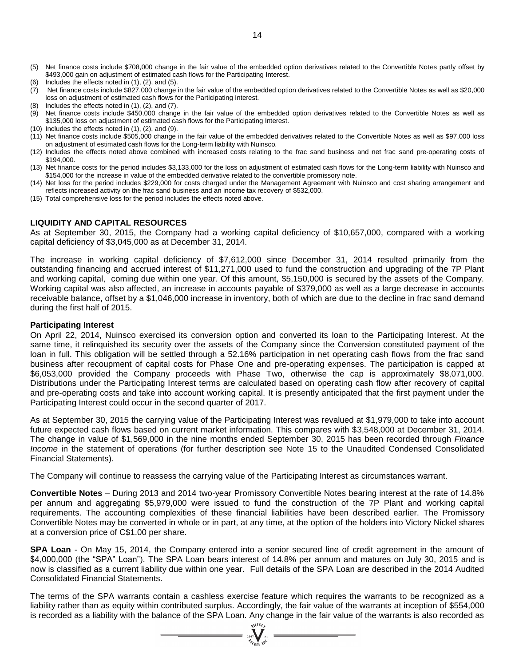- (5) Net finance costs include \$708,000 change in the fair value of the embedded option derivatives related to the Convertible Notes partly offset by \$493,000 gain on adjustment of estimated cash flows for the Participating Interest.
- (6) Includes the effects noted in (1), (2), and (5).
- (7) Net finance costs include \$827,000 change in the fair value of the embedded option derivatives related to the Convertible Notes as well as \$20,000 loss on adjustment of estimated cash flows for the Participating Interest.
- (8) Includes the effects noted in (1), (2), and (7).
- (9) Net finance costs include \$450,000 change in the fair value of the embedded option derivatives related to the Convertible Notes as well as \$135,000 loss on adjustment of estimated cash flows for the Participating Interest.
- (10) Includes the effects noted in (1), (2), and (9).
- (11) Net finance costs include \$505,000 change in the fair value of the embedded derivatives related to the Convertible Notes as well as \$97,000 loss on adjustment of estimated cash flows for the Long-term liability with Nuinsco.
- (12) Includes the effects noted above combined with increased costs relating to the frac sand business and net frac sand pre-operating costs of \$194,000.
- (13) Net finance costs for the period includes \$3,133,000 for the loss on adjustment of estimated cash flows for the Long-term liability with Nuinsco and \$154,000 for the increase in value of the embedded derivative related to the convertible promissory note.
- (14) Net loss for the period includes \$229,000 for costs charged under the Management Agreement with Nuinsco and cost sharing arrangement and reflects increased activity on the frac sand business and an income tax recovery of \$532,000.
- (15) Total comprehensive loss for the period includes the effects noted above.

#### **LIQUIDITY AND CAPITAL RESOURCES**

As at September 30, 2015, the Company had a working capital deficiency of \$10,657,000, compared with a working capital deficiency of \$3,045,000 as at December 31, 2014.

The increase in working capital deficiency of \$7,612,000 since December 31, 2014 resulted primarily from the outstanding financing and accrued interest of \$11,271,000 used to fund the construction and upgrading of the 7P Plant and working capital, coming due within one year. Of this amount, \$5,150,000 is secured by the assets of the Company. Working capital was also affected, an increase in accounts payable of \$379,000 as well as a large decrease in accounts receivable balance, offset by a \$1,046,000 increase in inventory, both of which are due to the decline in frac sand demand during the first half of 2015.

#### **Participating Interest**

On April 22, 2014, Nuinsco exercised its conversion option and converted its loan to the Participating Interest. At the same time, it relinquished its security over the assets of the Company since the Conversion constituted payment of the loan in full. This obligation will be settled through a 52.16% participation in net operating cash flows from the frac sand business after recoupment of capital costs for Phase One and pre-operating expenses. The participation is capped at \$6,053,000 provided the Company proceeds with Phase Two, otherwise the cap is approximately \$8,071,000. Distributions under the Participating Interest terms are calculated based on operating cash flow after recovery of capital and pre-operating costs and take into account working capital. It is presently anticipated that the first payment under the Participating Interest could occur in the second quarter of 2017.

As at September 30, 2015 the carrying value of the Participating Interest was revalued at \$1,979,000 to take into account future expected cash flows based on current market information. This compares with \$3,548,000 at December 31, 2014. The change in value of \$1,569,000 in the nine months ended September 30, 2015 has been recorded through *Finance Income* in the statement of operations (for further description see Note 15 to the Unaudited Condensed Consolidated Financial Statements).

The Company will continue to reassess the carrying value of the Participating Interest as circumstances warrant.

**Convertible Notes** – During 2013 and 2014 two-year Promissory Convertible Notes bearing interest at the rate of 14.8% per annum and aggregating \$5,979,000 were issued to fund the construction of the 7P Plant and working capital requirements. The accounting complexities of these financial liabilities have been described earlier. The Promissory Convertible Notes may be converted in whole or in part, at any time, at the option of the holders into Victory Nickel shares at a conversion price of C\$1.00 per share.

**SPA Loan** - On May 15, 2014, the Company entered into a senior secured line of credit agreement in the amount of \$4,000,000 (the "SPA" Loan"). The SPA Loan bears interest of 14.8% per annum and matures on July 30, 2015 and is now is classified as a current liability due within one year. Full details of the SPA Loan are described in the 2014 Audited Consolidated Financial Statements.

The terms of the SPA warrants contain a cashless exercise feature which requires the warrants to be recognized as a liability rather than as equity within contributed surplus. Accordingly, the fair value of the warrants at inception of \$554,000 is recorded as a liability with the balance of the SPA Loan. Any change in the fair value of the warrants is also recorded as

 $\sum_{\alpha}$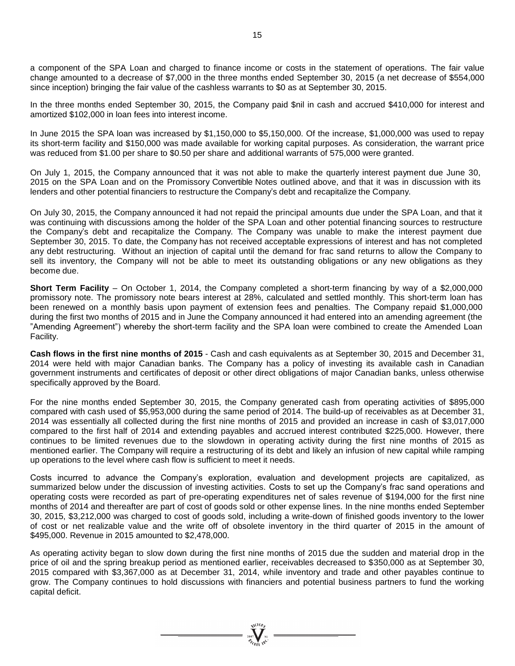a component of the SPA Loan and charged to finance income or costs in the statement of operations. The fair value change amounted to a decrease of \$7,000 in the three months ended September 30, 2015 (a net decrease of \$554,000 since inception) bringing the fair value of the cashless warrants to \$0 as at September 30, 2015.

In the three months ended September 30, 2015, the Company paid \$nil in cash and accrued \$410,000 for interest and amortized \$102,000 in loan fees into interest income.

In June 2015 the SPA loan was increased by \$1,150,000 to \$5,150,000. Of the increase, \$1,000,000 was used to repay its short-term facility and \$150,000 was made available for working capital purposes. As consideration, the warrant price was reduced from \$1.00 per share to \$0.50 per share and additional warrants of 575,000 were granted.

On July 1, 2015, the Company announced that it was not able to make the quarterly interest payment due June 30, 2015 on the SPA Loan and on the Promissory Convertible Notes outlined above, and that it was in discussion with its lenders and other potential financiers to restructure the Company's debt and recapitalize the Company.

On July 30, 2015, the Company announced it had not repaid the principal amounts due under the SPA Loan, and that it was continuing with discussions among the holder of the SPA Loan and other potential financing sources to restructure the Company's debt and recapitalize the Company. The Company was unable to make the interest payment due September 30, 2015. To date, the Company has not received acceptable expressions of interest and has not completed any debt restructuring. Without an injection of capital until the demand for frac sand returns to allow the Company to sell its inventory, the Company will not be able to meet its outstanding obligations or any new obligations as they become due.

**Short Term Facility** – On October 1, 2014, the Company completed a short-term financing by way of a \$2,000,000 promissory note. The promissory note bears interest at 28%, calculated and settled monthly. This short-term loan has been renewed on a monthly basis upon payment of extension fees and penalties. The Company repaid \$1,000,000 during the first two months of 2015 and in June the Company announced it had entered into an amending agreement (the "Amending Agreement") whereby the short-term facility and the SPA loan were combined to create the Amended Loan Facility.

**Cash flows in the first nine months of 2015** - Cash and cash equivalents as at September 30, 2015 and December 31, 2014 were held with major Canadian banks. The Company has a policy of investing its available cash in Canadian government instruments and certificates of deposit or other direct obligations of major Canadian banks, unless otherwise specifically approved by the Board.

For the nine months ended September 30, 2015, the Company generated cash from operating activities of \$895,000 compared with cash used of \$5,953,000 during the same period of 2014. The build-up of receivables as at December 31, 2014 was essentially all collected during the first nine months of 2015 and provided an increase in cash of \$3,017,000 compared to the first half of 2014 and extending payables and accrued interest contributed \$225,000. However, there continues to be limited revenues due to the slowdown in operating activity during the first nine months of 2015 as mentioned earlier. The Company will require a restructuring of its debt and likely an infusion of new capital while ramping up operations to the level where cash flow is sufficient to meet it needs.

Costs incurred to advance the Company's exploration, evaluation and development projects are capitalized, as summarized below under the discussion of investing activities. Costs to set up the Company's frac sand operations and operating costs were recorded as part of pre-operating expenditures net of sales revenue of \$194,000 for the first nine months of 2014 and thereafter are part of cost of goods sold or other expense lines. In the nine months ended September 30, 2015, \$3,212,000 was charged to cost of goods sold, including a write-down of finished goods inventory to the lower of cost or net realizable value and the write off of obsolete inventory in the third quarter of 2015 in the amount of \$495,000. Revenue in 2015 amounted to \$2,478,000.

As operating activity began to slow down during the first nine months of 2015 due the sudden and material drop in the price of oil and the spring breakup period as mentioned earlier, receivables decreased to \$350,000 as at September 30, 2015 compared with \$3,367,000 as at December 31, 2014, while inventory and trade and other payables continue to grow. The Company continues to hold discussions with financiers and potential business partners to fund the working capital deficit.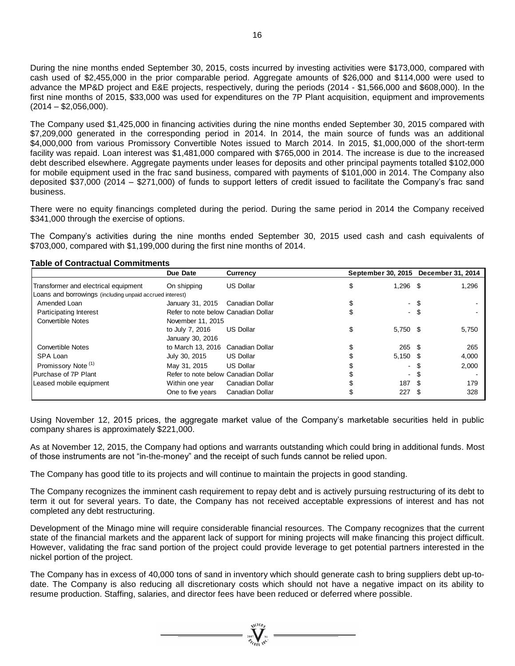During the nine months ended September 30, 2015, costs incurred by investing activities were \$173,000, compared with cash used of \$2,455,000 in the prior comparable period. Aggregate amounts of \$26,000 and \$114,000 were used to advance the MP&D project and E&E projects, respectively, during the periods (2014 - \$1,566,000 and \$608,000). In the first nine months of 2015, \$33,000 was used for expenditures on the 7P Plant acquisition, equipment and improvements  $(2014 - $2,056,000)$ .

The Company used \$1,425,000 in financing activities during the nine months ended September 30, 2015 compared with \$7,209,000 generated in the corresponding period in 2014. In 2014, the main source of funds was an additional \$4,000,000 from various Promissory Convertible Notes issued to March 2014. In 2015, \$1,000,000 of the short-term facility was repaid. Loan interest was \$1,481,000 compared with \$765,000 in 2014. The increase is due to the increased debt described elsewhere. Aggregate payments under leases for deposits and other principal payments totalled \$102,000 for mobile equipment used in the frac sand business, compared with payments of \$101,000 in 2014. The Company also deposited \$37,000 (2014 – \$271,000) of funds to support letters of credit issued to facilitate the Company's frac sand business.

There were no equity financings completed during the period. During the same period in 2014 the Company received \$341,000 through the exercise of options.

The Company's activities during the nine months ended September 30, 2015 used cash and cash equivalents of \$703,000, compared with \$1,199,000 during the first nine months of 2014.

#### **Table of Contractual Commitments**

|                                                          | Due Date                            | <b>Currency</b>  |                  |      | September 30, 2015 December 31, 2014 |
|----------------------------------------------------------|-------------------------------------|------------------|------------------|------|--------------------------------------|
| Transformer and electrical equipment                     | On shipping                         | <b>US Dollar</b> | \$<br>$1,296$ \$ |      | 1,296                                |
| Loans and borrowings (including unpaid accrued interest) |                                     |                  |                  |      |                                      |
| Amended Loan                                             | January 31, 2015                    | Canadian Dollar  | - \$             |      |                                      |
| Participating Interest                                   | Refer to note below Canadian Dollar |                  | $\sim$           |      |                                      |
| <b>Convertible Notes</b>                                 | November 11, 2015                   |                  |                  |      |                                      |
|                                                          | to July 7, 2016                     | <b>US Dollar</b> | \$<br>5,750 \$   |      | 5,750                                |
|                                                          | January 30, 2016                    |                  |                  |      |                                      |
| <b>Convertible Notes</b>                                 | to March 13, 2016 Canadian Dollar   |                  | $265 \quad$ \$   |      | 265                                  |
| SPA Loan                                                 | July 30, 2015                       | <b>US Dollar</b> | $5,150$ \$       |      | 4,000                                |
| Promissory Note <sup>(1)</sup>                           | May 31, 2015                        | <b>US Dollar</b> | $\sim$           |      | 2,000                                |
| Purchase of 7P Plant                                     | Refer to note below Canadian Dollar |                  | $\sim$           |      |                                      |
| Leased mobile equipment                                  | Within one year                     | Canadian Dollar  | 187              | - \$ | 179                                  |
|                                                          | One to five years                   | Canadian Dollar  | 227              |      | 328                                  |

Using November 12, 2015 prices, the aggregate market value of the Company's marketable securities held in public company shares is approximately \$221,000.

As at November 12, 2015, the Company had options and warrants outstanding which could bring in additional funds. Most of those instruments are not "in-the-money" and the receipt of such funds cannot be relied upon.

The Company has good title to its projects and will continue to maintain the projects in good standing.

The Company recognizes the imminent cash requirement to repay debt and is actively pursuing restructuring of its debt to term it out for several years. To date, the Company has not received acceptable expressions of interest and has not completed any debt restructuring.

Development of the Minago mine will require considerable financial resources. The Company recognizes that the current state of the financial markets and the apparent lack of support for mining projects will make financing this project difficult. However, validating the frac sand portion of the project could provide leverage to get potential partners interested in the nickel portion of the project.

The Company has in excess of 40,000 tons of sand in inventory which should generate cash to bring suppliers debt up-todate. The Company is also reducing all discretionary costs which should not have a negative impact on its ability to resume production. Staffing, salaries, and director fees have been reduced or deferred where possible.

 $\frac{1}{\sqrt{\frac{1}{n}}\sum_{i=1}^{n} a_i}$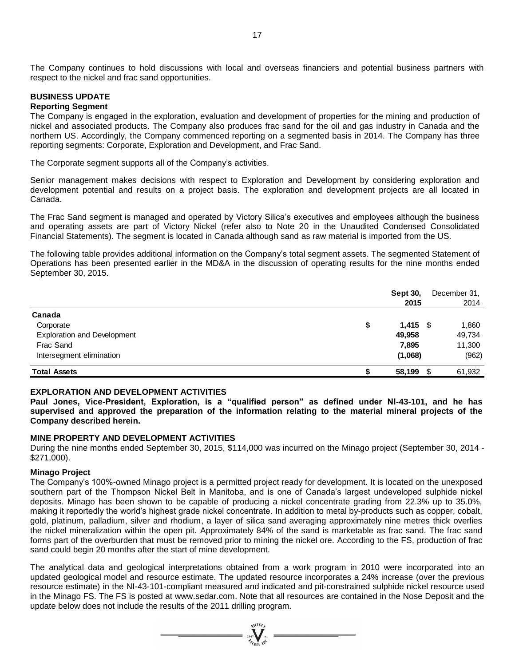The Company continues to hold discussions with local and overseas financiers and potential business partners with respect to the nickel and frac sand opportunities.

# **BUSINESS UPDATE**

#### **Reporting Segment**

The Company is engaged in the exploration, evaluation and development of properties for the mining and production of nickel and associated products. The Company also produces frac sand for the oil and gas industry in Canada and the northern US. Accordingly, the Company commenced reporting on a segmented basis in 2014. The Company has three reporting segments: Corporate, Exploration and Development, and Frac Sand.

The Corporate segment supports all of the Company's activities.

Senior management makes decisions with respect to Exploration and Development by considering exploration and development potential and results on a project basis. The exploration and development projects are all located in Canada.

The Frac Sand segment is managed and operated by Victory Silica's executives and employees although the business and operating assets are part of Victory Nickel (refer also to Note 20 in the Unaudited Condensed Consolidated Financial Statements). The segment is located in Canada although sand as raw material is imported from the US.

The following table provides additional information on the Company's total segment assets. The segmented Statement of Operations has been presented earlier in the MD&A in the discussion of operating results for the nine months ended September 30, 2015.

|                                                                                                                                                                                                                                                                                                                                                                                                                                                                                                                                                                                                                                                                                                                                                                                                                                                                                                                                                                            | Sept 30,         | December 31, |
|----------------------------------------------------------------------------------------------------------------------------------------------------------------------------------------------------------------------------------------------------------------------------------------------------------------------------------------------------------------------------------------------------------------------------------------------------------------------------------------------------------------------------------------------------------------------------------------------------------------------------------------------------------------------------------------------------------------------------------------------------------------------------------------------------------------------------------------------------------------------------------------------------------------------------------------------------------------------------|------------------|--------------|
|                                                                                                                                                                                                                                                                                                                                                                                                                                                                                                                                                                                                                                                                                                                                                                                                                                                                                                                                                                            | 2015             | 2014         |
| Canada                                                                                                                                                                                                                                                                                                                                                                                                                                                                                                                                                                                                                                                                                                                                                                                                                                                                                                                                                                     |                  |              |
| Corporate                                                                                                                                                                                                                                                                                                                                                                                                                                                                                                                                                                                                                                                                                                                                                                                                                                                                                                                                                                  | \$<br>$1,415$ \$ | 1,860        |
| <b>Exploration and Development</b>                                                                                                                                                                                                                                                                                                                                                                                                                                                                                                                                                                                                                                                                                                                                                                                                                                                                                                                                         | 49,958           | 49,734       |
| Frac Sand                                                                                                                                                                                                                                                                                                                                                                                                                                                                                                                                                                                                                                                                                                                                                                                                                                                                                                                                                                  | 7,895            | 11,300       |
| Intersegment elimination                                                                                                                                                                                                                                                                                                                                                                                                                                                                                                                                                                                                                                                                                                                                                                                                                                                                                                                                                   | (1,068)          | (962)        |
| <b>Total Assets</b>                                                                                                                                                                                                                                                                                                                                                                                                                                                                                                                                                                                                                                                                                                                                                                                                                                                                                                                                                        | \$<br>58,199 \$  | 61,932       |
| <b>EXPLORATION AND DEVELOPMENT ACTIVITIES</b><br>Paul Jones, Vice-President, Exploration, is a "qualified person" as defined under NI-43-101, and he has<br>supervised and approved the preparation of the information relating to the material mineral projects of the<br>Company described herein.                                                                                                                                                                                                                                                                                                                                                                                                                                                                                                                                                                                                                                                                       |                  |              |
| MINE PROPERTY AND DEVELOPMENT ACTIVITIES<br>During the nine months ended September 30, 2015, \$114,000 was incurred on the Minago project (September 30, 2014 -<br>$$271,000$ ).                                                                                                                                                                                                                                                                                                                                                                                                                                                                                                                                                                                                                                                                                                                                                                                           |                  |              |
| <b>Minago Project</b><br>The Company's 100%-owned Minago project is a permitted project ready for development. It is located on the unexposed<br>southern part of the Thompson Nickel Belt in Manitoba, and is one of Canada's largest undeveloped sulphide nickel<br>deposits. Minago has been shown to be capable of producing a nickel concentrate grading from 22.3% up to 35.0%,<br>making it reportedly the world's highest grade nickel concentrate. In addition to metal by-products such as copper, cobalt,<br>gold, platinum, palladium, silver and rhodium, a layer of silica sand averaging approximately nine metres thick overlies<br>the nickel mineralization within the open pit. Approximately 84% of the sand is marketable as frac sand. The frac sand<br>forms part of the overburden that must be removed prior to mining the nickel ore. According to the FS, production of frac<br>sand could begin 20 months after the start of mine development. |                  |              |
| The analytical data and geological interpretations obtained from a work program in 2010 were incorporated into an<br>updated geological model and resource estimate. The updated resource incorporates a 24% increase (over the previous<br>resource estimate) in the NI-43-101-compliant measured and indicated and pit-constrained sulphide nickel resource used<br>in the Minago FS. The FS is posted at www.sedar.com. Note that all resources are contained in the Nose Deposit and the<br>update below does not include the results of the 2011 drilling program.                                                                                                                                                                                                                                                                                                                                                                                                    |                  |              |

### **EXPLORATION AND DEVELOPMENT ACTIVITIES**

#### **MINE PROPERTY AND DEVELOPMENT ACTIVITIES**

#### **Minago Project**

 $\frac{\sum_{\substack{\text{200%} \\ \text{200%} \\ \text{200%}}}}{\sum_{\substack{\text{200%} \\ \text{200%}}}} \frac{\sum_{\substack{\text{200%} \\ \text{200%}}}}{\sum_{\substack{\text{200%} \\ \text{200%}}}}$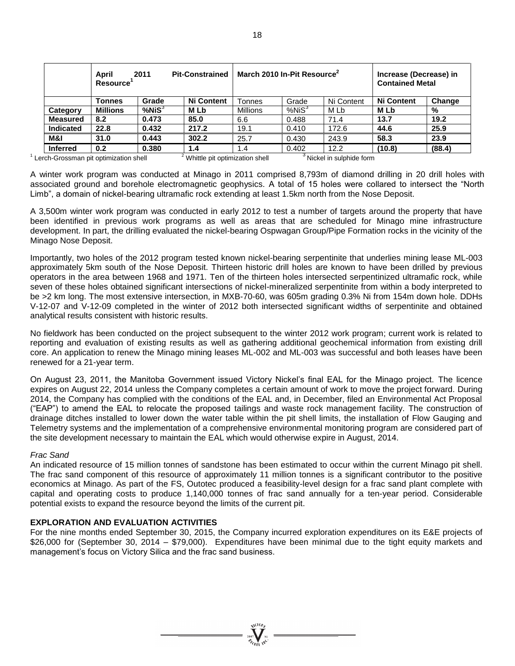|                  | April<br><b>Pit-Constrained</b><br>2011<br><b>Resource</b> |              |                   | March 2010 In-Pit Resource <sup>2</sup> | Increase (Decrease) in<br><b>Contained Metal</b> |            |                   |        |
|------------------|------------------------------------------------------------|--------------|-------------------|-----------------------------------------|--------------------------------------------------|------------|-------------------|--------|
|                  | Tonnes                                                     | Grade        | <b>Ni Content</b> | <b>Tonnes</b>                           | Grade                                            | Ni Content | <b>Ni Content</b> | Change |
| Category         | <b>Millions</b>                                            | $%$ Ni $S^3$ | <b>MLb</b>        | Millions                                | %NiS <sup>3</sup>                                | M Lb       | <b>MLb</b>        | %      |
| <b>Measured</b>  | 8.2                                                        | 0.473        | 85.0              | 6.6                                     | 0.488                                            | 71.4       | 13.7              | 19.2   |
| <b>Indicated</b> | 22.8                                                       | 0.432        | 217.2             | 19.1                                    | 0.410                                            | 172.6      | 44.6              | 25.9   |
| M&I              | 31.0                                                       | 0.443        | 302.2             | 25.7                                    | 0.430                                            | 243.9      | 58.3              | 23.9   |
| <b>Inferred</b>  | 0.2                                                        | 0.380        | 1.4               | 1.4                                     | 0.402                                            | 12.2       | (10.8)            | (88.4) |

<sup>1</sup> Lerch-Grossman pit optimization shell  $\frac{2}{3}$  Whittle pit optimization shell  $\frac{3}{3}$  Nickel in sulphide form

A winter work program was conducted at Minago in 2011 comprised 8,793m of diamond drilling in 20 drill holes with associated ground and borehole electromagnetic geophysics. A total of 15 holes were collared to intersect the "North Limb", a domain of nickel-bearing ultramafic rock extending at least 1.5km north from the Nose Deposit.

A 3,500m winter work program was conducted in early 2012 to test a number of targets around the property that have been identified in previous work programs as well as areas that are scheduled for Minago mine infrastructure development. In part, the drilling evaluated the nickel-bearing Ospwagan Group/Pipe Formation rocks in the vicinity of the Minago Nose Deposit.

Importantly, two holes of the 2012 program tested known nickel-bearing serpentinite that underlies mining lease ML-003 approximately 5km south of the Nose Deposit. Thirteen historic drill holes are known to have been drilled by previous operators in the area between 1968 and 1971. Ten of the thirteen holes intersected serpentinized ultramafic rock, while seven of these holes obtained significant intersections of nickel-mineralized serpentinite from within a body interpreted to be >2 km long. The most extensive intersection, in MXB-70-60, was 605m grading 0.3% Ni from 154m down hole. DDHs V-12-07 and V-12-09 completed in the winter of 2012 both intersected significant widths of serpentinite and obtained analytical results consistent with historic results.

No fieldwork has been conducted on the project subsequent to the winter 2012 work program; current work is related to reporting and evaluation of existing results as well as gathering additional geochemical information from existing drill core. An application to renew the Minago mining leases ML-002 and ML-003 was successful and both leases have been renewed for a 21-year term.

On August 23, 2011, the Manitoba Government issued Victory Nickel's final EAL for the Minago project. The licence expires on August 22, 2014 unless the Company completes a certain amount of work to move the project forward. During 2014, the Company has complied with the conditions of the EAL and, in December, filed an Environmental Act Proposal ("EAP") to amend the EAL to relocate the proposed tailings and waste rock management facility. The construction of drainage ditches installed to lower down the water table within the pit shell limits, the installation of Flow Gauging and Telemetry systems and the implementation of a comprehensive environmental monitoring program are considered part of the site development necessary to maintain the EAL which would otherwise expire in August, 2014.

### *Frac Sand*

An indicated resource of 15 million tonnes of sandstone has been estimated to occur within the current Minago pit shell. The frac sand component of this resource of approximately 11 million tonnes is a significant contributor to the positive economics at Minago. As part of the FS, Outotec produced a feasibility-level design for a frac sand plant complete with capital and operating costs to produce 1,140,000 tonnes of frac sand annually for a ten-year period. Considerable potential exists to expand the resource beyond the limits of the current pit.

### **EXPLORATION AND EVALUATION ACTIVITIES**

For the nine months ended September 30, 2015, the Company incurred exploration expenditures on its E&E projects of \$26,000 for (September 30, 2014 – \$79,000). Expenditures have been minimal due to the tight equity markets and management's focus on Victory Silica and the frac sand business.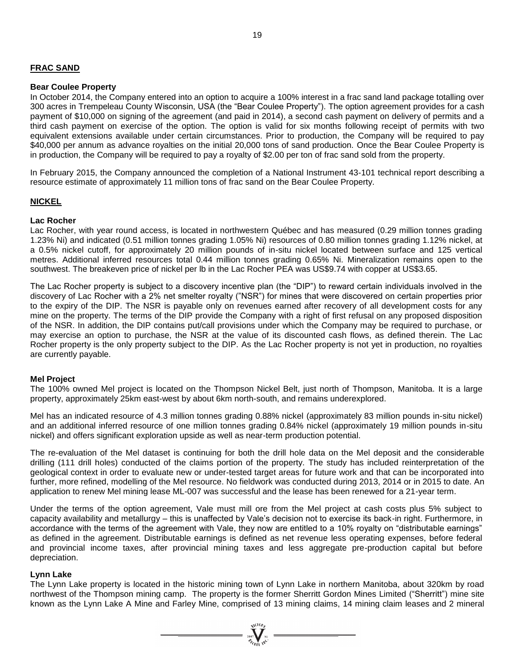### **FRAC SAND**

#### **Bear Coulee Property**

In October 2014, the Company entered into an option to acquire a 100% interest in a frac sand land package totalling over 300 acres in Trempeleau County Wisconsin, USA (the "Bear Coulee Property"). The option agreement provides for a cash payment of \$10,000 on signing of the agreement (and paid in 2014), a second cash payment on delivery of permits and a third cash payment on exercise of the option. The option is valid for six months following receipt of permits with two equivalent extensions available under certain circumstances. Prior to production, the Company will be required to pay \$40,000 per annum as advance royalties on the initial 20,000 tons of sand production. Once the Bear Coulee Property is in production, the Company will be required to pay a royalty of \$2.00 per ton of frac sand sold from the property.

In February 2015, the Company announced the completion of a National Instrument 43-101 technical report describing a resource estimate of approximately 11 million tons of frac sand on the Bear Coulee Property.

### **NICKEL**

#### **Lac Rocher**

Lac Rocher, with year round access, is located in northwestern Québec and has measured (0.29 million tonnes grading 1.23% Ni) and indicated (0.51 million tonnes grading 1.05% Ni) resources of 0.80 million tonnes grading 1.12% nickel, at a 0.5% nickel cutoff, for approximately 20 million pounds of in-situ nickel located between surface and 125 vertical metres. Additional inferred resources total 0.44 million tonnes grading 0.65% Ni. Mineralization remains open to the southwest. The breakeven price of nickel per lb in the Lac Rocher PEA was US\$9.74 with copper at US\$3.65.

The Lac Rocher property is subject to a discovery incentive plan (the "DIP") to reward certain individuals involved in the discovery of Lac Rocher with a 2% net smelter royalty ("NSR") for mines that were discovered on certain properties prior to the expiry of the DIP. The NSR is payable only on revenues earned after recovery of all development costs for any mine on the property. The terms of the DIP provide the Company with a right of first refusal on any proposed disposition of the NSR. In addition, the DIP contains put/call provisions under which the Company may be required to purchase, or may exercise an option to purchase, the NSR at the value of its discounted cash flows, as defined therein. The Lac Rocher property is the only property subject to the DIP. As the Lac Rocher property is not yet in production, no royalties are currently payable.

#### **Mel Project**

The 100% owned Mel project is located on the Thompson Nickel Belt, just north of Thompson, Manitoba. It is a large property, approximately 25km east-west by about 6km north-south, and remains underexplored.

Mel has an indicated resource of 4.3 million tonnes grading 0.88% nickel (approximately 83 million pounds in-situ nickel) and an additional inferred resource of one million tonnes grading 0.84% nickel (approximately 19 million pounds in-situ nickel) and offers significant exploration upside as well as near-term production potential.

The re-evaluation of the Mel dataset is continuing for both the drill hole data on the Mel deposit and the considerable drilling (111 drill holes) conducted of the claims portion of the property. The study has included reinterpretation of the geological context in order to evaluate new or under-tested target areas for future work and that can be incorporated into further, more refined, modelling of the Mel resource. No fieldwork was conducted during 2013, 2014 or in 2015 to date. An application to renew Mel mining lease ML-007 was successful and the lease has been renewed for a 21-year term.

Under the terms of the option agreement, Vale must mill ore from the Mel project at cash costs plus 5% subject to capacity availability and metallurgy – this is unaffected by Vale's decision not to exercise its back-in right. Furthermore, in accordance with the terms of the agreement with Vale, they now are entitled to a 10% royalty on "distributable earnings" as defined in the agreement. Distributable earnings is defined as net revenue less operating expenses, before federal and provincial income taxes, after provincial mining taxes and less aggregate pre-production capital but before depreciation.

#### **Lynn Lake**

The Lynn Lake property is located in the historic mining town of Lynn Lake in northern Manitoba, about 320km by road northwest of the Thompson mining camp. The property is the former Sherritt Gordon Mines Limited ("Sherritt") mine site known as the Lynn Lake A Mine and Farley Mine, comprised of 13 mining claims, 14 mining claim leases and 2 mineral

 $= \sum_{\alpha \in \mathcal{N}_{\ell(n)} \atop \beta \neq \alpha_{\ell(n-1)} \alpha^{C}}^{\gamma_{1}(\text{GO}_{\beta})}$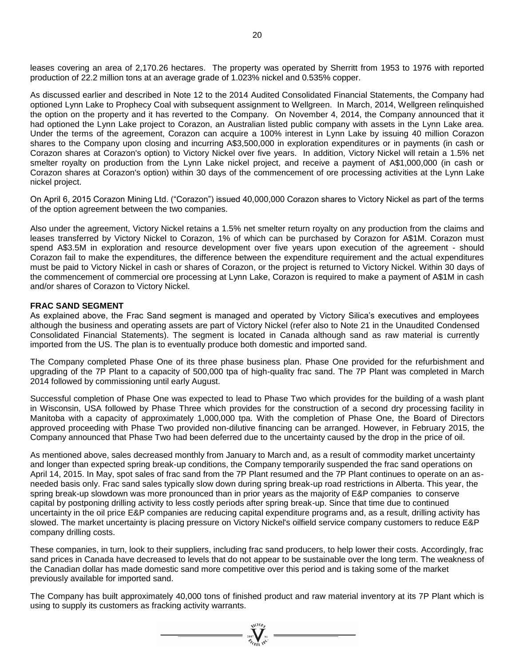leases covering an area of 2,170.26 hectares. The property was operated by Sherritt from 1953 to 1976 with reported production of 22.2 million tons at an average grade of 1.023% nickel and 0.535% copper.

As discussed earlier and described in Note 12 to the 2014 Audited Consolidated Financial Statements, the Company had optioned Lynn Lake to Prophecy Coal with subsequent assignment to Wellgreen. In March, 2014, Wellgreen relinquished the option on the property and it has reverted to the Company. On November 4, 2014, the Company announced that it had optioned the Lynn Lake project to Corazon, an Australian listed public company with assets in the Lynn Lake area. Under the terms of the agreement, Corazon can acquire a 100% interest in Lynn Lake by issuing 40 million Corazon shares to the Company upon closing and incurring A\$3,500,000 in exploration expenditures or in payments (in cash or Corazon shares at Corazon's option) to Victory Nickel over five years. In addition, Victory Nickel will retain a 1.5% net smelter royalty on production from the Lynn Lake nickel project, and receive a payment of A\$1,000,000 (in cash or Corazon shares at Corazon's option) within 30 days of the commencement of ore processing activities at the Lynn Lake nickel project.

On April 6, 2015 Corazon Mining Ltd. ("Corazon") issued 40,000,000 Corazon shares to Victory Nickel as part of the terms of the option agreement between the two companies.

Also under the agreement, Victory Nickel retains a 1.5% net smelter return royalty on any production from the claims and leases transferred by Victory Nickel to Corazon, 1% of which can be purchased by Corazon for A\$1M. Corazon must spend A\$3.5M in exploration and resource development over five years upon execution of the agreement - should Corazon fail to make the expenditures, the difference between the expenditure requirement and the actual expenditures must be paid to Victory Nickel in cash or shares of Corazon, or the project is returned to Victory Nickel. Within 30 days of the commencement of commercial ore processing at Lynn Lake, Corazon is required to make a payment of A\$1M in cash and/or shares of Corazon to Victory Nickel.

#### **FRAC SAND SEGMENT**

As explained above, the Frac Sand segment is managed and operated by Victory Silica's executives and employees although the business and operating assets are part of Victory Nickel (refer also to Note 21 in the Unaudited Condensed Consolidated Financial Statements). The segment is located in Canada although sand as raw material is currently imported from the US. The plan is to eventually produce both domestic and imported sand.

The Company completed Phase One of its three phase business plan. Phase One provided for the refurbishment and upgrading of the 7P Plant to a capacity of 500,000 tpa of high-quality frac sand. The 7P Plant was completed in March 2014 followed by commissioning until early August.

Successful completion of Phase One was expected to lead to Phase Two which provides for the building of a wash plant in Wisconsin, USA followed by Phase Three which provides for the construction of a second dry processing facility in Manitoba with a capacity of approximately 1,000,000 tpa. With the completion of Phase One, the Board of Directors approved proceeding with Phase Two provided non-dilutive financing can be arranged. However, in February 2015, the Company announced that Phase Two had been deferred due to the uncertainty caused by the drop in the price of oil.

As mentioned above, sales decreased monthly from January to March and, as a result of commodity market uncertainty and longer than expected spring break-up conditions, the Company temporarily suspended the frac sand operations on April 14, 2015. In May, spot sales of frac sand from the 7P Plant resumed and the 7P Plant continues to operate on an asneeded basis only. Frac sand sales typically slow down during spring break-up road restrictions in Alberta. This year, the spring break-up slowdown was more pronounced than in prior years as the majority of E&P companies to conserve capital by postponing drilling activity to less costly periods after spring break-up. Since that time due to continued uncertainty in the oil price E&P companies are reducing capital expenditure programs and, as a result, drilling activity has slowed. The market uncertainty is placing pressure on Victory Nickel's oilfield service company customers to reduce E&P company drilling costs.

These companies, in turn, look to their suppliers, including frac sand producers, to help lower their costs. Accordingly, frac sand prices in Canada have decreased to levels that do not appear to be sustainable over the long term. The weakness of the Canadian dollar has made domestic sand more competitive over this period and is taking some of the market previously available for imported sand.

The Company has built approximately 40,000 tons of finished product and raw material inventory at its 7P Plant which is using to supply its customers as fracking activity warrants.

=  $\sum_{\frac{300}{Z_{\ell}}\leq \frac{1}{10^{C}}}$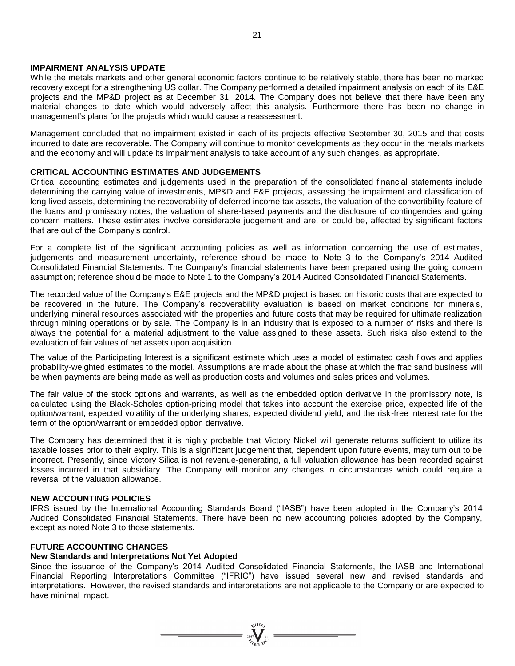#### **IMPAIRMENT ANALYSIS UPDATE**

While the metals markets and other general economic factors continue to be relatively stable, there has been no marked recovery except for a strengthening US dollar. The Company performed a detailed impairment analysis on each of its E&E projects and the MP&D project as at December 31, 2014. The Company does not believe that there have been any material changes to date which would adversely affect this analysis. Furthermore there has been no change in management's plans for the projects which would cause a reassessment.

Management concluded that no impairment existed in each of its projects effective September 30, 2015 and that costs incurred to date are recoverable. The Company will continue to monitor developments as they occur in the metals markets and the economy and will update its impairment analysis to take account of any such changes, as appropriate.

#### **CRITICAL ACCOUNTING ESTIMATES AND JUDGEMENTS**

Critical accounting estimates and judgements used in the preparation of the consolidated financial statements include determining the carrying value of investments, MP&D and E&E projects, assessing the impairment and classification of long-lived assets, determining the recoverability of deferred income tax assets, the valuation of the convertibility feature of the loans and promissory notes, the valuation of share-based payments and the disclosure of contingencies and going concern matters. These estimates involve considerable judgement and are, or could be, affected by significant factors that are out of the Company's control.

For a complete list of the significant accounting policies as well as information concerning the use of estimates, judgements and measurement uncertainty, reference should be made to Note 3 to the Company's 2014 Audited Consolidated Financial Statements. The Company's financial statements have been prepared using the going concern assumption; reference should be made to Note 1 to the Company's 2014 Audited Consolidated Financial Statements.

The recorded value of the Company's E&E projects and the MP&D project is based on historic costs that are expected to be recovered in the future. The Company's recoverability evaluation is based on market conditions for minerals, underlying mineral resources associated with the properties and future costs that may be required for ultimate realization through mining operations or by sale. The Company is in an industry that is exposed to a number of risks and there is always the potential for a material adjustment to the value assigned to these assets. Such risks also extend to the evaluation of fair values of net assets upon acquisition.

The value of the Participating Interest is a significant estimate which uses a model of estimated cash flows and applies probability-weighted estimates to the model. Assumptions are made about the phase at which the frac sand business will be when payments are being made as well as production costs and volumes and sales prices and volumes.

The fair value of the stock options and warrants, as well as the embedded option derivative in the promissory note, is calculated using the Black-Scholes option-pricing model that takes into account the exercise price, expected life of the option/warrant, expected volatility of the underlying shares, expected dividend yield, and the risk-free interest rate for the term of the option/warrant or embedded option derivative.

The Company has determined that it is highly probable that Victory Nickel will generate returns sufficient to utilize its taxable losses prior to their expiry. This is a significant judgement that, dependent upon future events, may turn out to be incorrect. Presently, since Victory Silica is not revenue-generating, a full valuation allowance has been recorded against losses incurred in that subsidiary. The Company will monitor any changes in circumstances which could require a reversal of the valuation allowance.

#### **NEW ACCOUNTING POLICIES**

IFRS issued by the International Accounting Standards Board ("IASB") have been adopted in the Company's 2014 Audited Consolidated Financial Statements. There have been no new accounting policies adopted by the Company, except as noted Note 3 to those statements.

#### **FUTURE ACCOUNTING CHANGES**

#### **New Standards and Interpretations Not Yet Adopted**

Since the issuance of the Company's 2014 Audited Consolidated Financial Statements, the IASB and International Financial Reporting Interpretations Committee ("IFRIC") have issued several new and revised standards and interpretations. However, the revised standards and interpretations are not applicable to the Company or are expected to have minimal impact.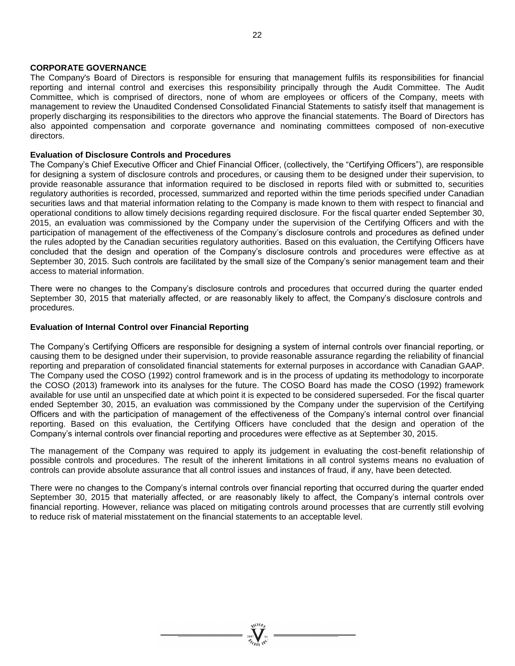#### **CORPORATE GOVERNANCE**

The Company's Board of Directors is responsible for ensuring that management fulfils its responsibilities for financial reporting and internal control and exercises this responsibility principally through the Audit Committee. The Audit Committee, which is comprised of directors, none of whom are employees or officers of the Company, meets with management to review the Unaudited Condensed Consolidated Financial Statements to satisfy itself that management is properly discharging its responsibilities to the directors who approve the financial statements. The Board of Directors has also appointed compensation and corporate governance and nominating committees composed of non-executive directors.

#### **Evaluation of Disclosure Controls and Procedures**

The Company's Chief Executive Officer and Chief Financial Officer, (collectively, the "Certifying Officers"), are responsible for designing a system of disclosure controls and procedures, or causing them to be designed under their supervision, to provide reasonable assurance that information required to be disclosed in reports filed with or submitted to, securities regulatory authorities is recorded, processed, summarized and reported within the time periods specified under Canadian securities laws and that material information relating to the Company is made known to them with respect to financial and operational conditions to allow timely decisions regarding required disclosure. For the fiscal quarter ended September 30, 2015, an evaluation was commissioned by the Company under the supervision of the Certifying Officers and with the participation of management of the effectiveness of the Company's disclosure controls and procedures as defined under the rules adopted by the Canadian securities regulatory authorities. Based on this evaluation, the Certifying Officers have concluded that the design and operation of the Company's disclosure controls and procedures were effective as at September 30, 2015. Such controls are facilitated by the small size of the Company's senior management team and their access to material information.

There were no changes to the Company's disclosure controls and procedures that occurred during the quarter ended September 30, 2015 that materially affected, or are reasonably likely to affect, the Company's disclosure controls and procedures.

#### **Evaluation of Internal Control over Financial Reporting**

The Company's Certifying Officers are responsible for designing a system of internal controls over financial reporting, or causing them to be designed under their supervision, to provide reasonable assurance regarding the reliability of financial reporting and preparation of consolidated financial statements for external purposes in accordance with Canadian GAAP. The Company used the COSO (1992) control framework and is in the process of updating its methodology to incorporate the COSO (2013) framework into its analyses for the future. The COSO Board has made the COSO (1992) framework available for use until an unspecified date at which point it is expected to be considered superseded. For the fiscal quarter ended September 30, 2015, an evaluation was commissioned by the Company under the supervision of the Certifying Officers and with the participation of management of the effectiveness of the Company's internal control over financial reporting. Based on this evaluation, the Certifying Officers have concluded that the design and operation of the Company's internal controls over financial reporting and procedures were effective as at September 30, 2015.

The management of the Company was required to apply its judgement in evaluating the cost-benefit relationship of possible controls and procedures. The result of the inherent limitations in all control systems means no evaluation of controls can provide absolute assurance that all control issues and instances of fraud, if any, have been detected.

There were no changes to the Company's internal controls over financial reporting that occurred during the quarter ended September 30, 2015 that materially affected, or are reasonably likely to affect, the Company's internal controls over financial reporting. However, reliance was placed on mitigating controls around processes that are currently still evolving to reduce risk of material misstatement on the financial statements to an acceptable level.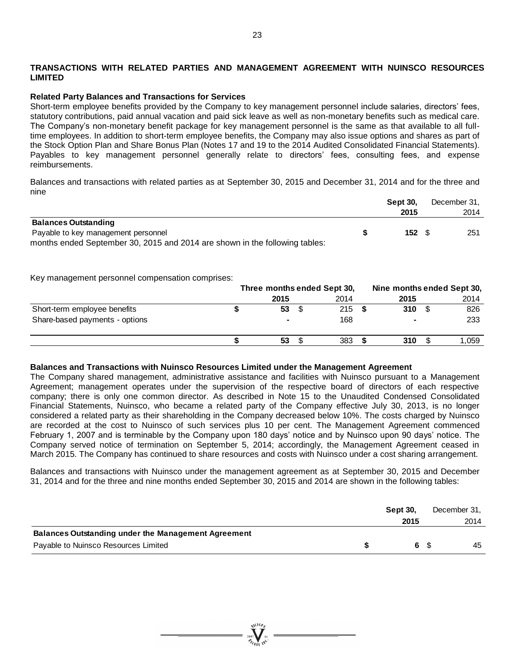### **TRANSACTIONS WITH RELATED PARTIES AND MANAGEMENT AGREEMENT WITH NUINSCO RESOURCES LIMITED**

#### **Related Party Balances and Transactions for Services**

Short-term employee benefits provided by the Company to key management personnel include salaries, directors' fees, statutory contributions, paid annual vacation and paid sick leave as well as non-monetary benefits such as medical care. The Company's non-monetary benefit package for key management personnel is the same as that available to all fulltime employees. In addition to short-term employee benefits, the Company may also issue options and shares as part of the Stock Option Plan and Share Bonus Plan (Notes 17 and 19 to the 2014 Audited Consolidated Financial Statements). Payables to key management personnel generally relate to directors' fees, consulting fees, and expense reimbursements.

Balances and transactions with related parties as at September 30, 2015 and December 31, 2014 and for the three and nine

|                                                                             | <b>Sept 30.</b> | December 31, |
|-----------------------------------------------------------------------------|-----------------|--------------|
|                                                                             | 2015            | 2014         |
| <b>Balances Outstanding</b>                                                 |                 |              |
| Payable to key management personnel                                         | $152 \quad$ \$  | 251          |
| months ended September 30, 2015 and 2014 are shown in the following tables: |                 |              |

Key management personnel compensation comprises:

|                                | Three months ended Sept 30, |                |  |      | Nine months ended Sept 30. |  |       |  |
|--------------------------------|-----------------------------|----------------|--|------|----------------------------|--|-------|--|
|                                |                             | 2015           |  | 2014 | 2015                       |  | 2014  |  |
| Short-term employee benefits   |                             | 53             |  | 215  | 310                        |  | 826   |  |
| Share-based payments - options |                             | $\blacksquare$ |  | 168  |                            |  | 233   |  |
|                                |                             | 53             |  | 383  | 310                        |  | 1.059 |  |

#### **Balances and Transactions with Nuinsco Resources Limited under the Management Agreement**

The Company shared management, administrative assistance and facilities with Nuinsco pursuant to a Management Agreement; management operates under the supervision of the respective board of directors of each respective company; there is only one common director. As described in Note 15 to the Unaudited Condensed Consolidated Financial Statements, Nuinsco, who became a related party of the Company effective July 30, 2013, is no longer considered a related party as their shareholding in the Company decreased below 10%. The costs charged by Nuinsco are recorded at the cost to Nuinsco of such services plus 10 per cent. The Management Agreement commenced February 1, 2007 and is terminable by the Company upon 180 days' notice and by Nuinsco upon 90 days' notice. The Company served notice of termination on September 5, 2014; accordingly, the Management Agreement ceased in March 2015. The Company has continued to share resources and costs with Nuinsco under a cost sharing arrangement.

Balances and transactions with Nuinsco under the management agreement as at September 30, 2015 and December 31, 2014 and for the three and nine months ended September 30, 2015 and 2014 are shown in the following tables:

|                                                            | <b>Sept 30.</b> | December 31. |
|------------------------------------------------------------|-----------------|--------------|
|                                                            | 2015            | 2014         |
| <b>Balances Outstanding under the Management Agreement</b> |                 |              |
| Payable to Nuinsco Resources Limited                       | 6 S             | 45           |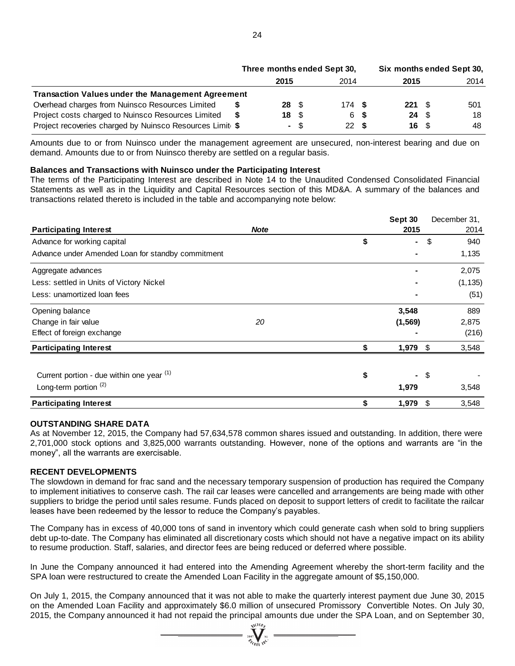|                                                          | Three months ended Sept 30, |                          |      |      | Six months ended Sept 30, |             |  |      |
|----------------------------------------------------------|-----------------------------|--------------------------|------|------|---------------------------|-------------|--|------|
|                                                          |                             | 2015                     |      | 2014 |                           | 2015        |  | 2014 |
| <b>Transaction Values under the Management Agreement</b> |                             |                          |      |      |                           |             |  |      |
| Overhead charges from Nuinsco Resources Limited          |                             | $28 \quad$ $\frac{6}{3}$ |      | 174S |                           | $221 \t{S}$ |  | 501  |
| Project costs charged to Nuinsco Resources Limited       |                             | 18 S                     |      | 6 S  |                           | $24 \quad$  |  | 18   |
| Project recoveries charged by Nuinsco Resources Limit \$ |                             |                          | - \$ | 22S  |                           | 16 S        |  | 48   |

#### **Balances and Transactions with Nuinsco under the Participating Interest**

|                                                                                                                                                                                                                                                                                                                                                                                                                                                                                                |             | 2015 | 2014      |     | 2015            |                           | 2014         |
|------------------------------------------------------------------------------------------------------------------------------------------------------------------------------------------------------------------------------------------------------------------------------------------------------------------------------------------------------------------------------------------------------------------------------------------------------------------------------------------------|-------------|------|-----------|-----|-----------------|---------------------------|--------------|
| <b>Transaction Values under the Management Agreement</b>                                                                                                                                                                                                                                                                                                                                                                                                                                       |             |      |           |     |                 |                           |              |
| Overhead charges from Nuinsco Resources Limited                                                                                                                                                                                                                                                                                                                                                                                                                                                |             | 28   | \$<br>174 | - 5 | 221             | \$                        | 501          |
| Project costs charged to Nuinsco Resources Limited                                                                                                                                                                                                                                                                                                                                                                                                                                             | \$          | 18   | \$<br>6   | \$  | 24              | \$                        | 18           |
| Project recoveries charged by Nuinsco Resources Limit \$                                                                                                                                                                                                                                                                                                                                                                                                                                       |             |      | \$<br>22  | -\$ | 16              | $\boldsymbol{\mathsf{S}}$ | 48           |
| Amounts due to or from Nuinsco under the management agreement are unsecured, non-interest bearing and due on<br>demand. Amounts due to or from Nuinsco thereby are settled on a regular basis.                                                                                                                                                                                                                                                                                                 |             |      |           |     |                 |                           |              |
| Balances and Transactions with Nuinsco under the Participating Interest<br>The terms of the Participating Interest are described in Note 14 to the Unaudited Condensed Consolidated Financial<br>Statements as well as in the Liquidity and Capital Resources section of this MD&A. A summary of the balances and<br>transactions related thereto is included in the table and accompanying note below:                                                                                        |             |      |           |     |                 |                           |              |
|                                                                                                                                                                                                                                                                                                                                                                                                                                                                                                | <b>Note</b> |      |           |     | Sept 30<br>2015 |                           | December 31, |
| <b>Participating Interest</b><br>Advance for working capital                                                                                                                                                                                                                                                                                                                                                                                                                                   |             |      |           | \$  |                 | \$                        | 2014<br>940  |
| Advance under Amended Loan for standby commitment                                                                                                                                                                                                                                                                                                                                                                                                                                              |             |      |           |     |                 |                           | 1,135        |
|                                                                                                                                                                                                                                                                                                                                                                                                                                                                                                |             |      |           |     |                 |                           |              |
| Aggregate advances                                                                                                                                                                                                                                                                                                                                                                                                                                                                             |             |      |           |     |                 |                           | 2,075        |
| Less: settled in Units of Victory Nickel                                                                                                                                                                                                                                                                                                                                                                                                                                                       |             |      |           |     |                 |                           | (1, 135)     |
| Less: unamortized loan fees                                                                                                                                                                                                                                                                                                                                                                                                                                                                    |             |      |           |     |                 |                           | (51)         |
| Opening balance                                                                                                                                                                                                                                                                                                                                                                                                                                                                                |             |      |           |     | 3,548           |                           | 889          |
| Change in fair value                                                                                                                                                                                                                                                                                                                                                                                                                                                                           | 20          |      |           |     | (1, 569)        |                           | 2,875        |
| Effect of foreign exchange                                                                                                                                                                                                                                                                                                                                                                                                                                                                     |             |      |           |     |                 |                           | (216)        |
| <b>Participating Interest</b>                                                                                                                                                                                                                                                                                                                                                                                                                                                                  |             |      |           | \$  | 1,979           | \$                        | 3,548        |
|                                                                                                                                                                                                                                                                                                                                                                                                                                                                                                |             |      |           |     |                 |                           |              |
| Current portion - due within one year (1)                                                                                                                                                                                                                                                                                                                                                                                                                                                      |             |      |           | \$  |                 | \$                        |              |
| Long-term portion <sup>(2)</sup>                                                                                                                                                                                                                                                                                                                                                                                                                                                               |             |      |           |     | 1,979           |                           | 3,548        |
| <b>Participating Interest</b>                                                                                                                                                                                                                                                                                                                                                                                                                                                                  |             |      |           | \$  | 1,979           | $\frac{1}{2}$             | 3,548        |
| <b>OUTSTANDING SHARE DATA</b><br>As at November 12, 2015, the Company had 57,634,578 common shares issued and outstanding. In addition, there were<br>2,701,000 stock options and 3,825,000 warrants outstanding. However, none of the options and warrants are "in the<br>money", all the warrants are exercisable.                                                                                                                                                                           |             |      |           |     |                 |                           |              |
| <b>RECENT DEVELOPMENTS</b><br>The slowdown in demand for frac sand and the necessary temporary suspension of production has required the Company<br>to implement initiatives to conserve cash. The rail car leases were cancelled and arrangements are being made with other<br>suppliers to bridge the period until sales resume. Funds placed on deposit to support letters of credit to facilitate the railcar<br>leases have been redeemed by the lessor to reduce the Company's payables. |             |      |           |     |                 |                           |              |
| The Company has in excess of 40,000 tons of sand in inventory which could generate cash when sold to bring suppliers<br>debt up-to-date. The Company has eliminated all discretionary costs which should not have a negative impact on its ability<br>to resume production. Staff, salaries, and director fees are being reduced or deferred where possible.                                                                                                                                   |             |      |           |     |                 |                           |              |
| In June the Company announced it had entered into the Amending Agreement whereby the short-term facility and the<br>SPA loan were restructured to create the Amended Loan Facility in the aggregate amount of \$5,150,000.                                                                                                                                                                                                                                                                     |             |      |           |     |                 |                           |              |
| On July 1, 2015, the Company announced that it was not able to make the quarterly interest payment due June 30, 2015<br>on the Amended Loan Facility and approximately \$6.0 million of unsecured Promissory Convertible Notes. On July 30,<br>2015, the Company announced it had not repaid the principal amounts due under the SPA Loan, and on September 30,                                                                                                                                |             |      |           |     |                 |                           |              |

### **OUTSTANDING SHARE DATA**

### **RECENT DEVELOPMENTS**

 $\sum_{\substack{2007 \ \mathcal{P}_{\mathcal{I}}}} \sum_{\substack{N1}}$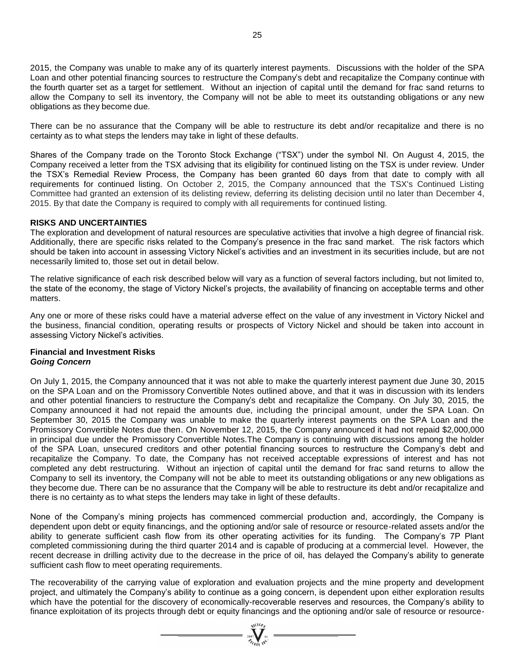2015, the Company was unable to make any of its quarterly interest payments. Discussions with the holder of the SPA Loan and other potential financing sources to restructure the Company's debt and recapitalize the Company continue with the fourth quarter set as a target for settlement. Without an injection of capital until the demand for frac sand returns to allow the Company to sell its inventory, the Company will not be able to meet its outstanding obligations or any new obligations as they become due.

There can be no assurance that the Company will be able to restructure its debt and/or recapitalize and there is no certainty as to what steps the lenders may take in light of these defaults.

Shares of the Company trade on the Toronto Stock Exchange ("TSX") under the symbol NI. On August 4, 2015, the Company received a letter from the TSX advising that its eligibility for continued listing on the TSX is under review. Under the TSX's Remedial Review Process, the Company has been granted 60 days from that date to comply with all requirements for continued listing. On October 2, 2015, the Company announced that the TSX's Continued Listing Committee had granted an extension of its delisting review, deferring its delisting decision until no later than December 4, 2015. By that date the Company is required to comply with all requirements for continued listing.

#### **RISKS AND UNCERTAINTIES**

The exploration and development of natural resources are speculative activities that involve a high degree of financial risk. Additionally, there are specific risks related to the Company's presence in the frac sand market. The risk factors which should be taken into account in assessing Victory Nickel's activities and an investment in its securities include, but are not necessarily limited to, those set out in detail below.

The relative significance of each risk described below will vary as a function of several factors including, but not limited to, the state of the economy, the stage of Victory Nickel's projects, the availability of financing on acceptable terms and other matters.

Any one or more of these risks could have a material adverse effect on the value of any investment in Victory Nickel and the business, financial condition, operating results or prospects of Victory Nickel and should be taken into account in assessing Victory Nickel's activities.

### **Financial and Investment Risks** *Going Concern*

On July 1, 2015, the Company announced that it was not able to make the quarterly interest payment due June 30, 2015 on the SPA Loan and on the Promissory Convertible Notes outlined above, and that it was in discussion with its lenders and other potential financiers to restructure the Company's debt and recapitalize the Company. On July 30, 2015, the Company announced it had not repaid the amounts due, including the principal amount, under the SPA Loan. On September 30, 2015 the Company was unable to make the quarterly interest payments on the SPA Loan and the Promissory Convertible Notes due then. On November 12, 2015, the Company announced it had not repaid \$2,000,000 in principal due under the Promissory Convertible Notes.The Company is continuing with discussions among the holder of the SPA Loan, unsecured creditors and other potential financing sources to restructure the Company's debt and recapitalize the Company. To date, the Company has not received acceptable expressions of interest and has not completed any debt restructuring. Without an injection of capital until the demand for frac sand returns to allow the Company to sell its inventory, the Company will not be able to meet its outstanding obligations or any new obligations as they become due. There can be no assurance that the Company will be able to restructure its debt and/or recapitalize and there is no certainty as to what steps the lenders may take in light of these defaults.

None of the Company's mining projects has commenced commercial production and, accordingly, the Company is dependent upon debt or equity financings, and the optioning and/or sale of resource or resource-related assets and/or the ability to generate sufficient cash flow from its other operating activities for its funding. The Company's 7P Plant completed commissioning during the third quarter 2014 and is capable of producing at a commercial level. However, the recent decrease in drilling activity due to the decrease in the price of oil, has delayed the Company's ability to generate sufficient cash flow to meet operating requirements.

The recoverability of the carrying value of exploration and evaluation projects and the mine property and development project, and ultimately the Company's ability to continue as a going concern, is dependent upon either exploration results which have the potential for the discovery of economically-recoverable reserves and resources, the Company's ability to finance exploitation of its projects through debt or equity financings and the optioning and/or sale of resource or resource-

 $\sum_{\substack{\text{2007}\\ \text{2007}}}\sum_{\substack{\text{N1}\\ \text{N1}}}^{N_{\text{LO}}(10\text{m})} =$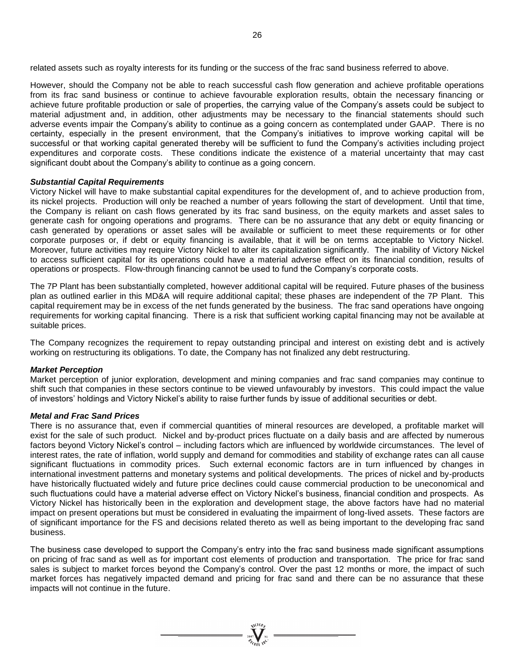related assets such as royalty interests for its funding or the success of the frac sand business referred to above.

However, should the Company not be able to reach successful cash flow generation and achieve profitable operations from its frac sand business or continue to achieve favourable exploration results, obtain the necessary financing or achieve future profitable production or sale of properties, the carrying value of the Company's assets could be subject to material adjustment and, in addition, other adjustments may be necessary to the financial statements should such adverse events impair the Company's ability to continue as a going concern as contemplated under GAAP. There is no certainty, especially in the present environment, that the Company's initiatives to improve working capital will be successful or that working capital generated thereby will be sufficient to fund the Company's activities including project expenditures and corporate costs. These conditions indicate the existence of a material uncertainty that may cast significant doubt about the Company's ability to continue as a going concern.

#### *Substantial Capital Requirements*

Victory Nickel will have to make substantial capital expenditures for the development of, and to achieve production from, its nickel projects. Production will only be reached a number of years following the start of development. Until that time, the Company is reliant on cash flows generated by its frac sand business, on the equity markets and asset sales to generate cash for ongoing operations and programs. There can be no assurance that any debt or equity financing or cash generated by operations or asset sales will be available or sufficient to meet these requirements or for other corporate purposes or, if debt or equity financing is available, that it will be on terms acceptable to Victory Nickel. Moreover, future activities may require Victory Nickel to alter its capitalization significantly. The inability of Victory Nickel to access sufficient capital for its operations could have a material adverse effect on its financial condition, results of operations or prospects. Flow-through financing cannot be used to fund the Company's corporate costs.

The 7P Plant has been substantially completed, however additional capital will be required. Future phases of the business plan as outlined earlier in this MD&A will require additional capital; these phases are independent of the 7P Plant. This capital requirement may be in excess of the net funds generated by the business. The frac sand operations have ongoing requirements for working capital financing. There is a risk that sufficient working capital financing may not be available at suitable prices.

The Company recognizes the requirement to repay outstanding principal and interest on existing debt and is actively working on restructuring its obligations. To date, the Company has not finalized any debt restructuring.

### *Market Perception*

Market perception of junior exploration, development and mining companies and frac sand companies may continue to shift such that companies in these sectors continue to be viewed unfavourably by investors. This could impact the value of investors' holdings and Victory Nickel's ability to raise further funds by issue of additional securities or debt.

#### *Metal and Frac Sand Prices*

There is no assurance that, even if commercial quantities of mineral resources are developed, a profitable market will exist for the sale of such product. Nickel and by-product prices fluctuate on a daily basis and are affected by numerous factors beyond Victory Nickel's control – including factors which are influenced by worldwide circumstances. The level of interest rates, the rate of inflation, world supply and demand for commodities and stability of exchange rates can all cause significant fluctuations in commodity prices. Such external economic factors are in turn influenced by changes in international investment patterns and monetary systems and political developments. The prices of nickel and by-products have historically fluctuated widely and future price declines could cause commercial production to be uneconomical and such fluctuations could have a material adverse effect on Victory Nickel's business, financial condition and prospects. As Victory Nickel has historically been in the exploration and development stage, the above factors have had no material impact on present operations but must be considered in evaluating the impairment of long-lived assets. These factors are of significant importance for the FS and decisions related thereto as well as being important to the developing frac sand business.

The business case developed to support the Company's entry into the frac sand business made significant assumptions on pricing of frac sand as well as for important cost elements of production and transportation. The price for frac sand sales is subject to market forces beyond the Company's control. Over the past 12 months or more, the impact of such market forces has negatively impacted demand and pricing for frac sand and there can be no assurance that these impacts will not continue in the future.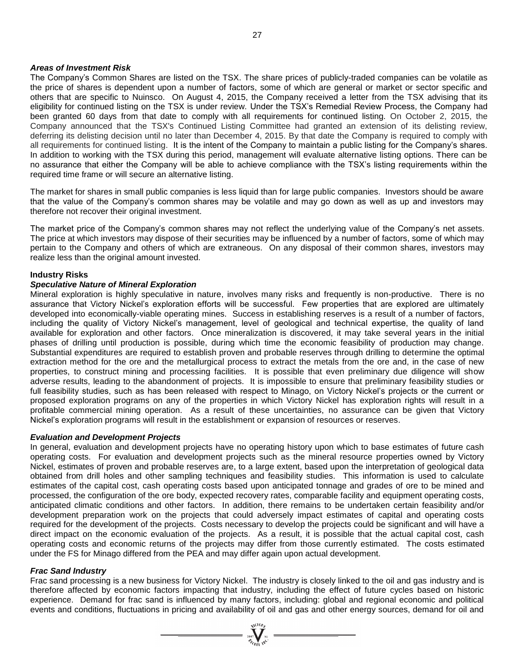#### *Areas of Investment Risk*

The Company's Common Shares are listed on the TSX. The share prices of publicly-traded companies can be volatile as the price of shares is dependent upon a number of factors, some of which are general or market or sector specific and others that are specific to Nuinsco. On August 4, 2015, the Company received a letter from the TSX advising that its eligibility for continued listing on the TSX is under review. Under the TSX's Remedial Review Process, the Company had been granted 60 days from that date to comply with all requirements for continued listing. On October 2, 2015, the Company announced that the TSX's Continued Listing Committee had granted an extension of its delisting review, deferring its delisting decision until no later than December 4, 2015. By that date the Company is required to comply with all requirements for continued listing. It is the intent of the Company to maintain a public listing for the Company's shares. In addition to working with the TSX during this period, management will evaluate alternative listing options. There can be no assurance that either the Company will be able to achieve compliance with the TSX's listing requirements within the required time frame or will secure an alternative listing.

The market for shares in small public companies is less liquid than for large public companies. Investors should be aware that the value of the Company's common shares may be volatile and may go down as well as up and investors may therefore not recover their original investment.

The market price of the Company's common shares may not reflect the underlying value of the Company's net assets. The price at which investors may dispose of their securities may be influenced by a number of factors, some of which may pertain to the Company and others of which are extraneous. On any disposal of their common shares, investors may realize less than the original amount invested.

#### **Industry Risks**

#### *Speculative Nature of Mineral Exploration*

Mineral exploration is highly speculative in nature, involves many risks and frequently is non-productive. There is no assurance that Victory Nickel's exploration efforts will be successful. Few properties that are explored are ultimately developed into economically-viable operating mines. Success in establishing reserves is a result of a number of factors, including the quality of Victory Nickel's management, level of geological and technical expertise, the quality of land available for exploration and other factors. Once mineralization is discovered, it may take several years in the initial phases of drilling until production is possible, during which time the economic feasibility of production may change. Substantial expenditures are required to establish proven and probable reserves through drilling to determine the optimal extraction method for the ore and the metallurgical process to extract the metals from the ore and, in the case of new properties, to construct mining and processing facilities. It is possible that even preliminary due diligence will show adverse results, leading to the abandonment of projects. It is impossible to ensure that preliminary feasibility studies or full feasibility studies, such as has been released with respect to Minago, on Victory Nickel's projects or the current or proposed exploration programs on any of the properties in which Victory Nickel has exploration rights will result in a profitable commercial mining operation. As a result of these uncertainties, no assurance can be given that Victory Nickel's exploration programs will result in the establishment or expansion of resources or reserves.

#### *Evaluation and Development Projects*

In general, evaluation and development projects have no operating history upon which to base estimates of future cash operating costs. For evaluation and development projects such as the mineral resource properties owned by Victory Nickel, estimates of proven and probable reserves are, to a large extent, based upon the interpretation of geological data obtained from drill holes and other sampling techniques and feasibility studies. This information is used to calculate estimates of the capital cost, cash operating costs based upon anticipated tonnage and grades of ore to be mined and processed, the configuration of the ore body, expected recovery rates, comparable facility and equipment operating costs, anticipated climatic conditions and other factors. In addition, there remains to be undertaken certain feasibility and/or development preparation work on the projects that could adversely impact estimates of capital and operating costs required for the development of the projects. Costs necessary to develop the projects could be significant and will have a direct impact on the economic evaluation of the projects. As a result, it is possible that the actual capital cost, cash operating costs and economic returns of the projects may differ from those currently estimated. The costs estimated under the FS for Minago differed from the PEA and may differ again upon actual development.

#### *Frac Sand Industry*

Frac sand processing is a new business for Victory Nickel. The industry is closely linked to the oil and gas industry and is therefore affected by economic factors impacting that industry, including the effect of future cycles based on historic experience. Demand for frac sand is influenced by many factors, including: global and regional economic and political events and conditions, fluctuations in pricing and availability of oil and gas and other energy sources, demand for oil and

 $\sum_{\substack{\frac{2007}{3}}{2007}} \sum_{\substack{n=1\\n \neq n}}^{\sqrt{100}n}$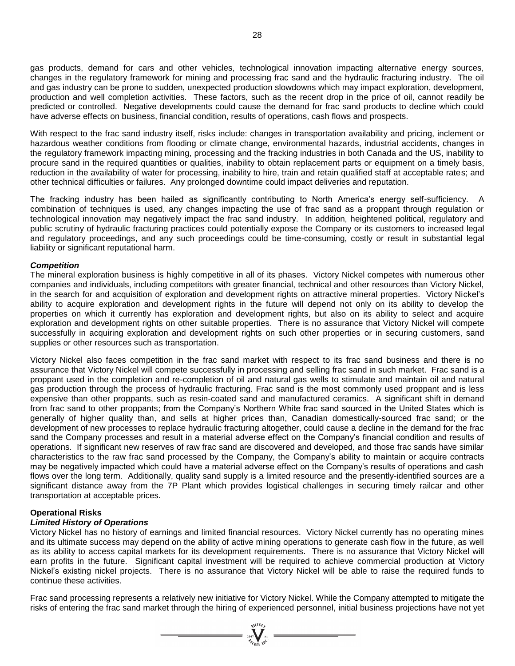gas products, demand for cars and other vehicles, technological innovation impacting alternative energy sources, changes in the regulatory framework for mining and processing frac sand and the hydraulic fracturing industry. The oil and gas industry can be prone to sudden, unexpected production slowdowns which may impact exploration, development, production and well completion activities. These factors, such as the recent drop in the price of oil, cannot readily be predicted or controlled. Negative developments could cause the demand for frac sand products to decline which could have adverse effects on business, financial condition, results of operations, cash flows and prospects.

With respect to the frac sand industry itself, risks include: changes in transportation availability and pricing, inclement or hazardous weather conditions from flooding or climate change, environmental hazards, industrial accidents, changes in the regulatory framework impacting mining, processing and the fracking industries in both Canada and the US, inability to procure sand in the required quantities or qualities, inability to obtain replacement parts or equipment on a timely basis, reduction in the availability of water for processing, inability to hire, train and retain qualified staff at acceptable rates; and other technical difficulties or failures. Any prolonged downtime could impact deliveries and reputation.

The fracking industry has been hailed as significantly contributing to North America's energy self-sufficiency. A combination of techniques is used, any changes impacting the use of frac sand as a proppant through regulation or technological innovation may negatively impact the frac sand industry. In addition, heightened political, regulatory and public scrutiny of hydraulic fracturing practices could potentially expose the Company or its customers to increased legal and regulatory proceedings, and any such proceedings could be time-consuming, costly or result in substantial legal liability or significant reputational harm.

#### *Competition*

The mineral exploration business is highly competitive in all of its phases. Victory Nickel competes with numerous other companies and individuals, including competitors with greater financial, technical and other resources than Victory Nickel, in the search for and acquisition of exploration and development rights on attractive mineral properties. Victory Nickel's ability to acquire exploration and development rights in the future will depend not only on its ability to develop the properties on which it currently has exploration and development rights, but also on its ability to select and acquire exploration and development rights on other suitable properties. There is no assurance that Victory Nickel will compete successfully in acquiring exploration and development rights on such other properties or in securing customers, sand supplies or other resources such as transportation.

Victory Nickel also faces competition in the frac sand market with respect to its frac sand business and there is no assurance that Victory Nickel will compete successfully in processing and selling frac sand in such market. Frac sand is a proppant used in the completion and re-completion of oil and natural gas wells to stimulate and maintain oil and natural gas production through the process of hydraulic fracturing. Frac sand is the most commonly used proppant and is less expensive than other proppants, such as resin-coated sand and manufactured ceramics. A significant shift in demand from frac sand to other proppants; from the Company's Northern White frac sand sourced in the United States which is generally of higher quality than, and sells at higher prices than, Canadian domestically-sourced frac sand; or the development of new processes to replace hydraulic fracturing altogether, could cause a decline in the demand for the frac sand the Company processes and result in a material adverse effect on the Company's financial condition and results of operations. If significant new reserves of raw frac sand are discovered and developed, and those frac sands have similar characteristics to the raw frac sand processed by the Company, the Company's ability to maintain or acquire contracts may be negatively impacted which could have a material adverse effect on the Company's results of operations and cash flows over the long term. Additionally, quality sand supply is a limited resource and the presently-identified sources are a significant distance away from the 7P Plant which provides logistical challenges in securing timely railcar and other transportation at acceptable prices.

### **Operational Risks**

# *Limited History of Operations*

Victory Nickel has no history of earnings and limited financial resources. Victory Nickel currently has no operating mines and its ultimate success may depend on the ability of active mining operations to generate cash flow in the future, as well as its ability to access capital markets for its development requirements. There is no assurance that Victory Nickel will earn profits in the future. Significant capital investment will be required to achieve commercial production at Victory Nickel's existing nickel projects. There is no assurance that Victory Nickel will be able to raise the required funds to continue these activities.

Frac sand processing represents a relatively new initiative for Victory Nickel. While the Company attempted to mitigate the risks of entering the frac sand market through the hiring of experienced personnel, initial business projections have not yet

 $\sum_{\substack{2007 \ \cancel{$\forall_1 \text{C}10 \text{F}_1$} \\ \cancel{\#_1}}}\sum_{\substack{N1}}$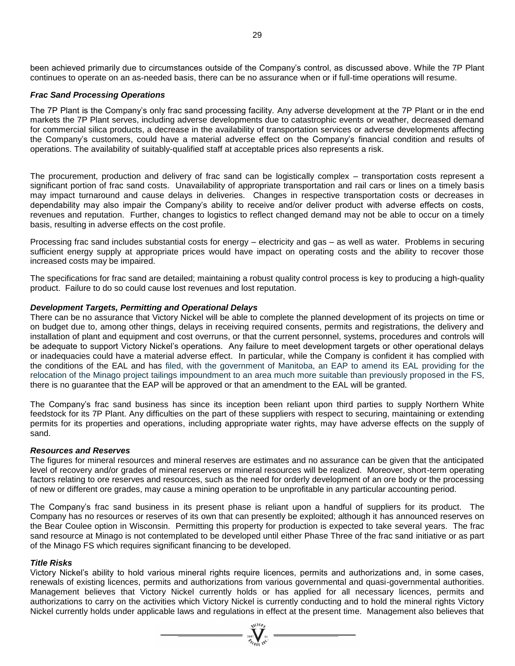been achieved primarily due to circumstances outside of the Company's control, as discussed above. While the 7P Plant continues to operate on an as-needed basis, there can be no assurance when or if full-time operations will resume.

### *Frac Sand Processing Operations*

The 7P Plant is the Company's only frac sand processing facility. Any adverse development at the 7P Plant or in the end markets the 7P Plant serves, including adverse developments due to catastrophic events or weather, decreased demand for commercial silica products, a decrease in the availability of transportation services or adverse developments affecting the Company's customers, could have a material adverse effect on the Company's financial condition and results of operations. The availability of suitably-qualified staff at acceptable prices also represents a risk.

The procurement, production and delivery of frac sand can be logistically complex – transportation costs represent a significant portion of frac sand costs. Unavailability of appropriate transportation and rail cars or lines on a timely basis may impact turnaround and cause delays in deliveries. Changes in respective transportation costs or decreases in dependability may also impair the Company's ability to receive and/or deliver product with adverse effects on costs, revenues and reputation. Further, changes to logistics to reflect changed demand may not be able to occur on a timely basis, resulting in adverse effects on the cost profile.

Processing frac sand includes substantial costs for energy – electricity and gas – as well as water. Problems in securing sufficient energy supply at appropriate prices would have impact on operating costs and the ability to recover those increased costs may be impaired.

The specifications for frac sand are detailed; maintaining a robust quality control process is key to producing a high-quality product. Failure to do so could cause lost revenues and lost reputation.

### *Development Targets, Permitting and Operational Delays*

There can be no assurance that Victory Nickel will be able to complete the planned development of its projects on time or on budget due to, among other things, delays in receiving required consents, permits and registrations, the delivery and installation of plant and equipment and cost overruns, or that the current personnel, systems, procedures and controls will be adequate to support Victory Nickel's operations. Any failure to meet development targets or other operational delays or inadequacies could have a material adverse effect. In particular, while the Company is confident it has complied with the conditions of the EAL and has filed, with the government of Manitoba, an EAP to amend its EAL providing for the relocation of the Minago project tailings impoundment to an area much more suitable than previously proposed in the FS, there is no guarantee that the EAP will be approved or that an amendment to the EAL will be granted.

The Company's frac sand business has since its inception been reliant upon third parties to supply Northern White feedstock for its 7P Plant. Any difficulties on the part of these suppliers with respect to securing, maintaining or extending permits for its properties and operations, including appropriate water rights, may have adverse effects on the supply of sand.

#### *Resources and Reserves*

The figures for mineral resources and mineral reserves are estimates and no assurance can be given that the anticipated level of recovery and/or grades of mineral reserves or mineral resources will be realized. Moreover, short-term operating factors relating to ore reserves and resources, such as the need for orderly development of an ore body or the processing of new or different ore grades, may cause a mining operation to be unprofitable in any particular accounting period.

The Company's frac sand business in its present phase is reliant upon a handful of suppliers for its product. The Company has no resources or reserves of its own that can presently be exploited; although it has announced reserves on the Bear Coulee option in Wisconsin. Permitting this property for production is expected to take several years. The frac sand resource at Minago is not contemplated to be developed until either Phase Three of the frac sand initiative or as part of the Minago FS which requires significant financing to be developed.

#### *Title Risks*

Victory Nickel's ability to hold various mineral rights require licences, permits and authorizations and, in some cases, renewals of existing licences, permits and authorizations from various governmental and quasi-governmental authorities. Management believes that Victory Nickel currently holds or has applied for all necessary licences, permits and authorizations to carry on the activities which Victory Nickel is currently conducting and to hold the mineral rights Victory Nickel currently holds under applicable laws and regulations in effect at the present time. Management also believes that

 $\sum_{\substack{i=1\\ \text{for all } i\infty}}^{\text{NLOB}}$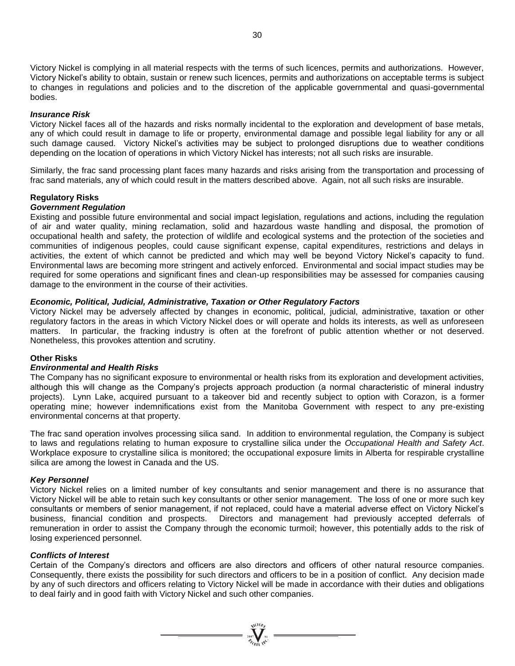Victory Nickel is complying in all material respects with the terms of such licences, permits and authorizations. However, Victory Nickel's ability to obtain, sustain or renew such licences, permits and authorizations on acceptable terms is subject to changes in regulations and policies and to the discretion of the applicable governmental and quasi-governmental bodies.

#### *Insurance Risk*

Victory Nickel faces all of the hazards and risks normally incidental to the exploration and development of base metals, any of which could result in damage to life or property, environmental damage and possible legal liability for any or all such damage caused. Victory Nickel's activities may be subject to prolonged disruptions due to weather conditions depending on the location of operations in which Victory Nickel has interests; not all such risks are insurable.

Similarly, the frac sand processing plant faces many hazards and risks arising from the transportation and processing of frac sand materials, any of which could result in the matters described above. Again, not all such risks are insurable.

#### **Regulatory Risks**

#### *Government Regulation*

Existing and possible future environmental and social impact legislation, regulations and actions, including the regulation of air and water quality, mining reclamation, solid and hazardous waste handling and disposal, the promotion of occupational health and safety, the protection of wildlife and ecological systems and the protection of the societies and communities of indigenous peoples, could cause significant expense, capital expenditures, restrictions and delays in activities, the extent of which cannot be predicted and which may well be beyond Victory Nickel's capacity to fund. Environmental laws are becoming more stringent and actively enforced. Environmental and social impact studies may be required for some operations and significant fines and clean-up responsibilities may be assessed for companies causing damage to the environment in the course of their activities.

#### *Economic, Political, Judicial, Administrative, Taxation or Other Regulatory Factors*

Victory Nickel may be adversely affected by changes in economic, political, judicial, administrative, taxation or other regulatory factors in the areas in which Victory Nickel does or will operate and holds its interests, as well as unforeseen matters. In particular, the fracking industry is often at the forefront of public attention whether or not deserved. Nonetheless, this provokes attention and scrutiny.

#### **Other Risks**

#### *Environmental and Health Risks*

The Company has no significant exposure to environmental or health risks from its exploration and development activities, although this will change as the Company's projects approach production (a normal characteristic of mineral industry projects). Lynn Lake, acquired pursuant to a takeover bid and recently subject to option with Corazon, is a former operating mine; however indemnifications exist from the Manitoba Government with respect to any pre-existing environmental concerns at that property.

The frac sand operation involves processing silica sand. In addition to environmental regulation, the Company is subject to laws and regulations relating to human exposure to crystalline silica under the *Occupational Health and Safety Act*. Workplace exposure to crystalline silica is monitored; the occupational exposure limits in Alberta for respirable crystalline silica are among the lowest in Canada and the US.

#### *Key Personnel*

Victory Nickel relies on a limited number of key consultants and senior management and there is no assurance that Victory Nickel will be able to retain such key consultants or other senior management. The loss of one or more such key consultants or members of senior management, if not replaced, could have a material adverse effect on Victory Nickel's business, financial condition and prospects. Directors and management had previously accepted deferrals of remuneration in order to assist the Company through the economic turmoil; however, this potentially adds to the risk of losing experienced personnel.

#### *Conflicts of Interest*

Certain of the Company's directors and officers are also directors and officers of other natural resource companies. Consequently, there exists the possibility for such directors and officers to be in a position of conflict. Any decision made by any of such directors and officers relating to Victory Nickel will be made in accordance with their duties and obligations to deal fairly and in good faith with Victory Nickel and such other companies.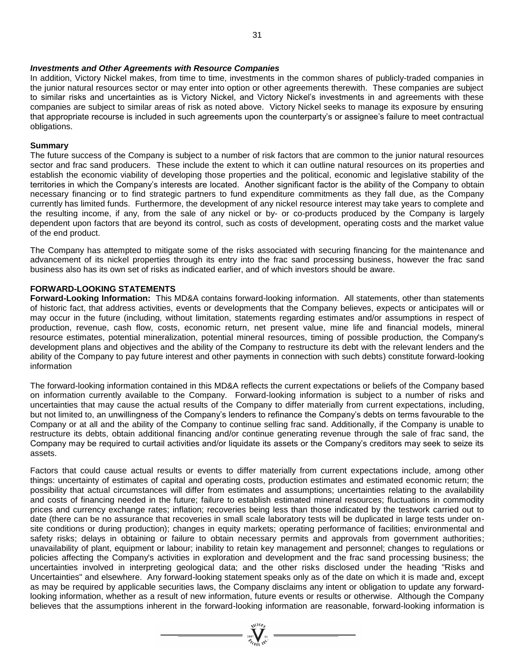#### *Investments and Other Agreements with Resource Companies*

In addition, Victory Nickel makes, from time to time, investments in the common shares of publicly-traded companies in the junior natural resources sector or may enter into option or other agreements therewith. These companies are subject to similar risks and uncertainties as is Victory Nickel, and Victory Nickel's investments in and agreements with these companies are subject to similar areas of risk as noted above. Victory Nickel seeks to manage its exposure by ensuring that appropriate recourse is included in such agreements upon the counterparty's or assignee's failure to meet contractual obligations.

#### **Summary**

The future success of the Company is subject to a number of risk factors that are common to the junior natural resources sector and frac sand producers. These include the extent to which it can outline natural resources on its properties and establish the economic viability of developing those properties and the political, economic and legislative stability of the territories in which the Company's interests are located. Another significant factor is the ability of the Company to obtain necessary financing or to find strategic partners to fund expenditure commitments as they fall due, as the Company currently has limited funds. Furthermore, the development of any nickel resource interest may take years to complete and the resulting income, if any, from the sale of any nickel or by- or co-products produced by the Company is largely dependent upon factors that are beyond its control, such as costs of development, operating costs and the market value of the end product.

The Company has attempted to mitigate some of the risks associated with securing financing for the maintenance and advancement of its nickel properties through its entry into the frac sand processing business, however the frac sand business also has its own set of risks as indicated earlier, and of which investors should be aware.

#### **FORWARD-LOOKING STATEMENTS**

**Forward-Looking Information:** This MD&A contains forward-looking information. All statements, other than statements of historic fact, that address activities, events or developments that the Company believes, expects or anticipates will or may occur in the future (including, without limitation, statements regarding estimates and/or assumptions in respect of production, revenue, cash flow, costs, economic return, net present value, mine life and financial models, mineral resource estimates, potential mineralization, potential mineral resources, timing of possible production, the Company's development plans and objectives and the ability of the Company to restructure its debt with the relevant lenders and the ability of the Company to pay future interest and other payments in connection with such debts) constitute forward-looking information

The forward-looking information contained in this MD&A reflects the current expectations or beliefs of the Company based on information currently available to the Company. Forward-looking information is subject to a number of risks and uncertainties that may cause the actual results of the Company to differ materially from current expectations, including, but not limited to, an unwillingness of the Company's lenders to refinance the Company's debts on terms favourable to the Company or at all and the ability of the Company to continue selling frac sand. Additionally, if the Company is unable to restructure its debts, obtain additional financing and/or continue generating revenue through the sale of frac sand, the Company may be required to curtail activities and/or liquidate its assets or the Company's creditors may seek to seize its assets.

Factors that could cause actual results or events to differ materially from current expectations include, among other things: uncertainty of estimates of capital and operating costs, production estimates and estimated economic return; the possibility that actual circumstances will differ from estimates and assumptions; uncertainties relating to the availability and costs of financing needed in the future; failure to establish estimated mineral resources; fluctuations in commodity prices and currency exchange rates; inflation; recoveries being less than those indicated by the testwork carried out to date (there can be no assurance that recoveries in small scale laboratory tests will be duplicated in large tests under onsite conditions or during production); changes in equity markets; operating performance of facilities; environmental and safety risks; delays in obtaining or failure to obtain necessary permits and approvals from government authorities; unavailability of plant, equipment or labour; inability to retain key management and personnel; changes to regulations or policies affecting the Company's activities in exploration and development and the frac sand processing business; the uncertainties involved in interpreting geological data; and the other risks disclosed under the heading "Risks and Uncertainties" and elsewhere. Any forward-looking statement speaks only as of the date on which it is made and, except as may be required by applicable securities laws, the Company disclaims any intent or obligation to update any forwardlooking information, whether as a result of new information, future events or results or otherwise. Although the Company believes that the assumptions inherent in the forward-looking information are reasonable, forward-looking information is

=  $\sum_{\substack{i=1 \ i \neq j}}^{N^{(\text{LO})} \cdot \text{N}^{(\text{LO})}}$  =